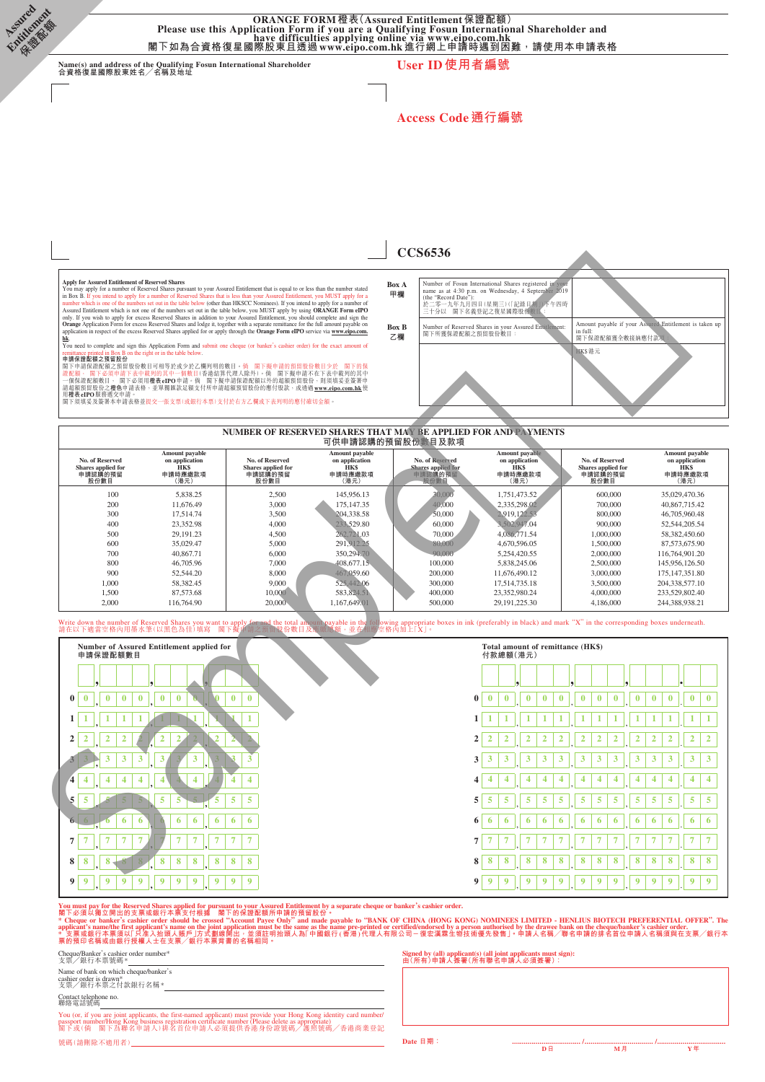ORANGE FORM 橙表(Assured Entitlement 保證配額)<br>Please use this Application Form if you are a Qualifying Fosun International Shareholder and<br>閣下如為合資格復星國際股東且透過 www.eipo.com.hk 進行網上申請時遇到困難,請使用本申請表格

**Name(s) and address of the Qualifying Fosun International Shareholder 合資格復星國際股東姓名╱名稱及地址 User ID使用者編號**

**Access Code通行編號**

**CCS6536**

**Assured Entitlement 保證配額**

#### **Box A 甲欄** Number of Fosun International Shares registered in your<br>name as at 4:30 p.m. on Wednesday, 4 September 2019<br>(the "Record Date"):<br>於二零一九年九月四日(星期三)(記錄日明」)下午四時<br>三十分以 閣下名義登記之復星國際股份數目: **Box B 乙欄** Number of Reserved Shares in your Assured Entitlement: 閣下所獲保證配額之預留股份數目: Amount payable if your Assured Entitlement is taken up in full: 閣下保證配額獲全數接納應付款項: HK\$港元

#### **NUMBER OF RESERVED SHARES THAT MAY BE APPLIED FOR AND PAYMENTS 可供申請認購的預留股份數目及款項**

| No. of Reserved<br>Shares applied for<br>申請認購的預留<br>股份數目 | Amount payable<br>on application<br><b>HKS</b><br>申請時應繳款項<br>(港元) | No. of Reserved<br>Shares applied for<br>申請認購的預留<br>股份數目 | Amount payable<br>on application<br><b>HKS</b><br>申請時應繳款項<br>(港元) | No. of Reserved<br>Shares applied for<br>申請認購的預留<br>股份數目 | Amount payable<br>on application<br><b>HKS</b><br>申請時應繳款項<br>(港元) | No. of Reserved<br>Shares applied for<br>申請認購的預留<br>股份數目 | Amount payable<br>on application<br><b>HKS</b><br>申請時應繳款項<br>(港元) |
|----------------------------------------------------------|-------------------------------------------------------------------|----------------------------------------------------------|-------------------------------------------------------------------|----------------------------------------------------------|-------------------------------------------------------------------|----------------------------------------------------------|-------------------------------------------------------------------|
| 100                                                      | 5.838.25                                                          | 2,500                                                    | 145,956.13                                                        | 30,000                                                   | 1.751.473.52                                                      | 600,000                                                  | 35,029,470.36                                                     |
| 200                                                      | 11,676.49                                                         | 3.000                                                    | 175,147.35                                                        | 40.000                                                   | 2.335.298.02                                                      | 700,000                                                  | 40,867,715.42                                                     |
| 300                                                      | 17.514.74                                                         | 3,500                                                    | 204, 338, 58                                                      | 50,000                                                   | 2.919.122.53                                                      | 800,000                                                  | 46,705,960.48                                                     |
| 400                                                      | 23,352.98                                                         | 4,000                                                    | 233,529.80                                                        | 60,000                                                   | 3.502,947.04                                                      | 900,000                                                  | 52, 544, 205, 54                                                  |
| 500                                                      | 29.191.23                                                         | 4.500                                                    | 262,721.03                                                        | 70,000                                                   | 4,086,771.54                                                      | 1,000,000                                                | 58,382,450.60                                                     |
| 600                                                      | 35,029.47                                                         | 5,000                                                    | 291,912.25                                                        | 80,000                                                   | 4,670,596.05                                                      | 1,500,000                                                | 87,573,675.90                                                     |
| 700                                                      | 40,867.71                                                         | 6.000                                                    | 350,294,70                                                        | 90,000                                                   | 5.254.420.55                                                      | 2,000,000                                                | 116,764,901.20                                                    |
| 800                                                      | 46,705.96                                                         | 7.000                                                    | 408,677.15                                                        | 100,000                                                  | 5.838.245.06                                                      | 2,500,000                                                | 145,956,126.50                                                    |
| 900                                                      | 52,544.20                                                         | 8,000                                                    | 467,059.60                                                        | 200,000                                                  | 11.676.490.12                                                     | 3,000,000                                                | 175,147,351.80                                                    |
| 1,000                                                    | 58,382.45                                                         | 9,000                                                    | 525,442,06                                                        | 300,000                                                  | 17.514.735.18                                                     | 3,500,000                                                | 204, 338, 577, 10                                                 |
| 1,500                                                    | 87,573,68                                                         | 10,000                                                   | 583,824.51                                                        | 400,000                                                  | 23,352,980.24                                                     | 4,000,000                                                | 233,529,802.40                                                    |
| 2,000                                                    | 116,764.90                                                        | 20,000                                                   | 1.167.649.01                                                      | 500,000                                                  | 29.191.225.30                                                     | 4,186,000                                                | 244.388.938.21                                                    |

#### Write down the number of Reserved Shares you want to apply for and the total amount payable in the following appropriate boxes in ink (preferably in black) and mark "X" in the corresponding boxes underneath.<br>請在以下適當空格內用墨水筆

| Apply for Assured Entitlement of Reserved Shares<br>hk                                          | You may apply for a number of Reserved Shares pursuant to your Assured Entitlement that is equal to or less than the number stated<br>in Box B. If you intend to apply for a number of Reserved Shares that is less than your Assured Entitlement, you MUST apply for a<br>number which is one of the numbers set out in the table below (other than HKSCC Nominees). If you intend to apply for a number of<br>Assured Entitlement which is not one of the numbers set out in the table below, you MUST apply by using ORANGE Form eIPO<br>only. If you wish to apply for excess Reserved Shares in addition to your Assured Entitlement, you should complete and sign the<br>Orange Application Form for excess Reserved Shares and lodge it, together with a separate remittance for the full amount payable on<br>application in respect of the excess Reserved Shares applied for or apply through the Orange Form eIPO service via www.eipo.com. |                                                          |                                                                    | Box A<br>甲欄<br>(the "Record Date"):<br>於.<br><b>Box B</b><br>閣下所獲保證配額之預留股份數目<br>乙欄 | Number of Fosun International Shares registered in your<br>name as at 4:30 p.m. on Wednesday, 4 September 2019<br>零一九年九月四日(星期三)(「記錄日期」)下午四時<br>三十分以 閣下名義登記之復星國際股份數目:<br>Number of Reserved Shares in your Assured Entitlement:   | in full:<br>閣下保證配額獲全數接納應付款項:                              | Amount payable if your Assured Entitlement is taken up                                                              |
|-------------------------------------------------------------------------------------------------|--------------------------------------------------------------------------------------------------------------------------------------------------------------------------------------------------------------------------------------------------------------------------------------------------------------------------------------------------------------------------------------------------------------------------------------------------------------------------------------------------------------------------------------------------------------------------------------------------------------------------------------------------------------------------------------------------------------------------------------------------------------------------------------------------------------------------------------------------------------------------------------------------------------------------------------------------------|----------------------------------------------------------|--------------------------------------------------------------------|------------------------------------------------------------------------------------|----------------------------------------------------------------------------------------------------------------------------------------------------------------------------------------------------------------------------------|-----------------------------------------------------------|---------------------------------------------------------------------------------------------------------------------|
| remittance printed in Box B on the right or in the table below.<br>申請保證配額之預留股份<br>用橙表eIPO服務遞交申請 | You need to complete and sign this Application Form and submit one cheque (or banker's cashier order) for the exact amount of<br>閣下申請保證配額之預留股份數目可相等於或少於乙欄列明的數目。倘 閣下擬申請的預留股份數目少於 閣下的保<br>證配額, 閣下必須申請下表中載列的其中一個數目(香港結算代理人除外)。倘 閣下擬申請不在下表中載列的其中<br>一個保證配額數目, 閣下必須用權表eIPO申請。倘 閣下擬申請保證配額以外的超額預留股份,則須填妥並簽署申<br>請超額預留股份之糧色申請表格,並單獨匯款足額支付所申請超額預留股份的應付股款,或透過 www.eipo.com.hk 使<br>閣下須填妥及簽署本申請表格並提交一張支票(或銀行本票)支付於右方乙欄或下表列明的應付確切金額。                                                                                                                                                                                                                                                                                                                                                                                                                                                                                                                               |                                                          |                                                                    |                                                                                    |                                                                                                                                                                                                                                  | HKS港元                                                     |                                                                                                                     |
|                                                                                                 |                                                                                                                                                                                                                                                                                                                                                                                                                                                                                                                                                                                                                                                                                                                                                                                                                                                                                                                                                        |                                                          |                                                                    | 可供申請認購的預留股份數目及款項                                                                   | NUMBER OF RESERVED SHARES THAT MAY BE APPLIED FOR AND PAYMENTS                                                                                                                                                                   |                                                           |                                                                                                                     |
| No. of Reserved<br>Shares applied for<br>申請認購的預留<br>股份數目                                        | Amount payable<br>on application<br>HK\$<br>申請時應繳款項<br>(港元)                                                                                                                                                                                                                                                                                                                                                                                                                                                                                                                                                                                                                                                                                                                                                                                                                                                                                            | No. of Reserved<br>Shares applied for<br>申請認購的預留<br>股份數目 | Amount payable<br>on application<br><b>HK\$</b><br>申請時應繳款項<br>(港元) | No. of Reserved<br>Shares applied for<br>申請認購的預留<br>股份數目                           | Amount payable<br>on application<br><b>HK\$</b><br>申請時應繳款項<br>(港元)                                                                                                                                                               | No. of Reserved<br>Shares applied for<br>申請認購的預留<br>股份數目  | Amount payable<br>on application<br>HK\$<br>申請時應繳款項<br>(港元)                                                         |
| 100<br>200<br>300<br>400                                                                        | 5,838.25<br>11,676.49<br>17,514.74<br>23,352.98                                                                                                                                                                                                                                                                                                                                                                                                                                                                                                                                                                                                                                                                                                                                                                                                                                                                                                        | 2,500<br>3,000<br>3,500<br>4,000                         | 145,956.13<br>175,147.35<br>204.338.58<br>233,529.80               | 30,000<br>40,000<br>50,000<br>60,000                                               | 1,751,473.52<br>2,335,298.02<br>2,919,122.53<br>3,502,947.04                                                                                                                                                                     | 600,000<br>700,000<br>800,000<br>900,000                  | 35,029,470.36<br>40,867,715.42<br>46,705,960.48<br>52,544,205.54                                                    |
| 500<br>600<br>700<br>800                                                                        | 29,191.23<br>35,029.47<br>40,867.71<br>46,705.96                                                                                                                                                                                                                                                                                                                                                                                                                                                                                                                                                                                                                                                                                                                                                                                                                                                                                                       | 4,500<br>5,000<br>6,000<br>7,000                         | 262,721.03<br>291,912.25<br>350,294.70<br>408,677.15               | 70,000<br>80,000<br>90,000<br>100,000                                              | 4,086,771.54<br>4,670,596.05<br>5,254,420.55<br>5,838,245.06                                                                                                                                                                     | 1,000,000<br>1,500,000<br>2,000,000<br>2,500,000          | 58,382,450.60<br>87,573,675.90<br>116,764,901.20<br>145,956,126.50                                                  |
| 900<br>1,000<br>1,500<br>2,000                                                                  | 52,544.20<br>58,382.45<br>87,573.68<br>116,764.90                                                                                                                                                                                                                                                                                                                                                                                                                                                                                                                                                                                                                                                                                                                                                                                                                                                                                                      | 8,000<br>9,000<br>10,000<br>20,000                       | 467,059.60<br>525,442.06<br>583,824.51<br>1,167,649.01             | 200,000<br>300,000<br>400,000<br>500,000                                           | 11,676,490.12<br>17,514,735.18<br>23,352,980.24<br>29, 191, 225. 30                                                                                                                                                              | 3,000,000<br>3,500,000<br>4,000,000<br>4,186,000          | 175, 147, 351.80<br>204,338,577.10<br>233,529,802.40<br>244,388,938.21                                              |
|                                                                                                 |                                                                                                                                                                                                                                                                                                                                                                                                                                                                                                                                                                                                                                                                                                                                                                                                                                                                                                                                                        |                                                          |                                                                    |                                                                                    | Write down the number of Reserved Shares you want to apply for and the total amount payable in the following appropriate boxes in ink (preferably in black) and mark "X" in the corresponding boxes underneath.<br>請在以下適當空格內用墨水筆 |                                                           |                                                                                                                     |
| 申請保證配額數目                                                                                        | Number of Assured Entitlement applied for                                                                                                                                                                                                                                                                                                                                                                                                                                                                                                                                                                                                                                                                                                                                                                                                                                                                                                              |                                                          |                                                                    |                                                                                    | Total amount of remittance (HK\$)<br>付款總額(港元)                                                                                                                                                                                    |                                                           |                                                                                                                     |
|                                                                                                 |                                                                                                                                                                                                                                                                                                                                                                                                                                                                                                                                                                                                                                                                                                                                                                                                                                                                                                                                                        |                                                          |                                                                    |                                                                                    |                                                                                                                                                                                                                                  |                                                           |                                                                                                                     |
| $\bf{0}$<br>$\bf{0}$<br>$\bf{0}$<br>0                                                           | $\bf{0}$<br>$\bf{0}$<br>$\bf{0}$                                                                                                                                                                                                                                                                                                                                                                                                                                                                                                                                                                                                                                                                                                                                                                                                                                                                                                                       | $\bf{0}$<br>$\bf{0}$                                     |                                                                    |                                                                                    | $\bf{0}$<br>$\bf{0}$<br>$\bf{0}$<br>$\bf{0}$<br>$\bf{0}$<br>0                                                                                                                                                                    | $\bf{0}$<br>$\bf{0}$<br>$\bf{0}$<br>$\bf{0}$              | $\bf{0}$<br>$\bf{0}$<br>$\bf{0}$<br>$\bf{0}$                                                                        |
| 1<br>1<br>1<br>$\overline{2}$<br>2<br>2<br>2                                                    | $\mathbf{1}$<br>$\overline{2}$<br>2                                                                                                                                                                                                                                                                                                                                                                                                                                                                                                                                                                                                                                                                                                                                                                                                                                                                                                                    |                                                          |                                                                    |                                                                                    | 1<br>1<br>1<br>1<br>1<br>$\overline{2}$<br>$\overline{2}$<br>$\overline{\mathbf{2}}$<br>2<br>$\overline{2}$<br>2                                                                                                                 | 1<br>1<br>1<br>1<br>$\overline{2}$<br>2<br>$\overline{2}$ | 1<br>1<br>1<br>1<br>$\overline{\mathbf{2}}$<br>$\overline{2}$<br>$\overline{2}$<br>$\overline{2}$<br>$\overline{2}$ |
| 3                                                                                               | 3                                                                                                                                                                                                                                                                                                                                                                                                                                                                                                                                                                                                                                                                                                                                                                                                                                                                                                                                                      |                                                          |                                                                    |                                                                                    | 3<br>3<br>3<br>3<br>3<br>3                                                                                                                                                                                                       | 3<br>3<br>3                                               | 3<br>3<br>3<br>3<br>3                                                                                               |
| 4<br>4<br>$\overline{4}$                                                                        | 4<br>4                                                                                                                                                                                                                                                                                                                                                                                                                                                                                                                                                                                                                                                                                                                                                                                                                                                                                                                                                 | $\overline{4}$<br>4                                      |                                                                    |                                                                                    | $\overline{\mathbf{4}}$<br>4<br>$\overline{\mathbf{4}}$<br>4<br>4<br>4                                                                                                                                                           | 4<br>4<br>4                                               | $\overline{4}$<br>4<br>4<br>4<br>4                                                                                  |
|                                                                                                 | 5                                                                                                                                                                                                                                                                                                                                                                                                                                                                                                                                                                                                                                                                                                                                                                                                                                                                                                                                                      | 5<br>5                                                   |                                                                    |                                                                                    | 5<br>5<br>5<br>5<br>5<br>5                                                                                                                                                                                                       | 5<br>5<br>5                                               | 5<br>5<br>5<br>5<br>5                                                                                               |
| 6                                                                                               | 6<br>6<br>6<br>6                                                                                                                                                                                                                                                                                                                                                                                                                                                                                                                                                                                                                                                                                                                                                                                                                                                                                                                                       | 6<br>6                                                   |                                                                    |                                                                                    | 6<br>6<br>6<br>6<br>6<br>6                                                                                                                                                                                                       | 6<br>6<br>6                                               | 6<br>6<br>6<br>6<br>6                                                                                               |
| 7                                                                                               | 7<br>$\overline{7}$<br>7<br>7                                                                                                                                                                                                                                                                                                                                                                                                                                                                                                                                                                                                                                                                                                                                                                                                                                                                                                                          | $\overline{7}$<br>7                                      |                                                                    |                                                                                    | 7<br>7<br>$\overline{7}$<br>7<br>7<br>7                                                                                                                                                                                          | 7<br>7<br>7<br>$\overline{7}$                             | 7<br>7<br>7<br>7                                                                                                    |
| 8                                                                                               | 8<br>8<br>8<br>8                                                                                                                                                                                                                                                                                                                                                                                                                                                                                                                                                                                                                                                                                                                                                                                                                                                                                                                                       | 8<br>8                                                   |                                                                    |                                                                                    | 8<br>8<br>8<br>8<br>8<br>8                                                                                                                                                                                                       | 8<br>8<br>8                                               | 8<br>8<br>8<br>8<br>8                                                                                               |
| $\overline{9}$<br>9<br>9                                                                        | $\overline{9}$<br>$\boldsymbol{9}$<br>9<br>9<br>$\boldsymbol{9}$                                                                                                                                                                                                                                                                                                                                                                                                                                                                                                                                                                                                                                                                                                                                                                                                                                                                                       | $\boldsymbol{9}$<br>$\boldsymbol{9}$                     |                                                                    |                                                                                    | 9<br>$\boldsymbol{9}$<br>$\boldsymbol{9}$<br>9<br>9<br>9                                                                                                                                                                         | 9<br>9<br>9<br>$\overline{9}$                             | $\overline{9}$<br>$\overline{9}$<br>$\boldsymbol{9}$<br>9                                                           |

You must pay for the Reserved Shares applied for pursuant to your Assured Entitlement by a separate cheque or banker's cashier order.<br>閣下必須以獨立開出的支票或銀行本票支付根據 閣下的保證配額所申請的預留股份。<br>\* Cheque or banker's cashier order should be cr

Cheque/Banker's cashier order number\* 支票╱銀行本票號碼\*

Name of bank on which cheque/banker's

cashier order is drawn\* 支票╱銀行本票之付款銀行名稱\*

Contact telephone no. 聯絡電話號碼

You (or, if you are joint applicants, the first-named applicant) must provide your Hong Kong identity card number/<br>passport number/Hong Kong business registration certificate number (Please delete as appropriate)<br>閣下或(倘 閣下

**Signed by (all) applicant(s) (all joint applicants must sign): 由(所有)申請人簽署(所有聯名申請人必須簽署):**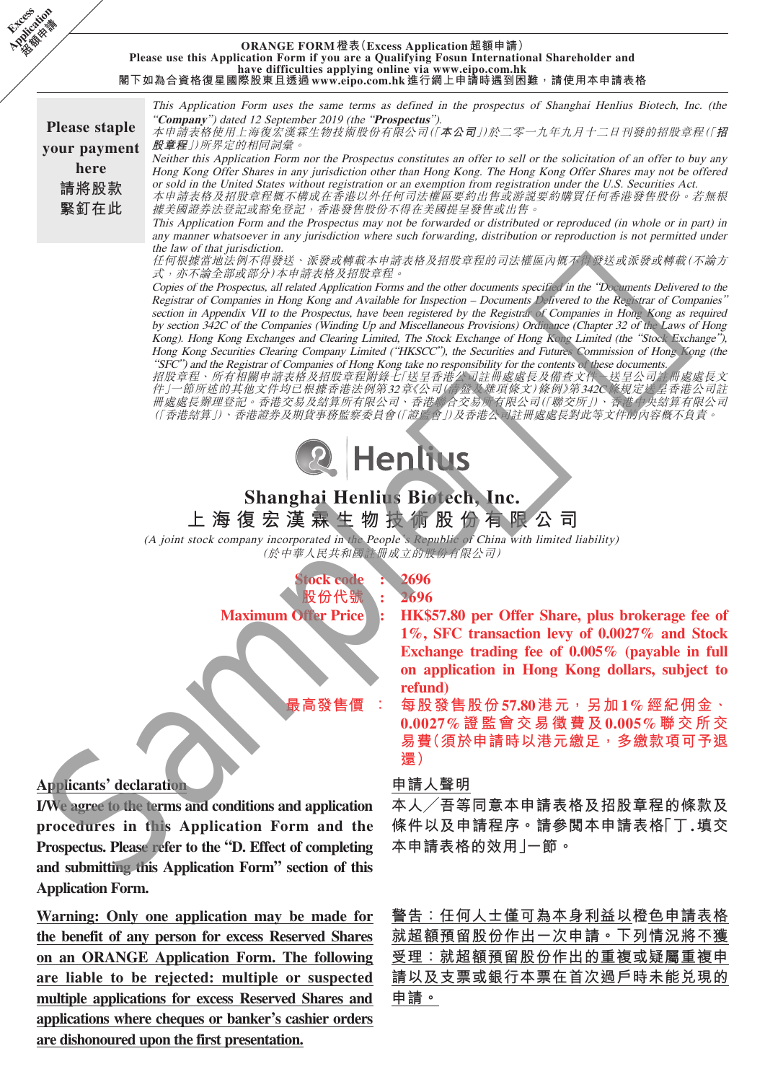#### **ORANGE FORM 橙表(Excess Application 超額申請) Please use this Application Form if you are a Qualifying Fosun International Shareholder and have difficulties applying online via www.eipo.com.hk 閣下如為合資格復星國際股東且透過 www.eipo.com.hk 進行網上申請時遇到困難,請使用本申請表格**

**Please staple your payment here 請將股款 緊釘在此**

**Excess Application** 

> This Application Form uses the same terms as defined in the prospectus of Shanghai Henlius Biotech, Inc. (the "**Company**") dated 12 September 2019 (the "**Prospectus**").

> 本申請表格使用上海復宏漢霖生物技術股份有限公司(「**本公司**」)於二零一九年九月十二日刊發的招股章程(「**招 股章程**」)所界定的相同詞彙。

> Neither this Application Form nor the Prospectus constitutes an offer to sell or the solicitation of an offer to buy any Hong Kong Offer Shares in any jurisdiction other than Hong Kong. The Hong Kong Offer Shares may not be offered or sold in the United States without registration or an exemption from registration under the U.S. Securities Act. 本申請表格及招股章程概不構成在香港以外任何司法權區要約出售或游說要約購買任何香港發售股份。若無根

> 據美國證券法登記或豁免登記,香港發售股份不得在美國提呈發售或出售。 This Application Form and the Prospectus may not be forwarded or distributed or reproduced (in whole or in part) in

> any manner whatsoever in any jurisdiction where such forwarding, distribution or reproduction is not permitted under the law of that jurisdiction.

> 任何根據當地法例不得發送、派發或轉載本申請表格及招股章程的司法權區內概不得發送或派發或轉載(不論方 式,亦不論全部或部分)本申請表格及招股章程。

Copies of the Prospectus, all related Application Forms and the other documents specified in the "Documents Delivered to the Registrar of Companies in Hong Kong and Available for Inspection – Documents Delivered to the Registrar of Companies" section in Appendix VII to the Prospectus, have been registered by the Registrar of Companies in Hong Kong as required by section 342C of the Companies (Winding Up and Miscellaneous Provisions) Ordinance (Chapter 32 of the Laws of Hong Kong). Hong Kong Exchanges and Clearing Limited, The Stock Exchange of Hong Kong Limited (the "Stock Exchange"), Hong Kong Securities Clearing Company Limited ("HKSCC"), the Securities and Futures Commission of Hong Kong (the "SFC") and the Registrar of Companies of Hong Kong take no responsibility for the contents of these documents. Companies in Real Application Forms and be the start and the real Application Form and the start and application Form and the start and the start of the start and the start of the start of the start of the start of the s

招股章程、所有相關申請表格及招股章程附錄七「送呈香港公司註冊處處長及備查文件-送呈公司註冊處處長文 件」一節所述的其他文件均已根據香港法例第32章《公司(清盤及雜項條文)條例》第342C條規定送呈香港公司註 冊處處長辦理登記。香港交易及結算所有限公司、香港聯合交易所有限公司(「聯交所」)、香港中央結算有限公司 (「香港結算」)、香港證券及期貨事務監察委員會(「證監會」)及香港公司註冊處處長對此等文件的內容概不負責。



# **Shanghai Henlius Biotech, Inc. 上海復宏漢霖生物技術股份有限公司**

(A joint stock company incorporated in the People's Republic of China with limited liability) (於中華人民共和國註冊成立的股份有限公司)

> **Stock code : 2696 股份代號 : 2696**

# **Applicants' declaration**

**I/We agree to the terms and conditions and application procedures in this Application Form and the Prospectus. Please refer to the "D. Effect of completing and submitting this Application Form" section of this Application Form.**

**Warning: Only one application may be made for the benefit of any person for excess Reserved Shares on an ORANGE Application Form. The following are liable to be rejected: multiple or suspected multiple applications for excess Reserved Shares and applications where cheques or banker's cashier orders are dishonoured upon the first presentation.**

**Maximum Offer Price : HK\$57.80 per Offer Share, plus brokerage fee of 1%, SFC transaction levy of 0.0027% and Stock Exchange trading fee of 0.005% (payable in full on application in Hong Kong dollars, subject to refund)**

> **最高發售價 : 每股發售股份57.80港元,另加1%經紀佣金、 0.0027%證監會交易徵費及0.005%聯交所交 易費(須於申請時以港元繳足,多繳款項可予退 還)**

### **申請人聲明**

**本人╱吾等同意本申請表格及招股章程的條款及 條件以及申請程序。請參閱本申請表格「丁.填交 本申請表格的效用」一節。**

**警告:任何人士僅可為本身利益以橙色申請表格 就超額預留股份作出一次申請。下列情況將不獲 受理:就超額預留股份作出的重複或疑屬重複申 請以及支票或銀行本票在首次過戶時未能兌現的 申請。**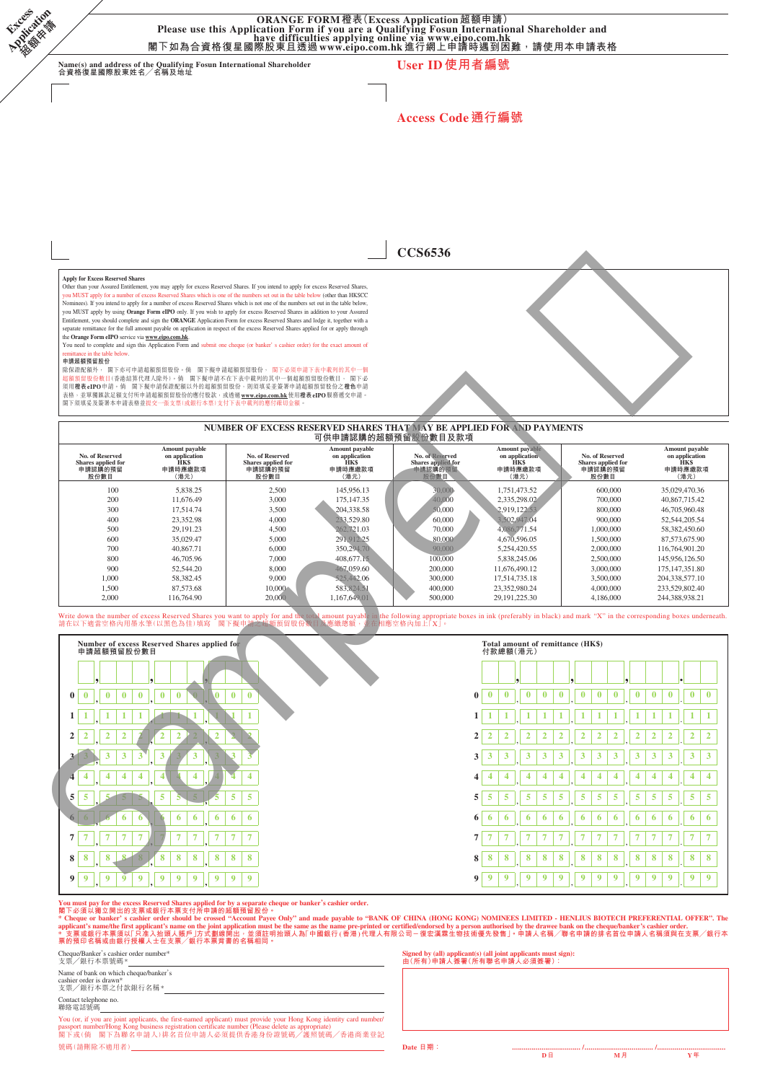ORANGE FORM橙表(Excess Application超額申請)<br>Please use this Application Form if you are a Qualifying Fosun International Shareholder and<br>閣下如為合資格復星國際股東且透過 www.eipo.com.hk 進行網上申請時遇到困難,請使用本申請表格

**Name(s) and address of the Qualifying Fosun International Shareholder 合資格復星國際股東姓名╱名稱及地址 User ID使用者編號**

**Access Code通行編號**

**CCS6536**

**Apply for Excess Reserved Shares**

**Excess Application** 

> Other than your Assured Entitlement, you may apply for excess Reserved Shares. If you intend to apply for excess Reserved Shares,<br>you MUST apply for a number of excess Reserved Shares which is one of the numbers set out in you MUST apply by using **Orange Form eIPO** only. If you wish to apply for excess Reserved Shares in addition to your Assured<br>Entitlement, you should complete and sign the **ORANGE** Application Form for excess Reserved Share

> the **Orange Form eIPO** service via www.eipo.com.hk.<br>You need to complete and sign this Application Form and submit one cheque (or banker' s cashier order) for the exact amount of<br>remittance in the table below.

#### **申請超額預留股份**

除保證配額外, 閣下亦可申請超額預留股份。倘 閣下銀申請超額預留股份, 閣下必須申請下表中載列的其中一個<br>超額預留股份數目(香港結算代理人除外)。倘 国下擬申請不在下表中制須的其中一個超額預留股份數目, 閣下必<br>須用**橙表eIPO**申請。倘 閣下擬申請保證配額以外的超額預留股份,則須填荽並簽署申請超額預留股份之**橙色**申請 表格,並單獨匯款足額支付所申請超額預留股份的應付股款,或透過 www.eipo.com.hk 使用**橙表 eIPO** 服務遮交申請。<br>閣下須填妥及簽署本申請表格並提交一張支票(或銀行本票)支付下表中載列的應付確切金額。

#### **NUMBER OF EXCESS RESERVED SHARES THAT MAY BE APPLIED FOR AND PAYMENTS 可供申請認購的超額預留股份數目及款項**

| No. of Reserved<br>Shares applied for<br>申請認購的預留<br>股份數目 | Amount payable<br>on application<br><b>HKS</b><br>申請時應繳款項<br>(港元) | No. of Reserved<br>Shares applied for<br>申請認購的預留<br>股份數目 | Amount payable<br>on application<br><b>HKS</b><br>申請時應繳款項<br>(港元) | No. of Reserved<br>Shares applied for<br>申請認購的預留<br>股份數目 | Amount payable<br>on application<br><b>HKS</b><br>申請時應繳款項<br>(港元) | No. of Reserved<br>Shares applied for<br>申請認購的預留<br>股份數目 | Amount payable<br>on application<br><b>HKS</b><br>申請時應繳款項<br>(港元) |
|----------------------------------------------------------|-------------------------------------------------------------------|----------------------------------------------------------|-------------------------------------------------------------------|----------------------------------------------------------|-------------------------------------------------------------------|----------------------------------------------------------|-------------------------------------------------------------------|
| 100                                                      | 5.838.25                                                          | 2,500                                                    | 145,956.13                                                        | 30:000                                                   | 1.751.473.52                                                      | 600,000                                                  | 35,029,470.36                                                     |
| 200                                                      | 11,676.49                                                         | 3,000                                                    | 175,147,35                                                        | 40,000                                                   | 2.335.298.02                                                      | 700,000                                                  | 40,867,715.42                                                     |
| 300                                                      | 17.514.74                                                         | 3,500                                                    | 204,338.58                                                        | 0.000                                                    | 2.919.122.53                                                      | 800,000                                                  | 46,705,960.48                                                     |
| 400                                                      | 23,352.98                                                         | 4,000                                                    | 233,529.80                                                        | 60,000                                                   | 3.502,947.04                                                      | 900,000                                                  | 52, 544, 205, 54                                                  |
| 500                                                      | 29.191.23                                                         | 4.500                                                    | 262,721.03                                                        | 70,000                                                   | 4,086,771.54                                                      | 1,000,000                                                | 58,382,450.60                                                     |
| 600                                                      | 35,029.47                                                         | 5,000                                                    | 291,912.25                                                        | 80,000                                                   | 4,670,596.05                                                      | 1.500,000                                                | 87,573,675.90                                                     |
| 700                                                      | 40,867.71                                                         | 6,000                                                    | 350,294.70                                                        | 90,000                                                   | 5.254.420.55                                                      | 2,000,000                                                | 116,764,901.20                                                    |
| 800                                                      | 46,705.96                                                         | 7,000                                                    | 408,677.15                                                        | 100,000                                                  | 5,838,245.06                                                      | 2,500,000                                                | 145,956,126.50                                                    |
| 900                                                      | 52,544.20                                                         | 8,000                                                    | 467,059.60                                                        | 200,000                                                  | 11.676.490.12                                                     | 3,000,000                                                | 175,147,351.80                                                    |
| 1.000                                                    | 58.382.45                                                         | 9,000                                                    | 525,442,06                                                        | 300,000                                                  | 17.514.735.18                                                     | 3,500,000                                                | 204,338,577.10                                                    |
| 1.500                                                    | 87,573,68                                                         | 10,000                                                   | 583,824.51                                                        | 400,000                                                  | 23.352.980.24                                                     | 4,000,000                                                | 233,529,802.40                                                    |
| 2,000                                                    | 116,764.90                                                        | 20,000                                                   | 1.167,649.01                                                      | 500,000                                                  | 29.191.225.30                                                     | 4,186,000                                                | 244,388,938.21                                                    |

# Write down the number of excess Reserved Shares you want to apply for and<br>請在以下適當空格內用墨水筆(以黑色為佳)填寫 閣下擬申請之超額預留別

**Number of excess Reserved Shares applied for 申請超額預留股份數目 Total amount of remittance (HK\$) 付款總額(港元) , , , , , , . <sup>0</sup> <sup>0</sup> , <sup>0</sup> <sup>0</sup> <sup>0</sup> , <sup>0</sup> <sup>0</sup> <sup>0</sup> , <sup>0</sup> <sup>0</sup> <sup>0</sup> <sup>0</sup> <sup>0</sup> <sup>0</sup>** , **<sup>0</sup> <sup>0</sup> <sup>0</sup>** , **<sup>0</sup> <sup>0</sup> <sup>0</sup>** , **<sup>0</sup> <sup>0</sup> <sup>0</sup>** . **<sup>0</sup> <sup>0</sup> <sup>1</sup> <sup>1</sup> , <sup>1</sup> <sup>1</sup> <sup>1</sup> , <sup>1</sup> <sup>1</sup> <sup>1</sup> , <sup>1</sup> <sup>1</sup> <sup>1</sup> <sup>1</sup> <sup>1</sup> <sup>1</sup>** , **<sup>1</sup> <sup>1</sup> <sup>1</sup>** , **<sup>1</sup> <sup>1</sup> <sup>1</sup>** , **<sup>1</sup> <sup>1</sup> <sup>1</sup>** . **<sup>1</sup> <sup>1</sup> <sup>2</sup> <sup>2</sup> , <sup>2</sup> <sup>2</sup> <sup>2</sup> , <sup>2</sup> <sup>2</sup> <sup>2</sup> , <sup>2</sup> <sup>2</sup> <sup>2</sup> <sup>2</sup> <sup>2</sup> <sup>2</sup>** , **<sup>2</sup> <sup>2</sup> <sup>2</sup>** , **<sup>2</sup> <sup>2</sup> <sup>2</sup>** , **<sup>2</sup> <sup>2</sup> <sup>2</sup>** . **<sup>2</sup> <sup>2</sup> <sup>3</sup> <sup>3</sup> , <sup>3</sup> <sup>3</sup> <sup>3</sup> , <sup>3</sup> <sup>3</sup> <sup>3</sup> , <sup>3</sup> <sup>3</sup> <sup>3</sup> <sup>3</sup> <sup>3</sup> <sup>3</sup>** , **<sup>3</sup> <sup>3</sup> <sup>3</sup>** , **<sup>3</sup> <sup>3</sup> <sup>3</sup>** , **<sup>3</sup> <sup>3</sup> <sup>3</sup>** . **<sup>3</sup> <sup>3</sup>**  $\frac{1}{4}$   $\frac{1}{4}$   $\frac{1}{4}$   $\frac{1}{4}$   $\frac{1}{4}$   $\frac{1}{4}$   $\frac{1}{4}$   $\frac{1}{4}$   $\frac{1}{4}$   $\frac{1}{4}$   $\frac{1}{4}$   $\frac{1}{4}$   $\frac{1}{4}$   $\frac{1}{4}$   $\frac{1}{4}$   $\frac{1}{4}$   $\frac{1}{4}$   $\frac{1}{4}$   $\frac{1}{4}$   $\frac{1}{4}$   $\frac{1}{4}$   $\frac{1}{4}$  **<sup>5</sup> <sup>5</sup> , <sup>5</sup> <sup>5</sup> <sup>5</sup> , <sup>5</sup> <sup>5</sup> <sup>5</sup> , <sup>5</sup> <sup>5</sup> <sup>5</sup> <sup>5</sup> <sup>5</sup> <sup>5</sup>** , **<sup>5</sup> <sup>5</sup> <sup>5</sup>** , **<sup>5</sup> <sup>5</sup> <sup>5</sup>** , **<sup>5</sup> <sup>5</sup> <sup>5</sup>** . **<sup>5</sup> <sup>5</sup> <sup>6</sup> <sup>6</sup> , <sup>6</sup> <sup>6</sup> <sup>6</sup> , <sup>6</sup> <sup>6</sup> <sup>6</sup> , <sup>6</sup> <sup>6</sup> <sup>6</sup> <sup>6</sup> <sup>6</sup> <sup>6</sup>** , **<sup>6</sup> <sup>6</sup> <sup>6</sup>** , **<sup>6</sup> <sup>6</sup> <sup>6</sup>** , **<sup>6</sup> <sup>6</sup> <sup>6</sup>** . **<sup>6</sup> <sup>6</sup>** 7 7 7 7 7 7 7 7 7 7 7 7 7 7 7 7 7 7 7 8 7 8 7 8 7 8 7 8 7 8 7 8 7 8 7 8 7 8 7 8 7 8 7 8 7 8 7 8 7 8 7 9 7 7 8 7 7 8 7 7 8 7 7 8 7 7 8 7 7 8 7 7 8 7 7 8 7 7 8 7 7 8 7 8 7 8 7 8 7 8 7 8 7 8 7 8 7 8 7 8 7 8 7 8 7 8 7 8 7 8 7 8 **<sup>8</sup> <sup>8</sup> , <sup>8</sup> <sup>8</sup> <sup>8</sup> , <sup>8</sup> <sup>8</sup> <sup>8</sup> , <sup>8</sup> <sup>8</sup> <sup>8</sup> <sup>8</sup> <sup>8</sup> <sup>8</sup>** , **<sup>8</sup> <sup>8</sup> <sup>8</sup>** , **<sup>8</sup> <sup>8</sup> <sup>8</sup>** , **<sup>8</sup> <sup>8</sup> <sup>8</sup>** . **<sup>8</sup> <sup>8</sup> <sup>9</sup> <sup>9</sup> , <sup>9</sup> <sup>9</sup> <sup>9</sup> , <sup>9</sup> <sup>9</sup> <sup>9</sup> , <sup>9</sup> <sup>9</sup> <sup>9</sup> <sup>9</sup> <sup>9</sup> <sup>9</sup>** , **<sup>9</sup> <sup>9</sup> <sup>9</sup>** , **<sup>9</sup> <sup>9</sup> <sup>9</sup>** , **<sup>9</sup> <sup>9</sup> <sup>9</sup>** . **<sup>9</sup> <sup>9</sup>** Sample樣版

You must pay for the excess Reserved Shares applied for by a separate cheque or banker's cashier order.<br>閣下必須以薄立開出的支票或銀行本票支付所申請的超額預留股份 •<br>\* Cheque or banker's cashier order should be crossed "Account Payee Only" and made p

Cheque/Banker's cashier order number\* 支票╱銀行本票號碼\*

Name of bank on which cheque/banker's

cashier order is drawn\* 支票╱銀行本票之付款銀行名稱\*

Contact telephone no. 聯絡電話號碼

You (or, if you are joint applicants, the first-named applicant) must provide your Hong Kong identity card number/<br>passport number/Hong Kong business registration certificate number (Please delete as appropriate)<br>閣下或(倘 閣下 號碼(請刪除不適用者) **Date 日期: ................................... / ................................... /...................................**

**Signed by (all) applicant(s) (all joint applicants must sign): 由(所有)申請人簽署(所有聯名申請人必須簽署):**

 **D日 M月 Y年**

he following appropriate boxes in ink (preferably in black) and mark "X" in the corresponding boxes underneath<br>D. 感空格内加上 [X]。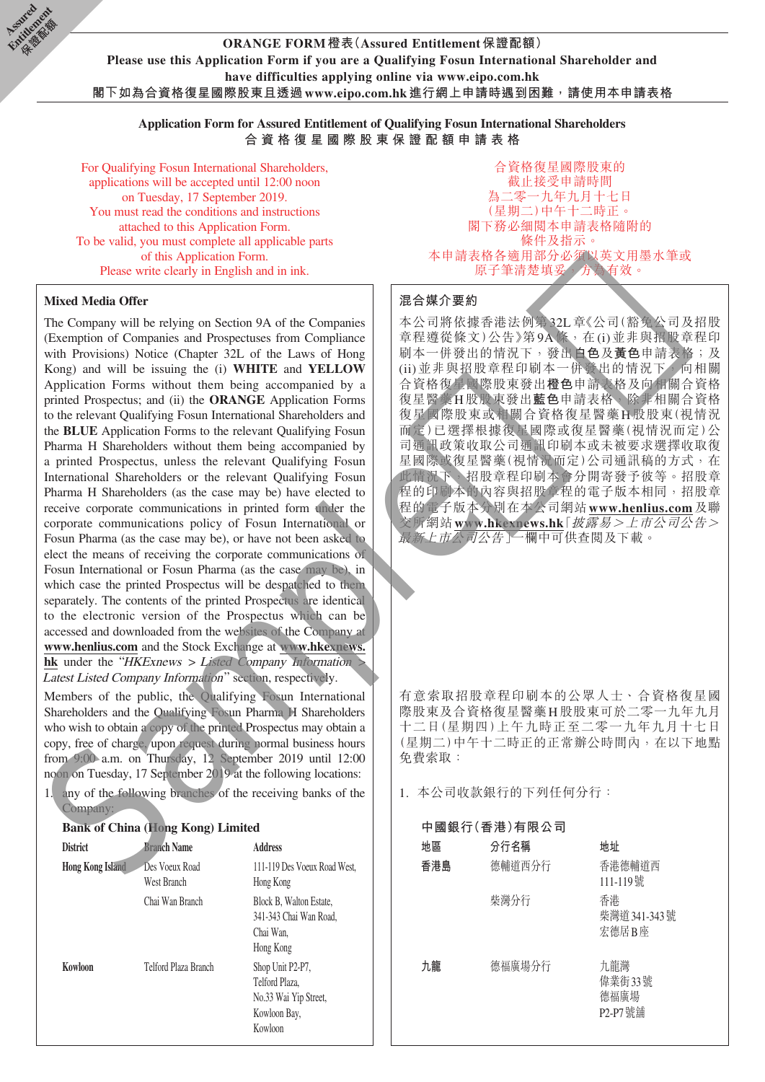**ORANGE FORM橙表(Assured Entitlement保證配額) Please use this Application Form if you are a Qualifying Fosun International Shareholder and have difficulties applying online via www.eipo.com.hk 閣下如為合資格復星國際股東且透過www.eipo.com.hk進行網上申請時遇到困難,請使用本申請表格**

**Application Form for Assured Entitlement of Qualifying Fosun International Shareholders 合資格復星國際股東保證配額申請表格**

For Qualifying Fosun International Shareholders, applications will be accepted until 12:00 noon on Tuesday, 17 September 2019. You must read the conditions and instructions attached to this Application Form. To be valid, you must complete all applicable parts of this Application Form. Please write clearly in English and in ink.

#### **Mixed Media Offer**

**Assimed** Entitlement **Children** 

> The Company will be relying on Section 9A of the Companies (Exemption of Companies and Prospectuses from Compliance with Provisions) Notice (Chapter 32L of the Laws of Hong Kong) and will be issuing the (i) **WHITE** and **YELLOW** Application Forms without them being accompanied by a printed Prospectus; and (ii) the **ORANGE** Application Forms to the relevant Qualifying Fosun International Shareholders and the **BLUE** Application Forms to the relevant Qualifying Fosun Pharma H Shareholders without them being accompanied by a printed Prospectus, unless the relevant Qualifying Fosun International Shareholders or the relevant Qualifying Fosun Pharma H Shareholders (as the case may be) have elected to receive corporate communications in printed form under the corporate communications policy of Fosun International or Fosun Pharma (as the case may be), or have not been asked to elect the means of receiving the corporate communications of Fosun International or Fosun Pharma (as the case may be), in which case the printed Prospectus will be despatched to them separately. The contents of the printed Prospectus are identical to the electronic version of the Prospectus which can be accessed and downloaded from the websites of the Company at **www.henlius.com** and the Stock Exchange at **www.hkexnews. hk** under the "HKExnews > Listed Company Information > Latest Listed Company Information" section, respectively. Mixed Media Offer<br>
> The Companies and Propendies 3A of the Companies  $\frac{\mathbb{E} \otimes \mathbb{E} \times \mathbb{R} \otimes \mathbb{R} \otimes \mathbb{R} \otimes \mathbb{R} \otimes \mathbb{R} \otimes \mathbb{R} \otimes \mathbb{R} \otimes \mathbb{R} \otimes \mathbb{R} \otimes \mathbb{R} \otimes \mathbb{R} \otimes \mathbb{R} \otimes \mathbb{R} \otimes \mathbb{R} \otimes \mathbb{R} \$

Members of the public, the Qualifying Fosun International Shareholders and the Qualifying Fosun Pharma H Shareholders who wish to obtain a copy of the printed Prospectus may obtain a copy, free of charge, upon request during normal business hours from 9:00 a.m. on Thursday, 12 September 2019 until 12:00 noon on Tuesday, 17 September 2019 at the following locations:

1. any of the following branches of the receiving banks of the Company:

#### **Bank of China (Hong Kong) Limited**

| <b>District</b>         | <b>Branch Name</b>            | <b>Address</b>                                                                         |
|-------------------------|-------------------------------|----------------------------------------------------------------------------------------|
| <b>Hong Kong Island</b> | Des Voeux Road<br>West Branch | 111-119 Des Voeux Road West.<br>Hong Kong                                              |
|                         | Chai Wan Branch               | Block B, Walton Estate,<br>341-343 Chai Wan Road,<br>Chai Wan.<br>Hong Kong            |
| Kowloon                 | Telford Plaza Branch          | Shop Unit P2-P7,<br>Telford Plaza,<br>No.33 Wai Yip Street,<br>Kowloon Bay,<br>Kowloon |

合資格復星國際股東的 截止接受申請時間 為二零一九年九月十七日 (星期二)中午十二時正。 閣下務必細閱本申請表格隨附的 條件及指示。 本申請表格各適用部分必須以英文用墨水筆或 原子筆清楚填妥,方為有效。

#### **混合媒介要約**

本公司將依據香港法例第32L章《公司(豁免公司及招股 章程遵從條文)公告》第9A條, 在(i)並非與招股章程印 刷本一併發出的情況下,發出**白色**及**黃色**申請表格;及 (ii)並非與招股章程印刷本一併發出的情況下,向相關 合資格復星國際股東發出**橙色**申請表格及向相關合資格 復星醫藥H股股東發出**藍色**申請表格,除非相關合資格 復星國際股東或相關合資格復星醫藥H股股東(視情況 而定)已選擇根據復星國際或復星醫藥(視情況而定)公 司通訊政策收取公司通訊印刷本或未被要求選擇收取復 星國際或復星醫藥(視情況而定)公司通訊稿的方式,在 此情況下,招股章程印刷本會分開寄發予彼等。招股章 程的印刷本的內容與招股章程的電子版本相同,招股章 程的電子版本分別在本公司網站**www.henlius.com**及聯 交所網站**www.hkexnews.hk**「披露易>上市公司公告> 最新上市公司公告」一欄中可供查閱及下載。

有意索取招股章程印刷本的公眾人士、合資格復星國 際股東及合資格復星醫藥H股股東可於二零一九年九月 十二日(星期四)上午九時正至二零一九年九月十七日 (星期二)中午十二時正的正常辦公時間內,在以下地點 免費索取:

1. 本公司收款銀行的下列任何分行:

| 中國銀行(香港)有限公司 |        |                                  |  |  |  |
|--------------|--------|----------------------------------|--|--|--|
| 地區           | 分行名稱   | 地址                               |  |  |  |
| 香港島          | 德輔道西分行 | 香港德輔道西<br>111-119號               |  |  |  |
|              | 柴灣分行   | 香港<br>柴灣道 341-343號<br>宏德居B座      |  |  |  |
| 九龍           | 德福廣場分行 | 九龍灣<br>偉業街33號<br>德福廣場<br>P2-P7號鋪 |  |  |  |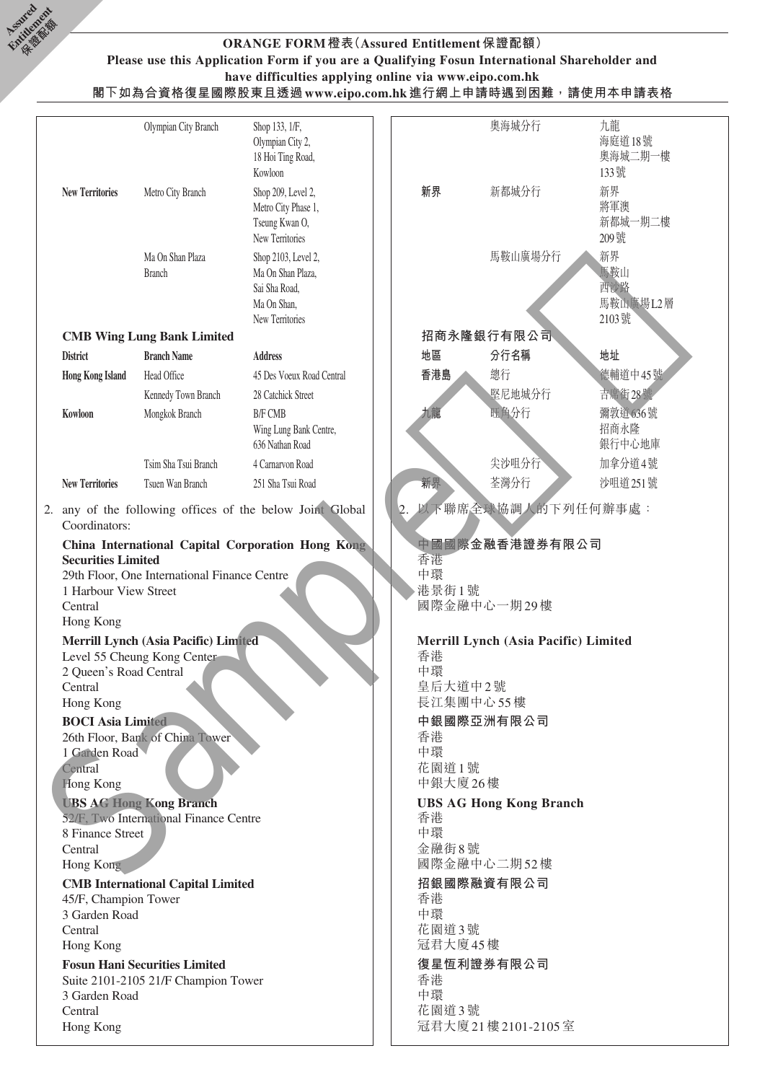

#### **ORANGE FORM橙表(Assured Entitlement保證配額) Please use this Application Form if you are a Qualifying Fosun International Shareholder and have difficulties applying online via www.eipo.com.hk 閣下如為合資格復星國際股東且透過www.eipo.com.hk進行網上申請時遇到困難,請使用本申請表格**

|                           | Olympian City Branch                         | Shop 133, 1/F,<br>Olympian City 2,<br>18 Hoi Ting Road,<br>Kowloon                          |             | 奧海城分行                                | 九龍<br>海庭道18號<br>奧海城二期一樓<br>133號       |  |  |
|---------------------------|----------------------------------------------|---------------------------------------------------------------------------------------------|-------------|--------------------------------------|---------------------------------------|--|--|
| <b>New Territories</b>    | Metro City Branch                            | Shop 209, Level 2,<br>Metro City Phase 1,<br>Tseung Kwan O,<br>New Territories              | 新界          | 新都城分行                                | 新界<br>將軍澳<br>新都城一期二樓<br>209號          |  |  |
|                           | Ma On Shan Plaza<br><b>Branch</b>            | Shop 2103, Level 2,<br>Ma On Shan Plaza,<br>Sai Sha Road,<br>Ma On Shan,<br>New Territories |             | 馬鞍山廣場分行                              | 新界<br>馬鞍山<br>西沙路<br>馬鞍山廣場L2層<br>2103號 |  |  |
|                           | <b>CMB Wing Lung Bank Limited</b>            |                                                                                             |             | 招商永隆銀行有限公司                           |                                       |  |  |
| <b>District</b>           | <b>Branch Name</b>                           | <b>Address</b>                                                                              | 地區          | 分行名稱                                 | 地址                                    |  |  |
| <b>Hong Kong Island</b>   | Head Office                                  | 45 Des Voeux Road Central                                                                   | 香港島         | 總行                                   | 德輔道中45號                               |  |  |
|                           | Kennedy Town Branch                          | 28 Catchick Street                                                                          |             | 堅尼地城分行                               | 吉席街28號                                |  |  |
| Kowloon                   | Mongkok Branch                               | <b>B/F CMB</b>                                                                              | 九龍          | 旺角分行                                 | 彌敦道636號                               |  |  |
|                           |                                              | Wing Lung Bank Centre,<br>636 Nathan Road                                                   |             |                                      | 招商永隆<br>銀行中心地庫                        |  |  |
|                           | Tsim Sha Tsui Branch                         | 4 Carnarvon Road                                                                            |             | 尖沙咀分行                                | 加拿分道4號                                |  |  |
| <b>New Territories</b>    | Tsuen Wan Branch                             | 251 Sha Tsui Road                                                                           | 新界          | 荃灣分行                                 | 沙咀道 251號                              |  |  |
| Coordinators:             |                                              | 2. any of the following offices of the below Joint Global                                   |             | 以下聯席全球協調人的下列任何辦事處:                   |                                       |  |  |
| <b>Securities Limited</b> |                                              | China International Capital Corporation Hong Kong                                           | 香港          | 中國國際金融香港證券有限公司                       |                                       |  |  |
|                           | 29th Floor, One International Finance Centre |                                                                                             | 虫環          |                                      |                                       |  |  |
| 1 Harbour View Street     |                                              |                                                                                             | 港景街1號       |                                      |                                       |  |  |
| Central                   |                                              |                                                                                             |             | 國際金融中心一期29樓                          |                                       |  |  |
| Hong Kong                 |                                              |                                                                                             |             |                                      |                                       |  |  |
|                           | Merrill Lynch (Asia Pacific) Limited         |                                                                                             |             | Merrill Lynch (Asia Pacific) Limited |                                       |  |  |
| 2 Queen's Road Central    | Level 55 Cheung Kong Center                  |                                                                                             | 香港<br>中環    |                                      |                                       |  |  |
| Central                   |                                              |                                                                                             | 皇后大道中2號     |                                      |                                       |  |  |
| Hong Kong                 |                                              |                                                                                             |             | 長江集團中心55樓                            |                                       |  |  |
| <b>BOCI</b> Asia Limited  |                                              |                                                                                             |             | 中銀國際亞洲有限公司                           |                                       |  |  |
|                           | 26th Floor, Bank of China Tower              |                                                                                             | 香港          |                                      |                                       |  |  |
| 1 Garden Road<br>Central  |                                              |                                                                                             | 中環<br>花園道1號 |                                      |                                       |  |  |
| <b>Hong Kong</b>          |                                              |                                                                                             | 中銀大廈26樓     |                                      |                                       |  |  |
|                           | <b>UBS AG Hong Kong Branch</b>               |                                                                                             |             | <b>UBS AG Hong Kong Branch</b>       |                                       |  |  |
|                           | 52/F, Two International Finance Centre       |                                                                                             | 香港          |                                      |                                       |  |  |
| 8 Finance Street          |                                              |                                                                                             | 中環          |                                      |                                       |  |  |
| Central                   |                                              |                                                                                             | 金融街8號       | 國際金融中心二期52樓                          |                                       |  |  |
| Hong Kong                 | <b>CMB</b> International Capital Limited     |                                                                                             |             | 招銀國際融資有限公司                           |                                       |  |  |
| 45/F, Champion Tower      |                                              |                                                                                             | 香港          |                                      |                                       |  |  |
| 3 Garden Road             |                                              |                                                                                             | 中環          |                                      |                                       |  |  |
| Central                   |                                              |                                                                                             | 花園道3號       |                                      |                                       |  |  |
| Hong Kong                 |                                              |                                                                                             | 冠君大廈45樓     |                                      |                                       |  |  |
|                           | <b>Fosun Hani Securities Limited</b>         |                                                                                             |             | 復星恆利證券有限公司                           |                                       |  |  |
| 3 Garden Road             | Suite 2101-2105 21/F Champion Tower          |                                                                                             | 香港<br>中環    |                                      |                                       |  |  |
| Central                   |                                              |                                                                                             | 花園道3號       |                                      |                                       |  |  |
| Hong Kong                 |                                              |                                                                                             |             | 冠君大廈21樓2101-2105室                    |                                       |  |  |
|                           |                                              |                                                                                             |             |                                      |                                       |  |  |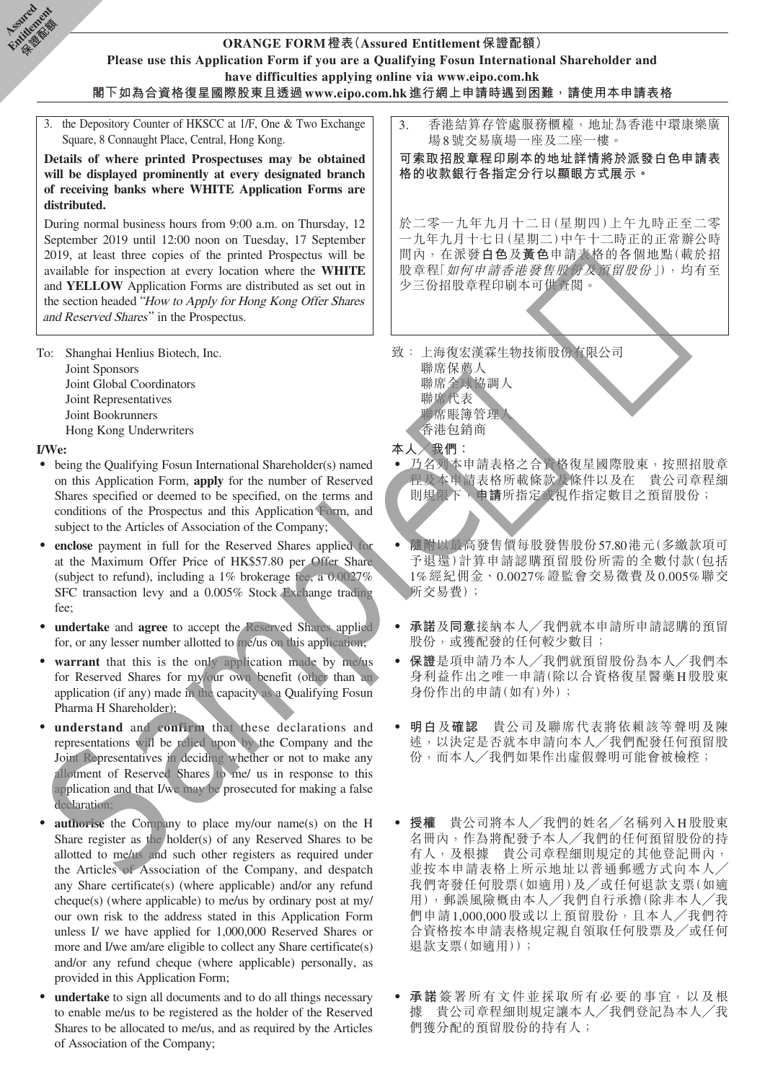

- **undertake** to sign all documents and to do all things necessary to enable me/us to be registered as the holder of the Reserved Shares to be allocated to me/us, and as required by the Articles of Association of the Company;
- ‧ **承諾**簽署所有文件並採取所有必要的事宜,以及根 據 貴公司章程細則規定讓本人╱我們登記為本人╱我 們獲分配的預留股份的持有人;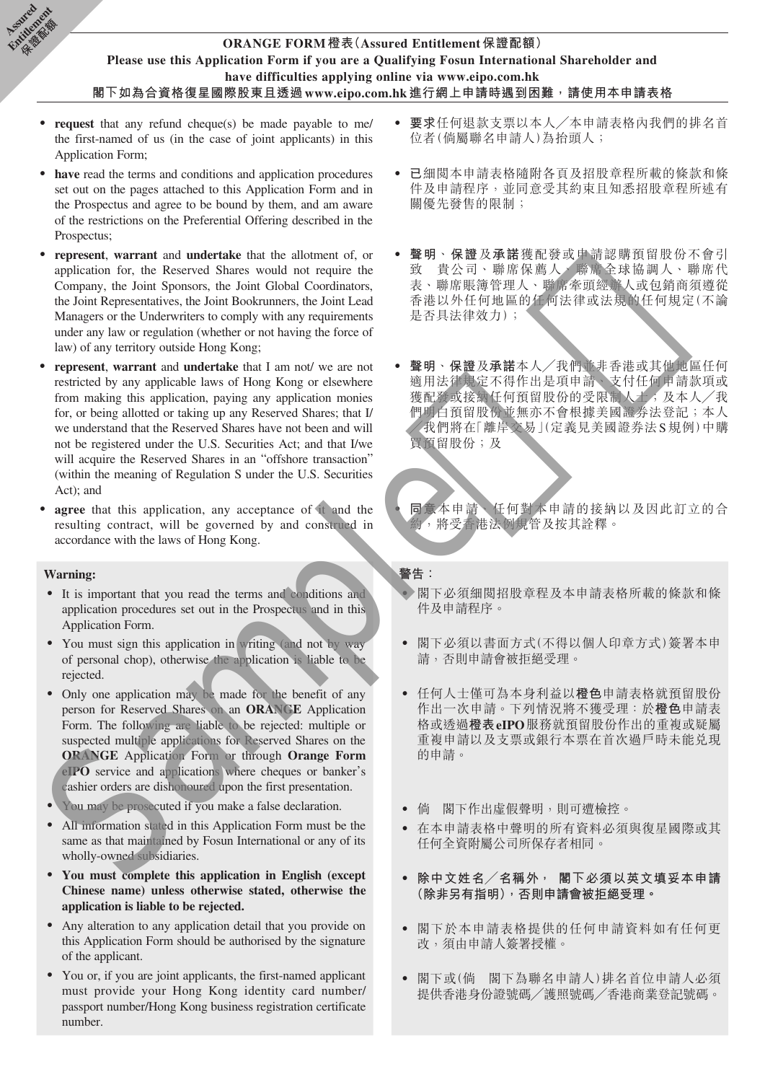

- **request** that any refund cheque(s) be made payable to me/ the first-named of us (in the case of joint applicants) in this Application Form;
- have read the terms and conditions and application procedures set out on the pages attached to this Application Form and in the Prospectus and agree to be bound by them, and am aware of the restrictions on the Preferential Offering described in the Prospectus;
- ‧ **represent**, **warrant** and **undertake** that the allotment of, or application for, the Reserved Shares would not require the Company, the Joint Sponsors, the Joint Global Coordinators, the Joint Representatives, the Joint Bookrunners, the Joint Lead Managers or the Underwriters to comply with any requirements under any law or regulation (whether or not having the force of law) of any territory outside Hong Kong;
- represent, warrant and **undertake** that I am not/ we are not restricted by any applicable laws of Hong Kong or elsewhere from making this application, paying any application monies for, or being allotted or taking up any Reserved Shares; that I/ we understand that the Reserved Shares have not been and will not be registered under the U.S. Securities Act; and that I/we will acquire the Reserved Shares in an "offshore transaction" (within the meaning of Regulation S under the U.S. Securities Act); and Company, the Ioni Spawser, the Lond Counter of the Markovices of the Construction of the Sample of the Construction of the Sample of the Sample of the Sample of the Sample of the Sample of the Sample of the Sample of the
- agree that this application, any acceptance of it and the resulting contract, will be governed by and construed in accordance with the laws of Hong Kong.

#### **Warning:**

**Assimed** Entitlement **Children** 

- ‧ It is important that you read the terms and conditions and application procedures set out in the Prospectus and in this Application Form.
- You must sign this application in writing (and not by way of personal chop), otherwise the application is liable to be rejected.
- Only one application may be made for the benefit of any person for Reserved Shares on an **ORANGE** Application Form. The following are liable to be rejected: multiple or suspected multiple applications for Reserved Shares on the **ORANGE** Application Form or through **Orange Form eIPO** service and applications where cheques or banker's cashier orders are dishonoured upon the first presentation.
- You may be prosecuted if you make a false declaration.
- All information stated in this Application Form must be the same as that maintained by Fosun International or any of its wholly-owned subsidiaries.
- ‧ **You must complete this application in English (except Chinese name) unless otherwise stated, otherwise the application is liable to be rejected.**
- ‧ Any alteration to any application detail that you provide on this Application Form should be authorised by the signature of the applicant.
- ‧ You or, if you are joint applicants, the first-named applicant must provide your Hong Kong identity card number/ passport number/Hong Kong business registration certificate number.
- ‧ **要求**任何退款支票以本人╱本申請表格內我們的排名首 位者(倘屬聯名申請人)為抬頭人;
- 已細閱本申請表格隨附各頁及招股章程所載的條款和條 件及申請程序,並同意受其約束且知悉招股章程所述有 關優先發售的限制;
- ‧ **聲明**、**保證**及**承諾**獲配發或申請認購預留股份不會引 致 貴公司、聯席保薦人、聯席全球協調人、聯席代 表、聯席賬簿管理人、聯席牽頭經辦人或包銷商須遵從 香港以外任何地區的任何法律或法規的任何規定(不論 是否具法律效力);
- ‧ **聲明**、**保證**及**承諾**本人╱我們並非香港或其他地區任何 適用法律規定不得作出是項申請、支付任何申請款項或 獲配發或接納任何預留股份的受限制人士;及本人/我 們明白預留股份並無亦不會根據美國證券法登記;本人 ╱我們將在「離岸交易」(定義見美國證券法S規例)中購 買預留股份;及

‧ **同意**本申請、任何對本申請的接納以及因此訂立的合 約,將受香港法例規管及按其詮釋。

#### **警告:**

- 閣下必須細閲招股章程及本申請表格所載的條款和條 件及申請程序。
- ‧ 閣下必須以書面方式(不得以個人印章方式)簽署本申 請,否則申請會被拒絕受理。
- ‧ 任何人士僅可為本身利益以**橙色**申請表格就預留股份 作出一次申請。下列情況將不獲受理:於**橙色**申請表 格或透過**橙表eIPO**服務就預留股份作出的重複或疑屬 重複申請以及支票或銀行本票在首次過戶時未能兑現 的申請。
- 倘 閣下作出虛假聲明,則可遭檢控。
- ‧ 在本申請表格中聲明的所有資料必須與復星國際或其 任何全資附屬公司所保存者相同。
- ‧ **除中文姓名╱名稱外, 閣下必須以英文填妥本申請 (除非另有指明),否則申請會被拒絕受理。**
- ‧ 閣下於本申請表格提供的任何申請資料如有任何更 改,須由申請人簽署授權。
- ‧ 閣下或(倘 閣下為聯名申請人)排名首位申請人必須 提供香港身份證號碼╱護照號碼╱香港商業登記號碼。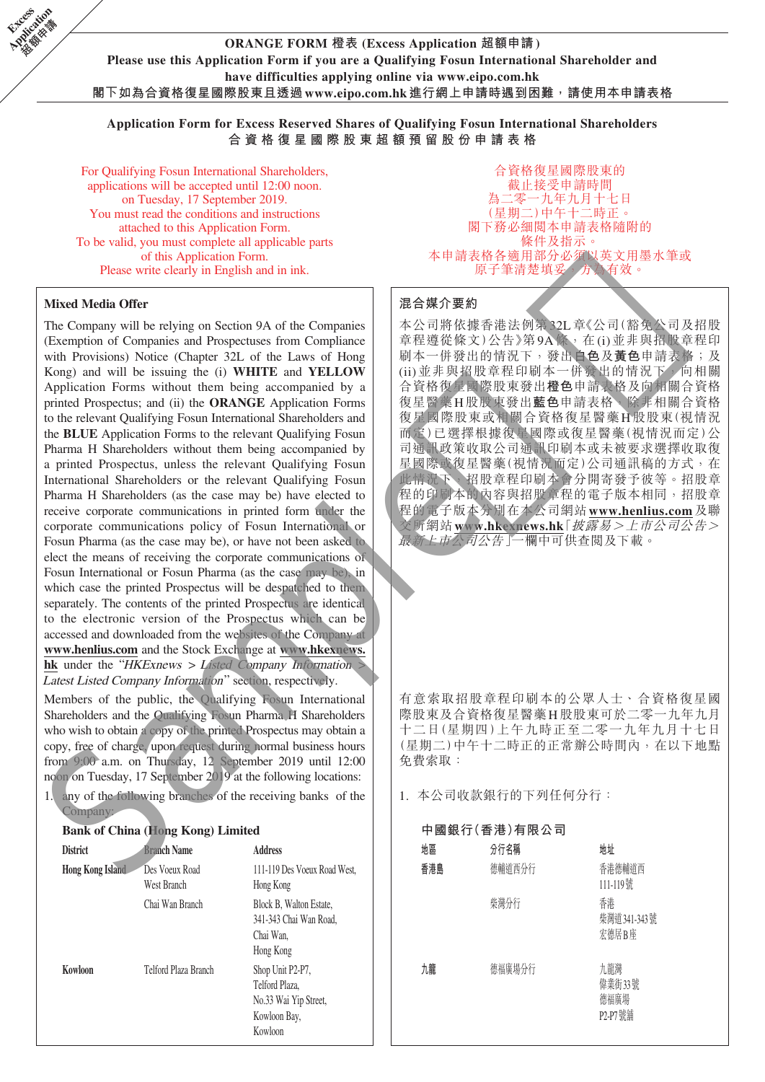

**Application Form for Excess Reserved Shares of Qualifying Fosun International Shareholders 合資格復星國際股東超額預留股份申請表格**

For Qualifying Fosun International Shareholders, applications will be accepted until 12:00 noon. on Tuesday, 17 September 2019. You must read the conditions and instructions attached to this Application Form. To be valid, you must complete all applicable parts of this Application Form. Please write clearly in English and in ink.

#### **Mixed Media Offer**

**Excess Application** 

> The Company will be relying on Section 9A of the Companies (Exemption of Companies and Prospectuses from Compliance with Provisions) Notice (Chapter 32L of the Laws of Hong Kong) and will be issuing the (i) **WHITE** and **YELLOW** Application Forms without them being accompanied by a printed Prospectus; and (ii) the **ORANGE** Application Forms to the relevant Qualifying Fosun International Shareholders and the **BLUE** Application Forms to the relevant Qualifying Fosun Pharma H Shareholders without them being accompanied by a printed Prospectus, unless the relevant Qualifying Fosun International Shareholders or the relevant Qualifying Fosun Pharma H Shareholders (as the case may be) have elected to receive corporate communications in printed form under the corporate communications policy of Fosun International or Fosun Pharma (as the case may be), or have not been asked to elect the means of receiving the corporate communications of Fosun International or Fosun Pharma (as the case may be), in which case the printed Prospectus will be despatched to them separately. The contents of the printed Prospectus are identical to the electronic version of the Prospectus which can be accessed and downloaded from the websites of the Company at **www.henlius.com** and the Stock Exchange at **www.hkexnews.** hk under the "HKExnews > Listed Company Information Latest Listed Company Information" section, respectively. Mixed Media Offer<br>
> The Computer of Schickers and of the Computer of  $\mathcal{R} \otimes \mathcal{R}$ <br>
> The Computer of Congression (see the Computer of Congress) from Computer<br>
> (Example of Computer of Departement of Department of Depart

Members of the public, the Qualifying Fosun International Shareholders and the Qualifying Fosun Pharma H Shareholders who wish to obtain a copy of the printed Prospectus may obtain a copy, free of charge, upon request during normal business hours from 9:00 a.m. on Thursday, 12 September 2019 until 12:00 noon on Tuesday, 17 September 2019 at the following locations:

1. any of the following branches of the receiving banks of the **Company** 

#### **Bank of China (Hong Kong) Limited**

| <b>District</b>         | <b>Branch Name</b>            | <b>Address</b>                                                                         |
|-------------------------|-------------------------------|----------------------------------------------------------------------------------------|
| <b>Hong Kong Island</b> | Des Voeux Road<br>West Branch | 111-119 Des Voeux Road West.<br>Hong Kong                                              |
|                         | Chai Wan Branch               | Block B, Walton Estate,<br>341-343 Chai Wan Road,<br>Chai Wan,<br>Hong Kong            |
| Kowloon                 | Telford Plaza Branch          | Shop Unit P2-P7,<br>Telford Plaza.<br>No.33 Wai Yip Street,<br>Kowloon Bay,<br>Kowloon |

合資格復星國際股東的 截止接受申請時間 為二零一九年九月十七日 (星期二)中午十二時正。 閣下務必細閱本申請表格隨附的 條件及指示。 本申請表格各適用部分必須以英文用墨水筆或 原子筆清楚填妥,方為有效。

#### **混合媒介要約**

本公司將依據香港法例第32L章《公司(豁免公司及招股 章程遵從條文)公告》第9A條, 在(i)並非與招股章程印 刷本一併發出的情況下,發出**白色**及**黃色**申請表格;及 (ii)並非與招股章程印刷本一併發出的情況下,向相關 合資格復星國際股東發出**橙色**申請表格及向相關合資格 復星醫藥H股股東發出**藍色**申請表格,除非相關合資格 復星國際股東或相關合資格復星醫藥H股股東(視情況 而定)已選擇根據復星國際或復星醫藥(視情況而定)公 司通訊政策收取公司通訊印刷本或未被要求選擇收取復 星國際或復星醫藥(視情況而定)公司通訊稿的方式,在 此情況下,招股章程印刷本會分開寄發予彼等。招股章 程的印刷本的內容與招股章程的電子版本相同,招股章 程的電子版本分別在本公司網站**www.henlius.com**及聯 交所網站**www.hkexnews.hk**「披露易>上市公司公告> 最新上市公司公告」一欄中可供查閱及下載。

有意索取招股章程印刷本的公眾人士、合資格復星國 際股東及合資格復星醫藥H股股東可於二零一九年九月 十二日(星期四)上午九時正至二零一九年九月十七日 (星期二)中午十二時正的正常辦公時間內,在以下地點 免費索取:

1. 本公司收款銀行的下列任何分行:

| 中國銀行(香港)有限公司 |        |                                  |  |  |  |  |
|--------------|--------|----------------------------------|--|--|--|--|
| 地區           | 分行名稱   | 地址                               |  |  |  |  |
| 香港島          | 德輔道西分行 | 香港德輔道西<br>111-119號               |  |  |  |  |
|              | 柴灣分行   | 香港<br>柴灣道 341-343號<br>宏德居B座      |  |  |  |  |
| 九龍           | 德福廣場分行 | 九龍灣<br>偉業街33號<br>德福廣場<br>P2-P7號鋪 |  |  |  |  |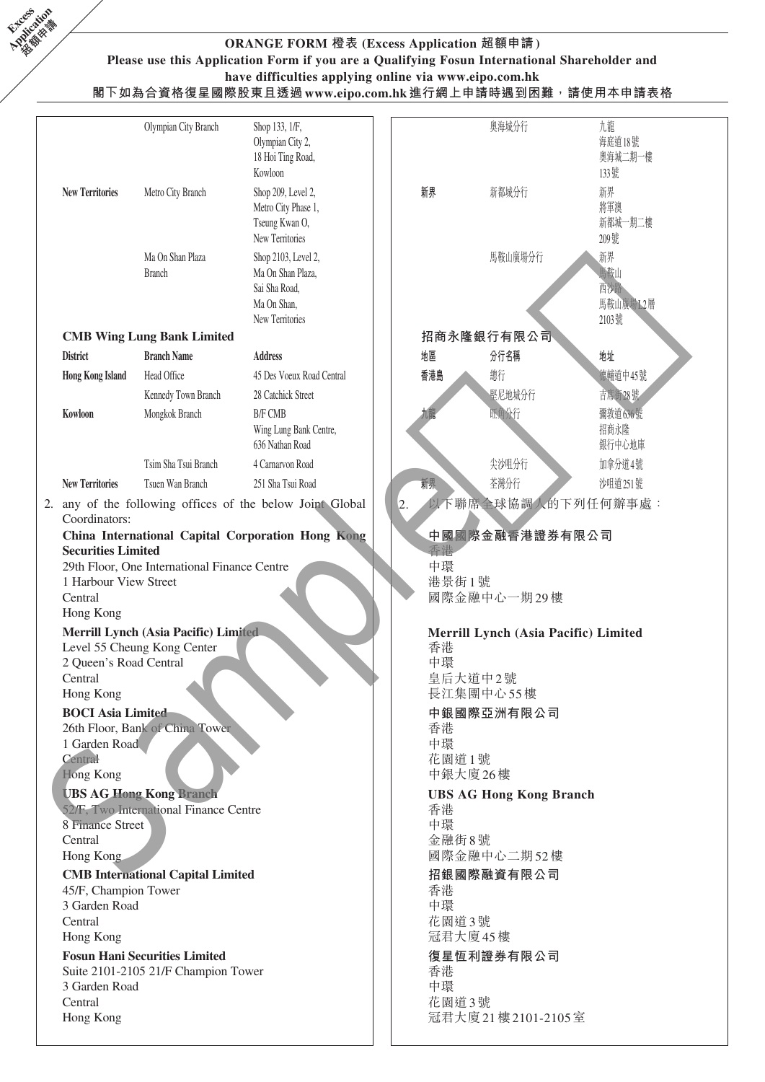

# **ORANGE FORM 橙表 (Excess Application 超額申請) Please use this Application Form if you are a Qualifying Fosun International Shareholder and have difficulties applying online via www.eipo.com.hk**

**閣下如為合資格復星國際股東且透過www.eipo.com.hk進行網上申請時遇到困難,請使用本申請表格**

|                             | Olympian City Branch                                                | Shop 133, 1/F,<br>Olympian City 2,<br>18 Hoi Ting Road,<br>Kowloon                          |  |                                                           | 奧海城分行                          | 九龍<br>海庭道18號<br>奧海城二期一樓<br>133號       |  |  |  |
|-----------------------------|---------------------------------------------------------------------|---------------------------------------------------------------------------------------------|--|-----------------------------------------------------------|--------------------------------|---------------------------------------|--|--|--|
| <b>New Territories</b>      | Metro City Branch                                                   | Shop 209, Level 2,<br>Metro City Phase 1,<br>Tseung Kwan O,<br>New Territories              |  | 新界                                                        | 新都城分行                          | 新界<br>將軍澳<br>新都城一期二樓<br>209號          |  |  |  |
|                             | Ma On Shan Plaza<br><b>Branch</b>                                   | Shop 2103, Level 2,<br>Ma On Shan Plaza,<br>Sai Sha Road,<br>Ma On Shan,<br>New Territories |  |                                                           | 馬鞍山廣場分行                        | 新界<br>馬鞍山<br>西沙路<br>馬鞍山廣場L2層<br>2103號 |  |  |  |
|                             | <b>CMB Wing Lung Bank Limited</b>                                   |                                                                                             |  |                                                           | 招商永隆銀行有限公司                     |                                       |  |  |  |
| <b>District</b>             | <b>Branch Name</b>                                                  | <b>Address</b>                                                                              |  | 地區                                                        | 分行名稱                           | 地址                                    |  |  |  |
| <b>Hong Kong Island</b>     | Head Office                                                         | 45 Des Voeux Road Central                                                                   |  | 香港島                                                       | 總行                             | 德輔道中45號                               |  |  |  |
|                             | Kennedy Town Branch                                                 | 28 Catchick Street                                                                          |  |                                                           | 堅尼地城分行                         | 吉席街28號                                |  |  |  |
| Kowloon                     | Mongkok Branch                                                      | <b>B/F CMB</b>                                                                              |  | 九龍                                                        | 旺角分行                           | 彌敦道636號                               |  |  |  |
|                             |                                                                     | Wing Lung Bank Centre,<br>636 Nathan Road                                                   |  |                                                           |                                | 招商永隆<br>銀行中心地庫                        |  |  |  |
|                             | Tsim Sha Tsui Branch                                                | 4 Carnarvon Road                                                                            |  |                                                           | 尖沙咀分行                          | 加拿分道4號                                |  |  |  |
| <b>New Territories</b>      | Tsuen Wan Branch                                                    | 251 Sha Tsui Road                                                                           |  | 新界                                                        | 荃灣分行                           | 沙咀道251號                               |  |  |  |
|                             |                                                                     | 2. any of the following offices of the below Joint Clobal                                   |  |                                                           | 以下聯席全球協調人的下列任何辦事處:             |                                       |  |  |  |
| Coordinators:               |                                                                     |                                                                                             |  |                                                           |                                |                                       |  |  |  |
| <b>Securities Limited</b>   |                                                                     | China International Capital Corporation Hong Kong                                           |  | 杳港                                                        | 中國國際金融香港證券有限公司                 |                                       |  |  |  |
|                             | 29th Floor, One International Finance Centre                        |                                                                                             |  | 中環                                                        |                                |                                       |  |  |  |
| 1 Harbour View Street       |                                                                     |                                                                                             |  | 港景街1號                                                     |                                |                                       |  |  |  |
| Central<br>Hong Kong        |                                                                     |                                                                                             |  | 國際金融中心一期29樓<br>Merrill Lynch (Asia Pacific) Limited<br>香港 |                                |                                       |  |  |  |
|                             | Merrill Lynch (Asia Pacific) Limited<br>Level 55 Cheung Kong Center |                                                                                             |  |                                                           |                                |                                       |  |  |  |
| 2 Queen's Road Central      |                                                                     |                                                                                             |  | 中環                                                        |                                |                                       |  |  |  |
| Central<br>Hong Kong        |                                                                     |                                                                                             |  |                                                           | 皇后大道中2號<br>長江集團中心55樓           |                                       |  |  |  |
| <b>BOCI</b> Asia Limited    |                                                                     |                                                                                             |  | 中銀國際亞洲有限公司                                                |                                |                                       |  |  |  |
| 1 Garden Road               | 26th Floor, Bank of China Tower                                     |                                                                                             |  | 香港<br>中環                                                  |                                |                                       |  |  |  |
| Central                     |                                                                     |                                                                                             |  | 花園道1號                                                     |                                |                                       |  |  |  |
| Hong Kong                   |                                                                     |                                                                                             |  |                                                           | 中銀大廈 26樓                       |                                       |  |  |  |
|                             | <b>UBS AG Hong Kong Branch</b>                                      |                                                                                             |  |                                                           | <b>UBS AG Hong Kong Branch</b> |                                       |  |  |  |
|                             | 52/F, Two International Finance Centre                              |                                                                                             |  | 香港                                                        |                                |                                       |  |  |  |
| 8 Finance Street<br>Central |                                                                     |                                                                                             |  | 中環<br>金融街8號                                               |                                |                                       |  |  |  |
| Hong Kong                   |                                                                     |                                                                                             |  |                                                           | 國際金融中心二期52樓                    |                                       |  |  |  |
|                             | <b>CMB</b> International Capital Limited                            |                                                                                             |  |                                                           | 招銀國際融資有限公司                     |                                       |  |  |  |
| 45/F, Champion Tower        |                                                                     |                                                                                             |  | 香港                                                        |                                |                                       |  |  |  |
| 3 Garden Road               |                                                                     |                                                                                             |  | 中環                                                        |                                |                                       |  |  |  |
| Central<br>Hong Kong        |                                                                     |                                                                                             |  | 花園道3號                                                     | 冠君大廈45樓                        |                                       |  |  |  |
|                             | <b>Fosun Hani Securities Limited</b>                                |                                                                                             |  |                                                           | 復星恆利證券有限公司                     |                                       |  |  |  |
|                             | Suite 2101-2105 21/F Champion Tower                                 |                                                                                             |  | 香港                                                        |                                |                                       |  |  |  |
| 3 Garden Road               |                                                                     |                                                                                             |  | 中環                                                        |                                |                                       |  |  |  |
| Central                     |                                                                     |                                                                                             |  | 花園道3號                                                     |                                |                                       |  |  |  |
| Hong Kong                   |                                                                     |                                                                                             |  |                                                           | 冠君大廈21樓2101-2105室              |                                       |  |  |  |
|                             |                                                                     |                                                                                             |  |                                                           |                                |                                       |  |  |  |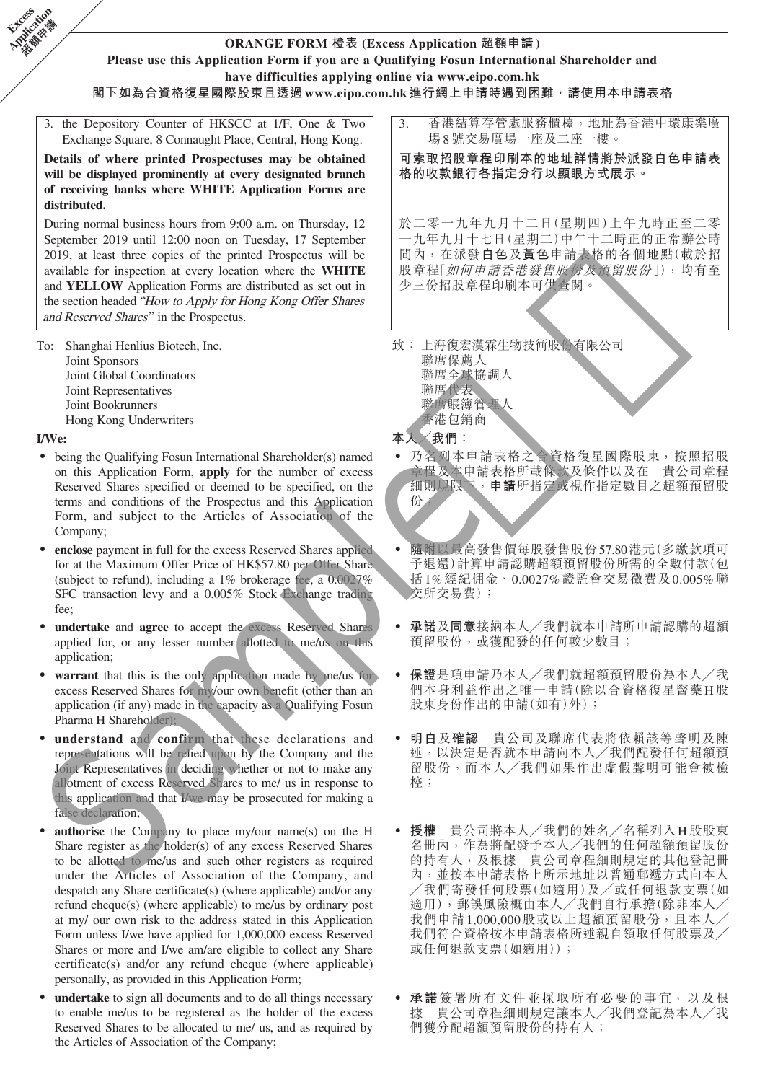

Hong Kong Underwriters

#### **I/We:**

**Excess** 

- being the Qualifying Fosun International Shareholder(s) named on this Application Form, **apply** for the number of excess Reserved Shares specified or deemed to be specified, on the terms and conditions of the Prospectus and this Application Form, and subject to the Articles of Association of the Company;
- enclose payment in full for the excess Reserved Shares applied for at the Maximum Offer Price of HK\$57.80 per Offer Share (subject to refund), including a 1% brokerage fee, a 0.0027% SFC transaction levy and a 0.005% Stock Exchange trading fee;
- undertake and agree to accept the excess Reserved Shares applied for, or any lesser number allotted to me/us on this application:
- warrant that this is the only application made by me/us for excess Reserved Shares for my/our own benefit (other than an application (if any) made in the capacity as a Qualifying Fosun Pharma H Shareholder);
- understand and confirm that these declarations and representations will be relied upon by the Company and the Joint Representatives in deciding whether or not to make any allotment of excess Reserved Shares to me/ us in response to this application and that I/we may be prosecuted for making a false declaration;
- **authorise** the Company to place my/our name(s) on the H Share register as the holder(s) of any excess Reserved Shares to be allotted to me/us and such other registers as required under the Articles of Association of the Company, and despatch any Share certificate(s) (where applicable) and/or any refund cheque(s) (where applicable) to me/us by ordinary post at my/ our own risk to the address stated in this Application Form unless I/we have applied for 1,000,000 excess Reserved Shares or more and I/we am/are eligible to collect any Share certificate(s) and/or any refund cheque (where applicable) personally, as provided in this Application Form;
- undertake to sign all documents and to do all things necessary to enable me/us to be registered as the holder of the excess Reserved Shares to be allocated to me/ us, and as required by the Articles of Association of the Company;
- 聯席賬簿管理人 香港包銷商
- **本人╱我們:**
- ‧ 乃名列本申請表格之合資格復星國際股東,按照招股 章程及本申請表格所載條款及條件以及在 貴公司章程 細則規限下,**申請**所指定或視作指定數目之超額預留股 份;
- ‧ **隨附**以最高發售價每股發售股份57.80港元(多繳款項可 予退還)計算申請認購超額預留股份所需的全數付款(包 括1%經紀佣金、0.0027%證監會交易徵費及0.005%聯 交所交易費);
- ‧ **承諾**及**同意**接納本人╱我們就本申請所申請認購的超額 預留股份,或獲配發的任何較少數目;
- ‧ **保證**是項申請乃本人╱我們就超額預留股份為本人╱我 們本身利益作出之唯一申請(除以合資格復星醫藥H股 股東身份作出的申請(如有)外);
- ‧ **明白**及**確認** 貴公司及聯席代表將依賴該等聲明及陳 述,以決定是否就本申請向本人╱我們配發任何超額預 留股份,而本人╱我們如果作出虛假聲明可能會被檢 椌;
- ‧ **授權** 貴公司將本人╱我們的姓名╱名稱列入H股股東 名冊內,作為將配發予本人╱我們的任何超額預留股份 的持有人,及根據 貴公司章程細則規定的其他登記冊 內,並按本申請表格上所示地址以普通郵遞方式向本人 ╱我們寄發任何股票(如適用)及╱或任何退款支票(如 適用),郵誤風險概由本人╱我們自行承擔(除非本人╱ 我們申請1,000,000股或以上超額預留股份,且本人 我們符合資格按本申請表格所述親自領取任何股票及 或任何退款支票(如適用));
- ‧ **承諾**簽署所有文件並採取所有必要的事宜,以及根 據 貴公司章程細則規定讓本人╱我們登記為本人╱我 們獲分配超額預留股份的持有人;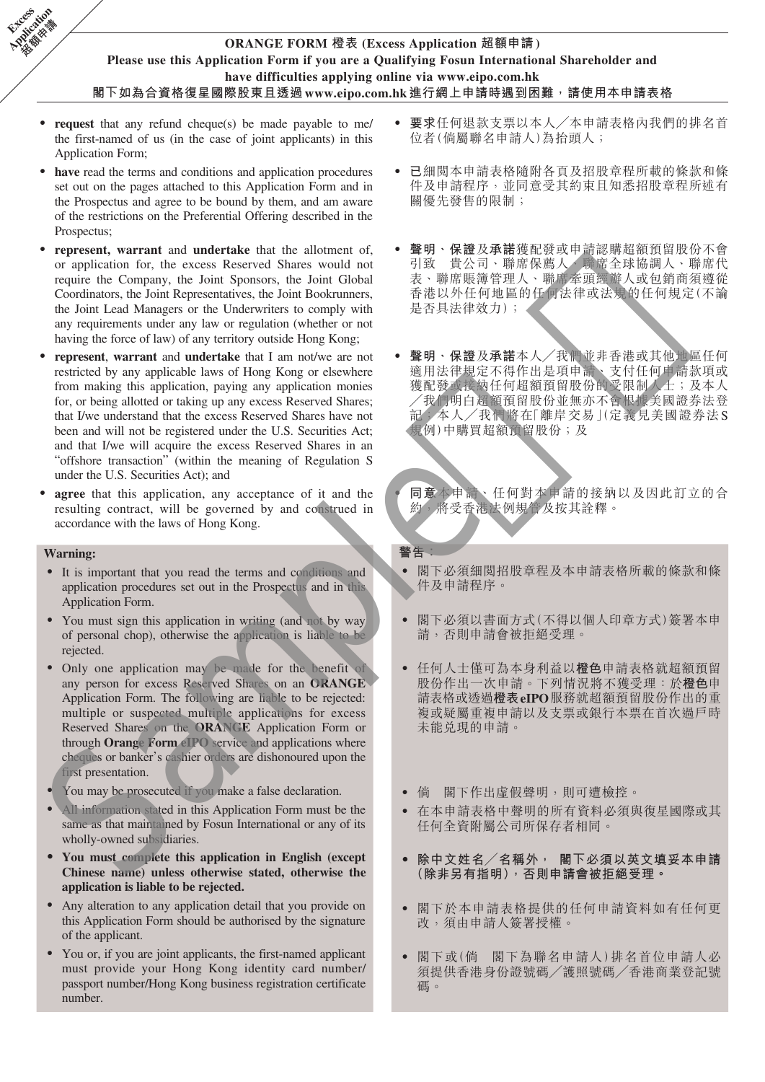# **ORANGE FORM 橙表 (Excess Application 超額申請) Please use this Application Form if you are a Qualifying Fosun International Shareholder and have difficulties applying online via www.eipo.com.hk 閣下如為合資格復星國際股東且透過www.eipo.com.hk進行網上申請時遇到困難,請使用本申請表格**

- ‧ **request** that any refund cheque(s) be made payable to me/ the first-named of us (in the case of joint applicants) in this Application Form;
- have read the terms and conditions and application procedures set out on the pages attached to this Application Form and in the Prospectus and agree to be bound by them, and am aware of the restrictions on the Preferential Offering described in the Prospectus;
- represent, warrant and undertake that the allotment of, or application for, the excess Reserved Shares would not require the Company, the Joint Sponsors, the Joint Global Coordinators, the Joint Representatives, the Joint Bookrunners, the Joint Lead Managers or the Underwriters to comply with any requirements under any law or regulation (whether or not having the force of law) of any territory outside Hong Kong;
- **represent**, **warrant** and **undertake** that I am not/we are not restricted by any applicable laws of Hong Kong or elsewhere from making this application, paying any application monies for, or being allotted or taking up any excess Reserved Shares; that I/we understand that the excess Reserved Shares have not been and will not be registered under the U.S. Securities Act; and that I/we will acquire the excess Reserved Shares in an "offshore transaction" (within the meaning of Regulation S under the U.S. Securities Act); and Conditiones, the both Keytometrics, the intervention of the properties of the same of the same of the same of the same of the same of the same of the same of the same of the same of the same of the same of the same of th
- **agree** that this application, any acceptance of it and the resulting contract, will be governed by and construed in accordance with the laws of Hong Kong.

#### **Warning:**

**Excess Application Called Man** 

- ‧ It is important that you read the terms and conditions and application procedures set out in the Prospectus and in this Application Form.
- You must sign this application in writing (and not by way of personal chop), otherwise the application is liable to be rejected.
- ‧ Only one application may be made for the benefit of any person for excess Reserved Shares on an **ORANGE** Application Form. The following are liable to be rejected: multiple or suspected multiple applications for excess Reserved Shares on the **ORANGE** Application Form or through **Orange Form eIPO** service and applications where cheques or banker's cashier orders are dishonoured upon the first presentation.
- You may be prosecuted if you make a false declaration.
- All information stated in this Application Form must be the same as that maintained by Fosun International or any of its wholly-owned subsidiaries.
- **‧ You must complete this application in English (except Chinese name) unless otherwise stated, otherwise the application is liable to be rejected.**
- ‧ Any alteration to any application detail that you provide on this Application Form should be authorised by the signature of the applicant.
- ‧ You or, if you are joint applicants, the first-named applicant must provide your Hong Kong identity card number/ passport number/Hong Kong business registration certificate number.
- ‧ **要求**任何退款支票以本人╱本申請表格內我們的排名首 位者(倘屬聯名申請人)為抬頭人;
- 已細閱本申請表格隨附各頁及招股章程所載的條款和條 件及申請程序,並同意受其約束且知悉招股章程所述有 關優先發售的限制;
- ‧ **聲明、保證**及**承諾**獲配發或申請認購超額預留股份不會 引致 貴公司、聯席保薦人、聯席全球協調人、聯席代 表、聯席賬簿管理人、聯席牽頭經辦人或包銷商須遵從 香港以外任何地區的任何法律或法規的任何規定(不論 是否具法律效力);
- ‧ **聲明、保證**及**承諾**本人╱我們並非香港或其他地區任何 適用法律規定不得作出是項申請、支付任何申請款項或 獲配發或接納任何超額預留股份的受限制人士;及本人 ╱我們明白超額預留股份並無亦不會根據美國證券法登 記;本人╱我們將在「離岸交易」(定義見美國證券法S 規例)中購買超額預留股份;及
	- 日意本申請、任何對本申請的接納以及因此訂立的合約,<br>約、將受香港法例規管及按其詮釋。 約,將受香港法例規管及按其詮釋。

**警告:**

- 閣下必須細閲招股章程及本申請表格所載的條款和條 件及申請程序。
- ‧ 閣下必須以書面方式(不得以個人印章方式)簽署本申 請,否則申請會被拒絕受理。
- ‧ 任何人士僅可為本身利益以**橙色**申請表格就超額預留 股份作出一次申請。下列情況將不獲受理:於**橙色**申 請表格或透過**橙表eIPO**服務就超額預留股份作出的重 複或疑屬重複申請以及支票或銀行本票在首次過戶時 未能兌現的申請。
- 倘 閣下作出虛假聲明,則可遭檢控。
- ‧ 在本申請表格中聲明的所有資料必須與復星國際或其 任何全資附屬公司所保存者相同。
- **‧ 除中文姓名╱名稱外, 閣下必須以英文填妥本申請 (除非另有指明),否則申請會被拒絕受理。**
- ‧ 閣下於本申請表格提供的任何申請資料如有任何更 改,須由申請人簽署授權。
- ‧ 閣下或(倘 閣下為聯名申請人)排名首位申請人必 須提供香港身份證號碼╱護照號碼╱香港商業登記號 碼。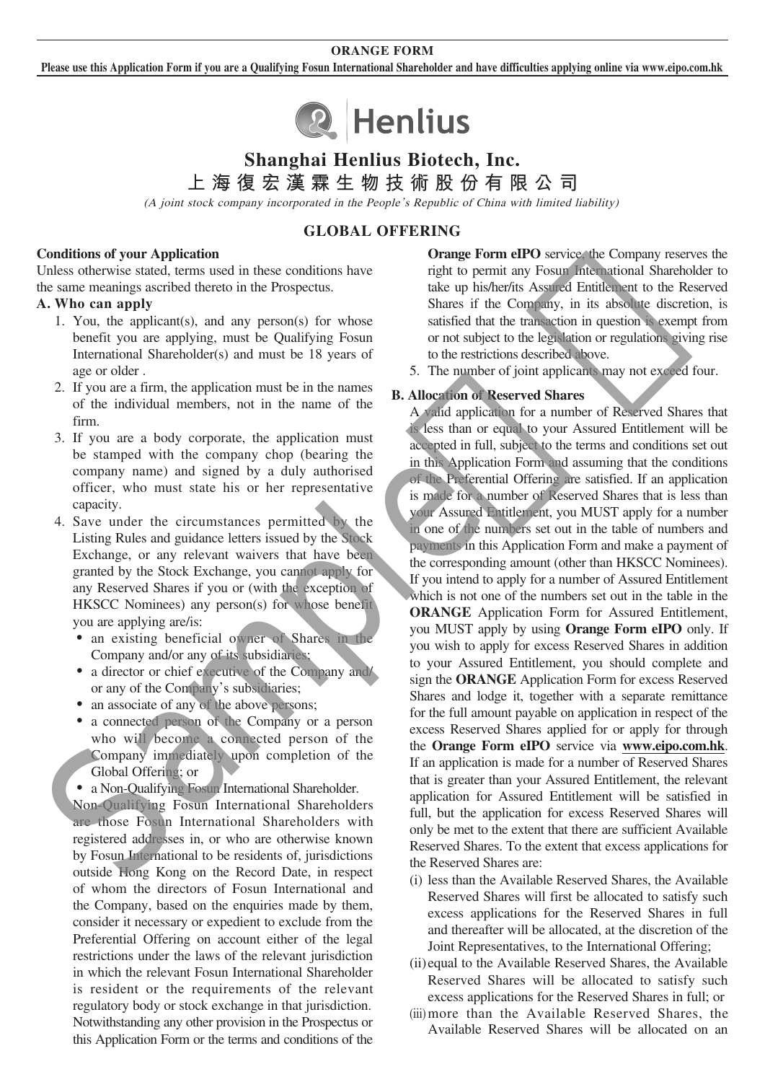#### **ORANGE FORM**

**Please use this Application Form if you are a Qualifying Fosun International Shareholder and have difficulties applying online via www.eipo.com.hk**



# **Shanghai Henlius Biotech, Inc.**

**上海復宏漢霖生物技術股份有限公司**

(A joint stock company incorporated in the People's Republic of China with limited liability)

# **GLOBAL OFFERING**

#### **Conditions of your Application**

Unless otherwise stated, terms used in these conditions have the same meanings ascribed thereto in the Prospectus.

#### **A. Who can apply**

- 1. You, the applicant(s), and any person(s) for whose benefit you are applying, must be Qualifying Fosun International Shareholder(s) and must be 18 years of age or older .
- 2. If you are a firm, the application must be in the names of the individual members, not in the name of the firm.
- 3. If you are a body corporate, the application must be stamped with the company chop (bearing the company name) and signed by a duly authorised officer, who must state his or her representative capacity.
- 4. Save under the circumstances permitted by the Listing Rules and guidance letters issued by the Stock Exchange, or any relevant waivers that have been granted by the Stock Exchange, you cannot apply for any Reserved Shares if you or (with the exception of HKSCC Nominees) any person(s) for whose benefit you are applying are/is:
	- an existing beneficial owner of Shares in the Company and/or any of its subsidiaries;
	- a director or chief executive of the Company and/ or any of the Company's subsidiaries;
	- an associate of any of the above persons;
	- ‧ a connected person of the Company or a person who will become a connected person of the Company immediately upon completion of the Global Offering; or
	- a Non-Qualifying Fosun International Shareholder.

 Non-Qualifying Fosun International Shareholders are those Fosun International Shareholders with registered addresses in, or who are otherwise known by Fosun International to be residents of, jurisdictions outside Hong Kong on the Record Date, in respect of whom the directors of Fosun International and the Company, based on the enquiries made by them, consider it necessary or expedient to exclude from the Preferential Offering on account either of the legal restrictions under the laws of the relevant jurisdiction in which the relevant Fosun International Shareholder is resident or the requirements of the relevant regulatory body or stock exchange in that jurisdiction. Notwithstanding any other provision in the Prospectus or this Application Form or the terms and conditions of the

**Orange Form eIPO** service, the Company reserves the right to permit any Fosun International Shareholder to take up his/her/its Assured Entitlement to the Reserved Shares if the Company, in its absolute discretion, is satisfied that the transaction in question is exempt from or not subject to the legislation or regulations giving rise to the restrictions described above.

5. The number of joint applicants may not exceed four.

#### **B. Allocation of Reserved Shares**

 A valid application for a number of Reserved Shares that is less than or equal to your Assured Entitlement will be accepted in full, subject to the terms and conditions set out in this Application Form and assuming that the conditions of the Preferential Offering are satisfied. If an application is made for a number of Reserved Shares that is less than your Assured Entitlement, you MUST apply for a number in one of the numbers set out in the table of numbers and payments in this Application Form and make a payment of the corresponding amount (other than HKSCC Nominees). If you intend to apply for a number of Assured Entitlement which is not one of the numbers set out in the table in the **ORANGE** Application Form for Assured Entitlement, you MUST apply by using **Orange Form eIPO** only. If you wish to apply for excess Reserved Shares in addition to your Assured Entitlement, you should complete and sign the **ORANGE** Application Form for excess Reserved Shares and lodge it, together with a separate remittance for the full amount payable on application in respect of the excess Reserved Shares applied for or apply for through the **Orange Form eIPO** service via **www.eipo.com.hk**. If an application is made for a number of Reserved Shares that is greater than your Assured Entitlement, the relevant application for Assured Entitlement will be satisfied in full, but the application for excess Reserved Shares will only be met to the extent that there are sufficient Available Reserved Shares. To the extent that excess applications for the Reserved Shares are: In same meaning accretion during the properties.<br>
A Who can apply the unit of the Company, in its absolute discussed in the second for the company shares if the Company, in its absolute discussion is considered in the bas

- (i) less than the Available Reserved Shares, the Available Reserved Shares will first be allocated to satisfy such excess applications for the Reserved Shares in full and thereafter will be allocated, at the discretion of the Joint Representatives, to the International Offering;
- (ii) equal to the Available Reserved Shares, the Available Reserved Shares will be allocated to satisfy such excess applications for the Reserved Shares in full; or
- (iii) more than the Available Reserved Shares, the Available Reserved Shares will be allocated on an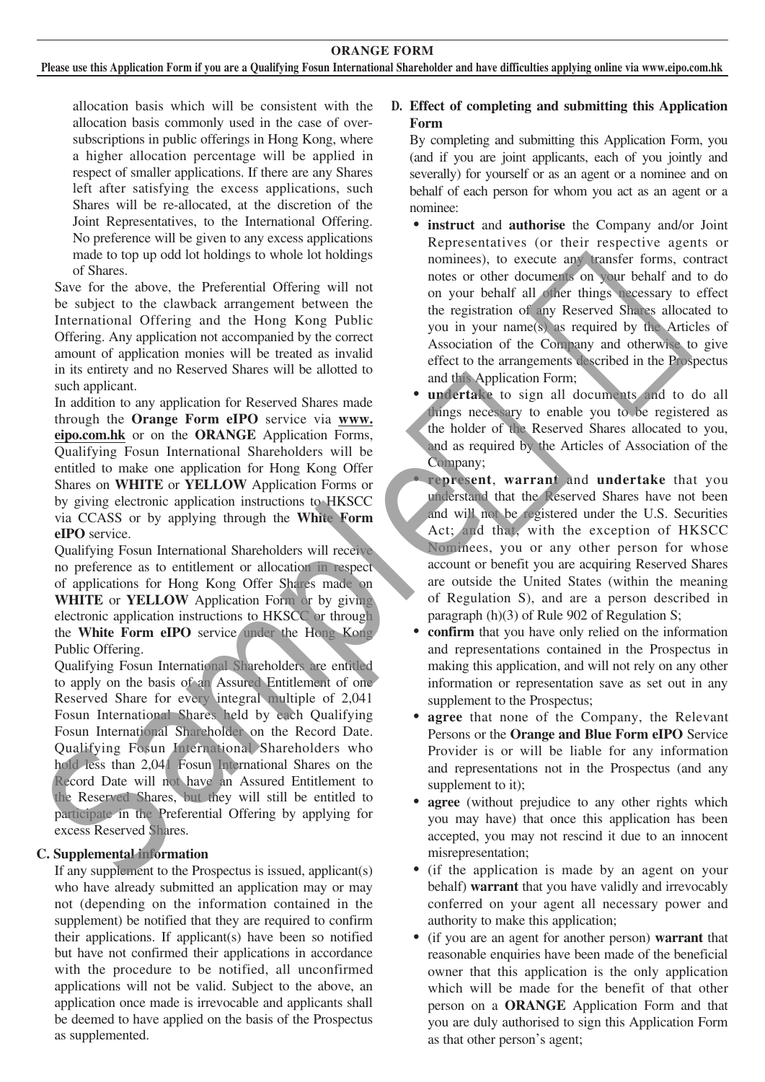allocation basis which will be consistent with the allocation basis commonly used in the case of oversubscriptions in public offerings in Hong Kong, where a higher allocation percentage will be applied in respect of smaller applications. If there are any Shares left after satisfying the excess applications, such Shares will be re-allocated, at the discretion of the Joint Representatives, to the International Offering. No preference will be given to any excess applications made to top up odd lot holdings to whole lot holdings of Shares.

Save for the above, the Preferential Offering will not be subject to the clawback arrangement between the International Offering and the Hong Kong Public Offering. Any application not accompanied by the correct amount of application monies will be treated as invalid in its entirety and no Reserved Shares will be allotted to such applicant.

In addition to any application for Reserved Shares made through the **Orange Form eIPO** service via **www. eipo.com.hk** or on the **ORANGE** Application Forms, Qualifying Fosun International Shareholders will be entitled to make one application for Hong Kong Offer Shares on **WHITE** or **YELLOW** Application Forms or by giving electronic application instructions to HKSCC via CCASS or by applying through the **White Form eIPO** service.

Qualifying Fosun International Shareholders will receive no preference as to entitlement or allocation in respect of applications for Hong Kong Offer Shares made on **WHITE** or **YELLOW** Application Form or by giving electronic application instructions to HKSCC or through the **White Form eIPO** service under the Hong Kong Public Offering.

Qualifying Fosun International Shareholders are entitled to apply on the basis of an Assured Entitlement of one Reserved Share for every integral multiple of 2,041 Fosun International Shares held by each Qualifying Fosun International Shareholder on the Record Date. Qualifying Fosun International Shareholders who hold less than 2,041 Fosun International Shares on the Record Date will not have an Assured Entitlement to the Reserved Shares, but they will still be entitled to participate in the Preferential Offering by applying for excess Reserved Shares. Save for the islove, the Preferencial of Fermionial of the studient and the Hoppe and the Hoppe Line alternation of the Studient and the Hoppe Line (in the Hoppe Line and The Couplary and otherwise to the control of the c

## **C. Supplemental information**

If any supplement to the Prospectus is issued, applicant(s) who have already submitted an application may or may not (depending on the information contained in the supplement) be notified that they are required to confirm their applications. If applicant(s) have been so notified but have not confirmed their applications in accordance with the procedure to be notified, all unconfirmed applications will not be valid. Subject to the above, an application once made is irrevocable and applicants shall be deemed to have applied on the basis of the Prospectus as supplemented.

# **D. Effect of completing and submitting this Application Form**

By completing and submitting this Application Form, you (and if you are joint applicants, each of you jointly and severally) for yourself or as an agent or a nominee and on behalf of each person for whom you act as an agent or a nominee:

- ‧ **instruct** and **authorise** the Company and/or Joint Representatives (or their respective agents or nominees), to execute any transfer forms, contract notes or other documents on your behalf and to do on your behalf all other things necessary to effect the registration of any Reserved Shares allocated to you in your name(s) as required by the Articles of Association of the Company and otherwise to give effect to the arrangements described in the Prospectus and this Application Form;
- undertake to sign all documents and to do all things necessary to enable you to be registered as the holder of the Reserved Shares allocated to you, and as required by the Articles of Association of the Company;
- ‧ **represent**, **warrant** and **undertake** that you understand that the Reserved Shares have not been and will not be registered under the U.S. Securities Act; and that, with the exception of HKSCC Nominees, you or any other person for whose account or benefit you are acquiring Reserved Shares are outside the United States (within the meaning of Regulation S), and are a person described in paragraph (h)(3) of Rule 902 of Regulation S;
- **confirm** that you have only relied on the information and representations contained in the Prospectus in making this application, and will not rely on any other information or representation save as set out in any supplement to the Prospectus:
- **agree** that none of the Company, the Relevant Persons or the **Orange and Blue Form eIPO** Service Provider is or will be liable for any information and representations not in the Prospectus (and any supplement to it):
- **agree** (without prejudice to any other rights which you may have) that once this application has been accepted, you may not rescind it due to an innocent misrepresentation;
- ‧ (if the application is made by an agent on your behalf) **warrant** that you have validly and irrevocably conferred on your agent all necessary power and authority to make this application;
- ‧ (if you are an agent for another person) **warrant** that reasonable enquiries have been made of the beneficial owner that this application is the only application which will be made for the benefit of that other person on a **ORANGE** Application Form and that you are duly authorised to sign this Application Form as that other person's agent;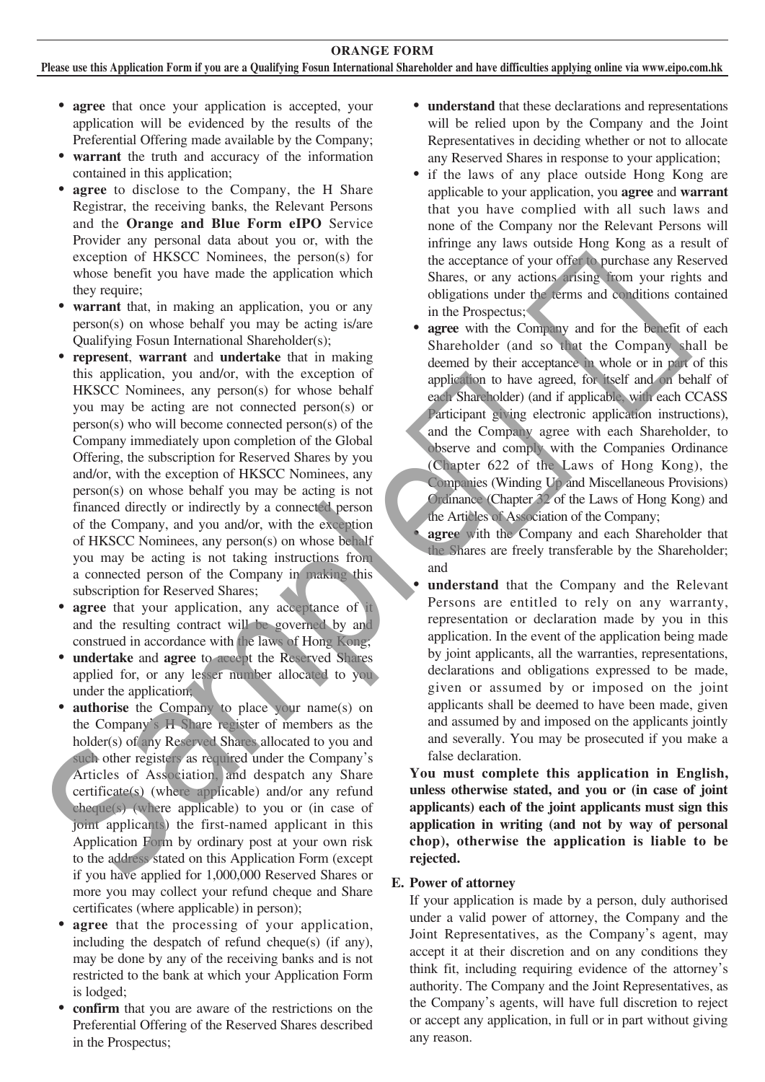**ORANGE FORM**

**Please use this Application Form if you are a Qualifying Fosun International Shareholder and have difficulties applying online via www.eipo.com.hk**

- **agree** that once your application is accepted, your application will be evidenced by the results of the Preferential Offering made available by the Company;
- ‧ **warrant** the truth and accuracy of the information contained in this application;
- agree to disclose to the Company, the H Share Registrar, the receiving banks, the Relevant Persons and the **Orange and Blue Form eIPO** Service Provider any personal data about you or, with the exception of HKSCC Nominees, the person(s) for whose benefit you have made the application which they require;
- **warrant** that, in making an application, you or any person(s) on whose behalf you may be acting is/are Qualifying Fosun International Shareholder(s);
- **represent**, **warrant** and **undertake** that in making this application, you and/or, with the exception of HKSCC Nominees, any person(s) for whose behalf you may be acting are not connected person(s) or person(s) who will become connected person(s) of the Company immediately upon completion of the Global Offering, the subscription for Reserved Shares by you and/or, with the exception of HKSCC Nominees, any person(s) on whose behalf you may be acting is not financed directly or indirectly by a connected person of the Company, and you and/or, with the exception of HKSCC Nominees, any person(s) on whose behalf you may be acting is not taking instructions from a connected person of the Company in making this subscription for Reserved Shares; For perturbing the photon of the same of the same of the same of the same of the same of the same of the same of the same of the same of the same of the same of the same of the same of the same of the same of the same of
	- **agree** that your application, any acceptance of it and the resulting contract will be governed by and construed in accordance with the laws of Hong Kong;
	- ‧ **undertake** and **agree** to accept the Reserved Shares applied for, or any lesser number allocated to you under the application;
	- **authorise** the Company to place your name(s) on the Company's H Share register of members as the holder(s) of any Reserved Shares allocated to you and such other registers as required under the Company's Articles of Association, and despatch any Share certificate(s) (where applicable) and/or any refund cheque(s) (where applicable) to you or (in case of joint applicants) the first-named applicant in this Application Form by ordinary post at your own risk to the address stated on this Application Form (except if you have applied for 1,000,000 Reserved Shares or more you may collect your refund cheque and Share certificates (where applicable) in person);
	- **agree** that the processing of your application, including the despatch of refund cheque(s) (if any), may be done by any of the receiving banks and is not restricted to the bank at which your Application Form is lodged;
	- **confirm** that you are aware of the restrictions on the Preferential Offering of the Reserved Shares described in the Prospectus;
- ‧ **understand** that these declarations and representations will be relied upon by the Company and the Joint Representatives in deciding whether or not to allocate any Reserved Shares in response to your application;
- ‧ if the laws of any place outside Hong Kong are applicable to your application, you **agree** and **warrant** that you have complied with all such laws and none of the Company nor the Relevant Persons will infringe any laws outside Hong Kong as a result of the acceptance of your offer to purchase any Reserved Shares, or any actions arising from your rights and obligations under the terms and conditions contained in the Prospectus;
- agree with the Company and for the benefit of each Shareholder (and so that the Company shall be deemed by their acceptance in whole or in part of this application to have agreed, for itself and on behalf of each Shareholder) (and if applicable, with each CCASS Participant giving electronic application instructions), and the Company agree with each Shareholder, to observe and comply with the Companies Ordinance (Chapter 622 of the Laws of Hong Kong), the Companies (Winding Up and Miscellaneous Provisions) Ordinance (Chapter 32 of the Laws of Hong Kong) and the Articles of Association of the Company;

**agree** with the Company and each Shareholder that the Shares are freely transferable by the Shareholder; and

understand that the Company and the Relevant Persons are entitled to rely on any warranty, representation or declaration made by you in this application. In the event of the application being made by joint applicants, all the warranties, representations, declarations and obligations expressed to be made, given or assumed by or imposed on the joint applicants shall be deemed to have been made, given and assumed by and imposed on the applicants jointly and severally. You may be prosecuted if you make a false declaration.

**You must complete this application in English, unless otherwise stated, and you or (in case of joint applicants) each of the joint applicants must sign this application in writing (and not by way of personal chop), otherwise the application is liable to be rejected.**

#### **E. Power of attorney**

If your application is made by a person, duly authorised under a valid power of attorney, the Company and the Joint Representatives, as the Company's agent, may accept it at their discretion and on any conditions they think fit, including requiring evidence of the attorney's authority. The Company and the Joint Representatives, as the Company's agents, will have full discretion to reject or accept any application, in full or in part without giving any reason.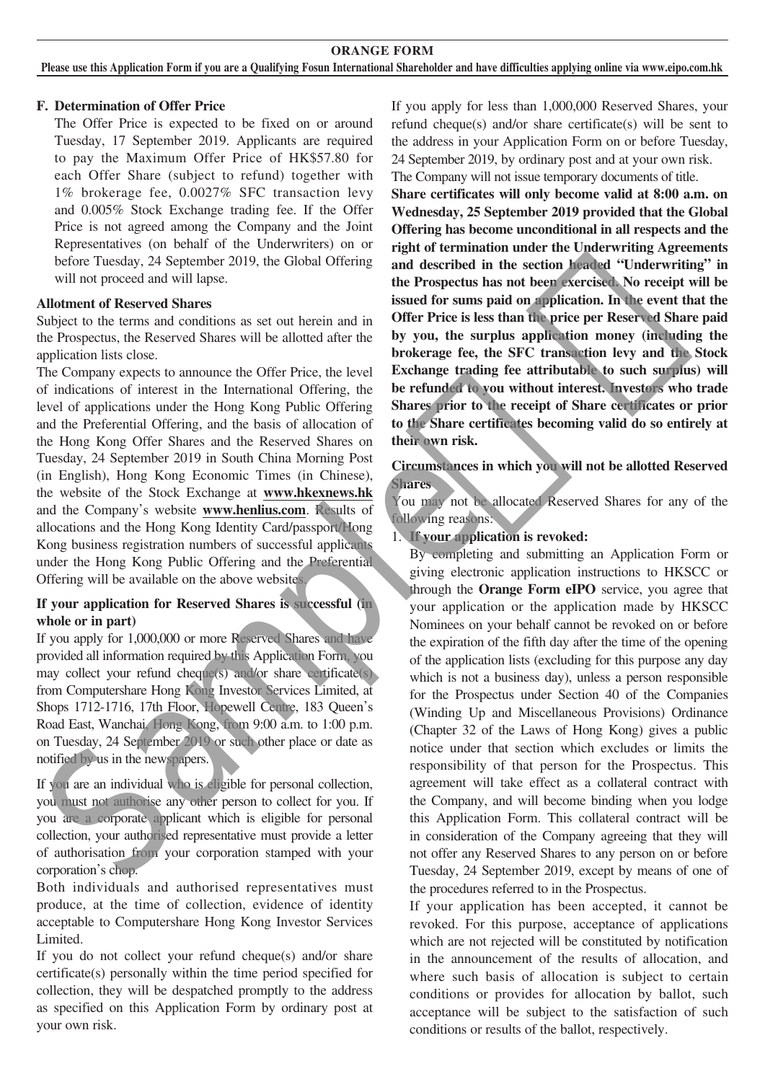#### **ORANGE FORM**

**Please use this Application Form if you are a Qualifying Fosun International Shareholder and have difficulties applying online via www.eipo.com.hk**

#### **F. Determination of Offer Price**

The Offer Price is expected to be fixed on or around Tuesday, 17 September 2019. Applicants are required to pay the Maximum Offer Price of HK\$57.80 for each Offer Share (subject to refund) together with 1% brokerage fee, 0.0027% SFC transaction levy and 0.005% Stock Exchange trading fee. If the Offer Price is not agreed among the Company and the Joint Representatives (on behalf of the Underwriters) on or before Tuesday, 24 September 2019, the Global Offering will not proceed and will lapse.

#### **Allotment of Reserved Shares**

Subject to the terms and conditions as set out herein and in the Prospectus, the Reserved Shares will be allotted after the application lists close.

The Company expects to announce the Offer Price, the level of indications of interest in the International Offering, the level of applications under the Hong Kong Public Offering and the Preferential Offering, and the basis of allocation of the Hong Kong Offer Shares and the Reserved Shares on Tuesday, 24 September 2019 in South China Morning Post (in English), Hong Kong Economic Times (in Chinese), the website of the Stock Exchange at **www.hkexnews.hk** and the Company's website **www.henlius.com**. Results of allocations and the Hong Kong Identity Card/passport/Hong Kong business registration numbers of successful applicants under the Hong Kong Public Offering and the Preferential Offering will be available on the above websites.

#### **If your application for Reserved Shares is successful (in whole or in part)**

If you apply for 1,000,000 or more Reserved Shares and have provided all information required by this Application Form, you may collect your refund cheque(s) and/or share certificate(s) from Computershare Hong Kong Investor Services Limited, at Shops 1712-1716, 17th Floor, Hopewell Centre, 183 Queen's Road East, Wanchai, Hong Kong, from 9:00 a.m. to 1:00 p.m. on Tuesday, 24 September 2019 or such other place or date as notified by us in the newspapers.

If you are an individual who is eligible for personal collection, you must not authorise any other person to collect for you. If you are a corporate applicant which is eligible for personal collection, your authorised representative must provide a letter of authorisation from your corporation stamped with your corporation's chop.

Both individuals and authorised representatives must produce, at the time of collection, evidence of identity acceptable to Computershare Hong Kong Investor Services Limited.

If you do not collect your refund cheque(s) and/or share certificate(s) personally within the time period specified for collection, they will be despatched promptly to the address as specified on this Application Form by ordinary post at your own risk.

If you apply for less than 1,000,000 Reserved Shares, your refund cheque(s) and/or share certificate(s) will be sent to the address in your Application Form on or before Tuesday, 24 September 2019, by ordinary post and at your own risk. The Company will not issue temporary documents of title.

**Share certificates will only become valid at 8:00 a.m. on Wednesday, 25 September 2019 provided that the Global Offering has become unconditional in all respects and the right of termination under the Underwriting Agreements and described in the section headed "Underwriting" in the Prospectus has not been exercised. No receipt will be issued for sums paid on application. In the event that the Offer Price is less than the price per Reserved Share paid by you, the surplus application money (including the brokerage fee, the SFC transaction levy and the Stock Exchange trading fee attributable to such surplus) will be refunded to you without interest. Investors who trade Shares prior to the receipt of Share certificates or prior to the Share certificates becoming valid do so entirely at their own risk.**

#### **Circumstances in which you will not be allotted Reserved Shares**

You may not be allocated Reserved Shares for any of the following reasons:

1. **If your application is revoked:**

By completing and submitting an Application Form or giving electronic application instructions to HKSCC or through the **Orange Form eIPO** service, you agree that your application or the application made by HKSCC Nominees on your behalf cannot be revoked on or before the expiration of the fifth day after the time of the opening of the application lists (excluding for this purpose any day which is not a business day), unless a person responsible for the Prospectus under Section 40 of the Companies (Winding Up and Miscellaneous Provisions) Ordinance (Chapter 32 of the Laws of Hong Kong) gives a public notice under that section which excludes or limits the responsibility of that person for the Prospectus. This agreement will take effect as a collateral contract with the Company, and will become binding when you lodge this Application Form. This collateral contract will be in consideration of the Company agreeing that they will not offer any Reserved Shares to any person on or before Tuesday, 24 September 2019, except by means of one of the procedures referred to in the Prospectus. Undurent of Reserved Shares<br>
Maturent of Reserved Shares<br>
Maturent of Reserved Shares<br>
issued for sums paid on application. In the cycle is the Haytonia<br>
information is controlled after the Dy you, the surplus application

> If your application has been accepted, it cannot be revoked. For this purpose, acceptance of applications which are not rejected will be constituted by notification in the announcement of the results of allocation, and where such basis of allocation is subject to certain conditions or provides for allocation by ballot, such acceptance will be subject to the satisfaction of such conditions or results of the ballot, respectively.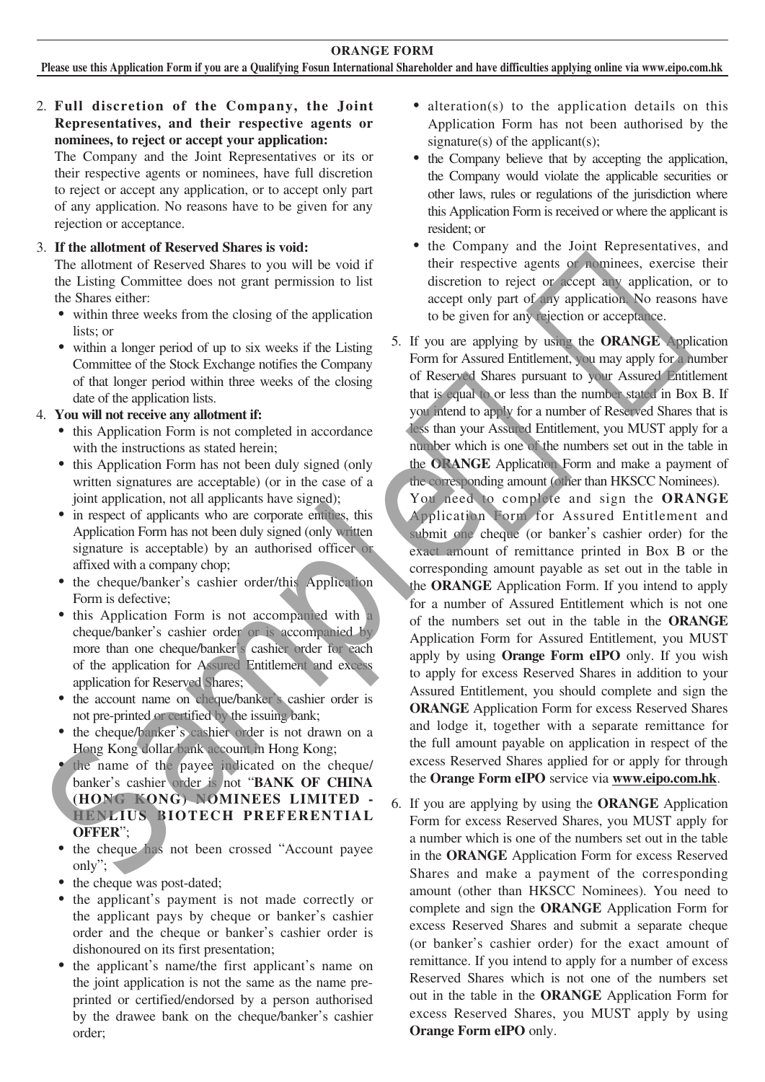### 2. **Full discretion of the Company, the Joint Representatives, and their respective agents or nominees, to reject or accept your application:**

The Company and the Joint Representatives or its or their respective agents or nominees, have full discretion to reject or accept any application, or to accept only part of any application. No reasons have to be given for any rejection or acceptance.

#### 3. **If the allotment of Reserved Shares is void:**

The allotment of Reserved Shares to you will be void if the Listing Committee does not grant permission to list the Shares either:

- within three weeks from the closing of the application lists; or
- within a longer period of up to six weeks if the Listing Committee of the Stock Exchange notifies the Company of that longer period within three weeks of the closing date of the application lists.

#### 4. **You will not receive any allotment if:**

- this Application Form is not completed in accordance with the instructions as stated herein;
- this Application Form has not been duly signed (only written signatures are acceptable) (or in the case of a joint application, not all applicants have signed);
- in respect of applicants who are corporate entities, this Application Form has not been duly signed (only written signature is acceptable) by an authorised officer or affixed with a company chop;
- the cheque/banker's cashier order/this Application Form is defective;
- ‧ this Application Form is not accompanied with a cheque/banker's cashier order or is accompanied by more than one cheque/banker's cashier order for each of the application for Assured Entitlement and excess application for Reserved Shares;
- the account name on cheque/banker's cashier order is not pre-printed or certified by the issuing bank;
- the cheque/banker's cashier order is not drawn on a Hong Kong dollar bank account in Hong Kong;
- the name of the payee indicated on the cheque/ banker's cashier order is not "**BANK OF CHINA (HONG KONG) NOMINEES LIMITED - HENLIUS BIOTECH PREFERENTIAL OFFER**";
- the cheque has not been crossed "Account payee only";
- the cheque was post-dated;
- the applicant's payment is not made correctly or the applicant pays by cheque or banker's cashier order and the cheque or banker's cashier order is dishonoured on its first presentation;
- ‧ the applicant's name/the first applicant's name on the joint application is not the same as the name preprinted or certified/endorsed by a person authorised by the drawee bank on the cheque/banker's cashier order;
- alteration(s) to the application details on this Application Form has not been authorised by the signature(s) of the applicant(s);
- ‧ the Company believe that by accepting the application, the Company would violate the applicable securities or other laws, rules or regulations of the jurisdiction where this Application Form is received or where the applicant is resident; or
- the Company and the Joint Representatives, and their respective agents or nominees, exercise their discretion to reject or accept any application, or to accept only part of any application. No reasons have to be given for any rejection or acceptance.
- 5. If you are applying by using the **ORANGE** Application Form for Assured Entitlement, you may apply for a number of Reserved Shares pursuant to your Assured Entitlement that is equal to or less than the number stated in Box B. If you intend to apply for a number of Reserved Shares that is less than your Assured Entitlement, you MUST apply for a number which is one of the numbers set out in the table in the **ORANGE** Application Form and make a payment of the corresponding amount (other than HKSCC Nominees).

You need to complete and sign the **ORANGE** Application Form for Assured Entitlement and submit one cheque (or banker's cashier order) for the exact amount of remittance printed in Box B or the corresponding amount payable as set out in the table in the **ORANGE** Application Form. If you intend to apply for a number of Assured Entitlement which is not one of the numbers set out in the table in the **ORANGE** Application Form for Assured Entitlement, you MUST apply by using **Orange Form eIPO** only. If you wish to apply for excess Reserved Shares in addition to your Assured Entitlement, you should complete and sign the **ORANGE** Application Form for excess Reserved Shares and lodge it, together with a separate remittance for the full amount payable on application in respect of the excess Reserved Shares applied for or apply for through the **Orange Form eIPO** service via **www.eipo.com.hk**. de Estany Commute was not given the measure of the control of the control of the control of the principle of the properties.<br>
The same of the control of the control of the control of the control of the control of the cont

6. If you are applying by using the **ORANGE** Application Form for excess Reserved Shares, you MUST apply for a number which is one of the numbers set out in the table in the **ORANGE** Application Form for excess Reserved Shares and make a payment of the corresponding amount (other than HKSCC Nominees). You need to complete and sign the **ORANGE** Application Form for excess Reserved Shares and submit a separate cheque (or banker's cashier order) for the exact amount of remittance. If you intend to apply for a number of excess Reserved Shares which is not one of the numbers set out in the table in the **ORANGE** Application Form for excess Reserved Shares, you MUST apply by using **Orange Form eIPO** only.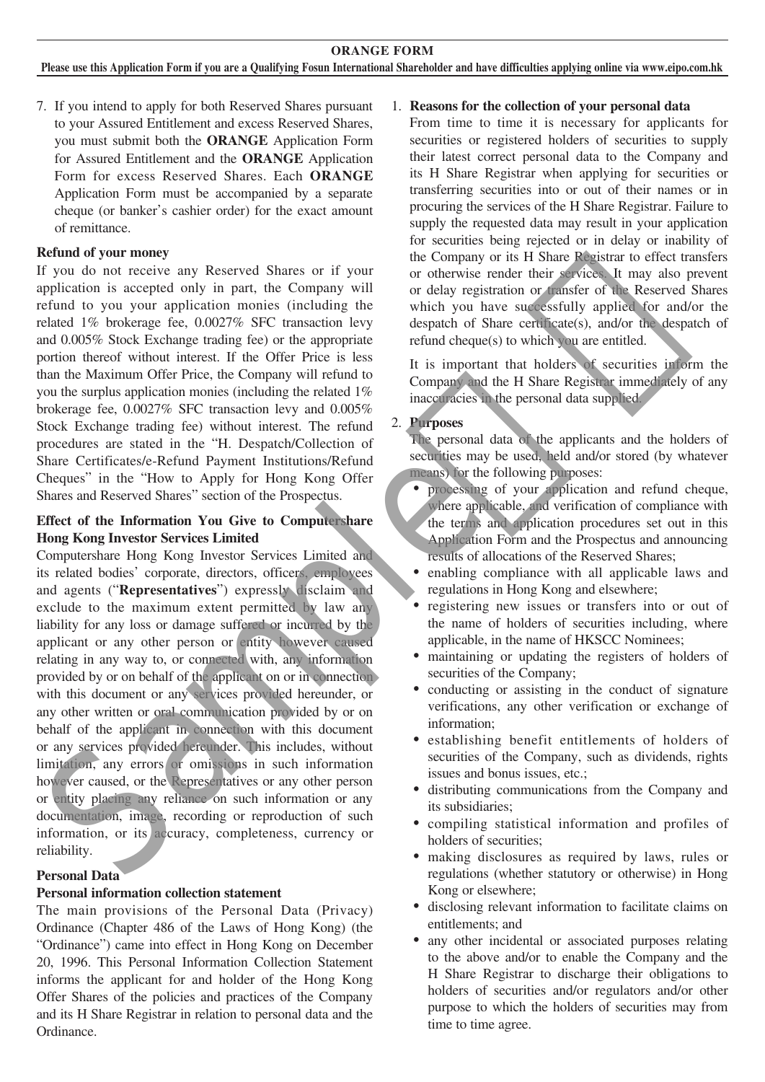7. If you intend to apply for both Reserved Shares pursuant to your Assured Entitlement and excess Reserved Shares, you must submit both the **ORANGE** Application Form for Assured Entitlement and the **ORANGE** Application Form for excess Reserved Shares. Each **ORANGE** Application Form must be accompanied by a separate cheque (or banker's cashier order) for the exact amount of remittance.

#### **Refund of your money**

If you do not receive any Reserved Shares or if your application is accepted only in part, the Company will refund to you your application monies (including the related 1% brokerage fee, 0.0027% SFC transaction levy and 0.005% Stock Exchange trading fee) or the appropriate portion thereof without interest. If the Offer Price is less than the Maximum Offer Price, the Company will refund to you the surplus application monies (including the related 1% brokerage fee, 0.0027% SFC transaction levy and 0.005% Stock Exchange trading fee) without interest. The refund procedures are stated in the "H. Despatch/Collection of Share Certificates/e-Refund Payment Institutions/Refund Cheques" in the "How to Apply for Hong Kong Offer Shares and Reserved Shares" section of the Prospectus.

#### **Effect of the Information You Give to Computershare Hong Kong Investor Services Limited**

Computershare Hong Kong Investor Services Limited and its related bodies' corporate, directors, officers, employees and agents ("**Representatives**") expressly disclaim and exclude to the maximum extent permitted by law any liability for any loss or damage suffered or incurred by the applicant or any other person or entity however caused relating in any way to, or connected with, any information provided by or on behalf of the applicant on or in connection with this document or any services provided hereunder, or any other written or oral communication provided by or on behalf of the applicant in connection with this document or any services provided hereunder. This includes, without limitation, any errors or omissions in such information however caused, or the Representatives or any other person or entity placing any reliance on such information or any documentation, image, recording or reproduction of such information, or its accuracy, completeness, currency or reliability. propries the accepted only in part, the Congrap will be detected Sheet entitled in the material of the spectra of the second of the strengthenion of the strengthenion of the strengthenion of the strengthenion the strength

#### **Personal Data**

#### **Personal information collection statement**

The main provisions of the Personal Data (Privacy) Ordinance (Chapter 486 of the Laws of Hong Kong) (the "Ordinance") came into effect in Hong Kong on December 20, 1996. This Personal Information Collection Statement informs the applicant for and holder of the Hong Kong Offer Shares of the policies and practices of the Company and its H Share Registrar in relation to personal data and the Ordinance.

#### 1. **Reasons for the collection of your personal data**

From time to time it is necessary for applicants for securities or registered holders of securities to supply their latest correct personal data to the Company and its H Share Registrar when applying for securities or transferring securities into or out of their names or in procuring the services of the H Share Registrar. Failure to supply the requested data may result in your application for securities being rejected or in delay or inability of the Company or its H Share Registrar to effect transfers or otherwise render their services. It may also prevent or delay registration or transfer of the Reserved Shares which you have successfully applied for and/or the despatch of Share certificate(s), and/or the despatch of refund cheque(s) to which you are entitled.

It is important that holders of securities inform the Company and the H Share Registrar immediately of any inaccuracies in the personal data supplied.

#### 2. **Purposes**

The personal data of the applicants and the holders of securities may be used, held and/or stored (by whatever means) for the following purposes:

- processing of your application and refund cheque, where applicable, and verification of compliance with the terms and application procedures set out in this Application Form and the Prospectus and announcing results of allocations of the Reserved Shares;
- enabling compliance with all applicable laws and regulations in Hong Kong and elsewhere;
- registering new issues or transfers into or out of the name of holders of securities including, where applicable, in the name of HKSCC Nominees;
- ‧ maintaining or updating the registers of holders of securities of the Company;
- conducting or assisting in the conduct of signature verifications, any other verification or exchange of information;
- ‧ establishing benefit entitlements of holders of securities of the Company, such as dividends, rights issues and bonus issues, etc.;
- ‧ distributing communications from the Company and its subsidiaries;
- ‧ compiling statistical information and profiles of holders of securities;
- ‧ making disclosures as required by laws, rules or regulations (whether statutory or otherwise) in Hong Kong or elsewhere;
- ‧ disclosing relevant information to facilitate claims on entitlements; and
- any other incidental or associated purposes relating to the above and/or to enable the Company and the H Share Registrar to discharge their obligations to holders of securities and/or regulators and/or other purpose to which the holders of securities may from time to time agree.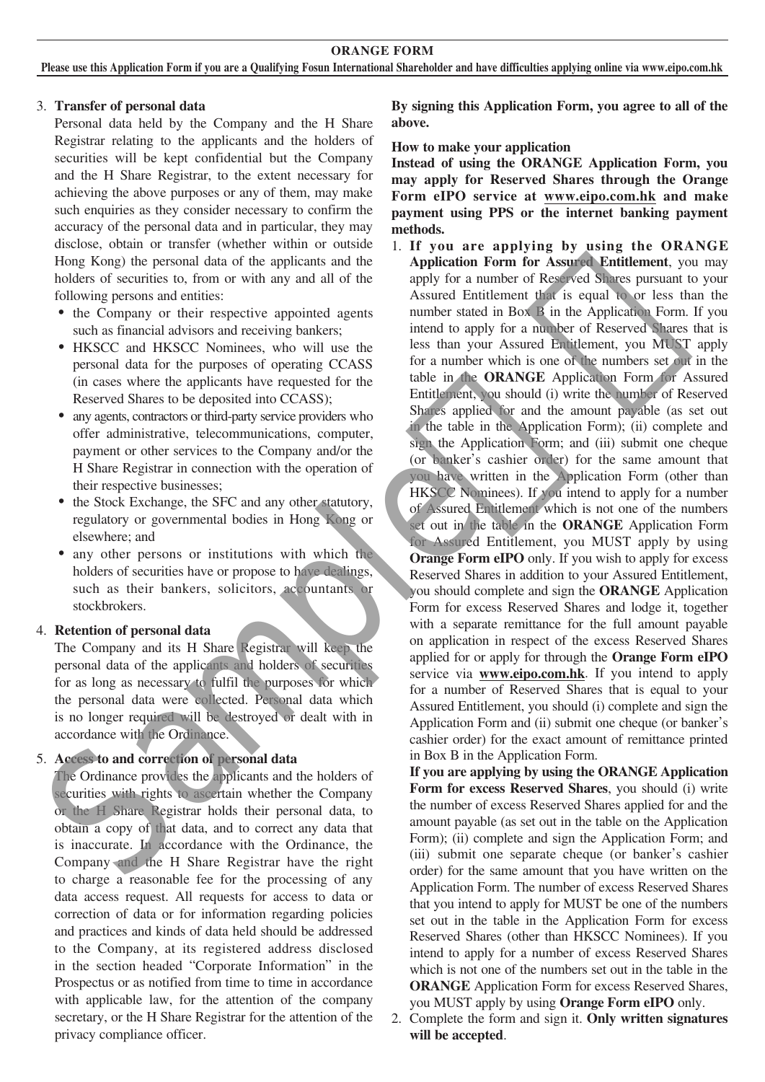#### 3. **Transfer of personal data**

 Personal data held by the Company and the H Share Registrar relating to the applicants and the holders of securities will be kept confidential but the Company and the H Share Registrar, to the extent necessary for achieving the above purposes or any of them, may make such enquiries as they consider necessary to confirm the accuracy of the personal data and in particular, they may disclose, obtain or transfer (whether within or outside Hong Kong) the personal data of the applicants and the holders of securities to, from or with any and all of the following persons and entities:

- the Company or their respective appointed agents such as financial advisors and receiving bankers;
- ‧ HKSCC and HKSCC Nominees, who will use the personal data for the purposes of operating CCASS (in cases where the applicants have requested for the Reserved Shares to be deposited into CCASS);
- any agents, contractors or third-party service providers who offer administrative, telecommunications, computer, payment or other services to the Company and/or the H Share Registrar in connection with the operation of their respective businesses;
- the Stock Exchange, the SFC and any other statutory, regulatory or governmental bodies in Hong Kong or elsewhere; and
- any other persons or institutions with which the holders of securities have or propose to have dealings, such as their bankers, solicitors, accountants or stockbrokers.

### 4. **Retention of personal data**

The Company and its H Share Registrar will keep the personal data of the applicants and holders of securities for as long as necessary to fulfil the purposes for which the personal data were collected. Personal data which is no longer required will be destroyed or dealt with in accordance with the Ordinance.

5. **Access to and correction of personal data**

The Ordinance provides the applicants and the holders of securities with rights to ascertain whether the Company or the H Share Registrar holds their personal data, to obtain a copy of that data, and to correct any data that is inaccurate. In accordance with the Ordinance, the Company and the H Share Registrar have the right to charge a reasonable fee for the processing of any data access request. All requests for access to data or correction of data or for information regarding policies and practices and kinds of data held should be addressed to the Company, at its registered address disclosed in the section headed "Corporate Information" in the Prospectus or as notified from time to time in accordance with applicable law, for the attention of the company secretary, or the H Share Registrar for the attention of the privacy compliance officer.

**By signing this Application Form, you agree to all of the above.**

**How to make your application**

**Instead of using the ORANGE Application Form, you may apply for Reserved Shares through the Orange Form eIPO service at www.eipo.com.hk and make payment using PPS or the internet banking payment methods.**

1. **If you are applying by using the ORANGE Application Form for Assured Entitlement**, you may apply for a number of Reserved Shares pursuant to your Assured Entitlement that is equal to or less than the number stated in Box B in the Application Form. If you intend to apply for a number of Reserved Shares that is less than your Assured Entitlement, you MUST apply for a number which is one of the numbers set out in the table in the **ORANGE** Application Form for Assured Entitlement, you should (i) write the number of Reserved Shares applied for and the amount payable (as set out in the table in the Application Form); (ii) complete and sign the Application Form; and (iii) submit one cheque (or banker's cashier order) for the same amount that you have written in the Application Form (other than HKSCC Nominees). If you intend to apply for a number of Assured Entitlement which is not one of the numbers set out in the table in the **ORANGE** Application Form for Assured Entitlement, you MUST apply by using **Orange Form eIPO** only. If you wish to apply for excess Reserved Shares in addition to your Assured Entitlement, you should complete and sign the **ORANGE** Application Form for excess Reserved Shares and lodge it, together with a separate remittance for the full amount payable on application in respect of the excess Reserved Shares applied for or apply for through the **Orange Form eIPO**  service via **www.eipo.com.hk**. If you intend to apply for a number of Reserved Shares that is equal to your Assured Entitlement, you should (i) complete and sign the Application Form and (ii) submit one cheque (or banker's cashier order) for the exact amount of remittance printed in Box B in the Application Form. To boosting persons and entires; near and and the spin-of Dailutennia that is quality in the Reso tomain the spin-of the company of the spin-of the spin-of the spin-of the spin-of the spin-of the spin-of the spin-of the s

**If you are applying by using the ORANGE Application Form for excess Reserved Shares**, you should (i) write the number of excess Reserved Shares applied for and the amount payable (as set out in the table on the Application Form); (ii) complete and sign the Application Form; and (iii) submit one separate cheque (or banker's cashier order) for the same amount that you have written on the Application Form. The number of excess Reserved Shares that you intend to apply for MUST be one of the numbers set out in the table in the Application Form for excess Reserved Shares (other than HKSCC Nominees). If you intend to apply for a number of excess Reserved Shares which is not one of the numbers set out in the table in the **ORANGE** Application Form for excess Reserved Shares, you MUST apply by using **Orange Form eIPO** only.

2. Complete the form and sign it. **Only written signatures will be accepted**.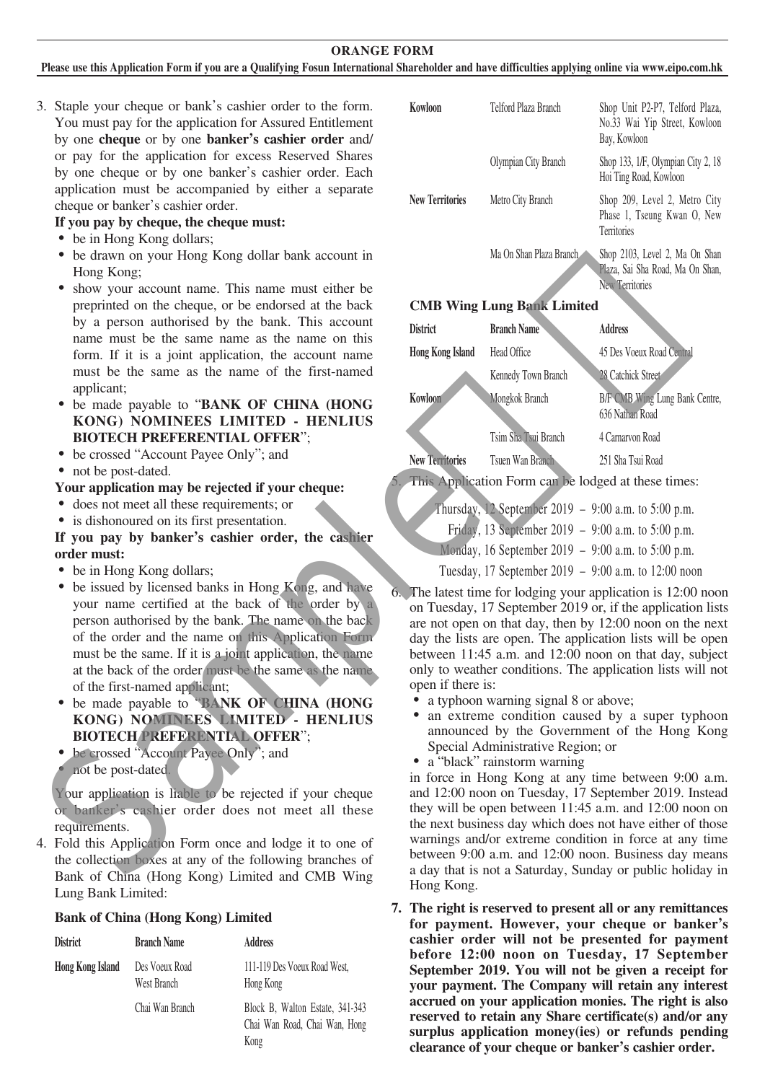#### **ORANGE FORM**

#### **Please use this Application Form if you are a Qualifying Fosun International Shareholder and have difficulties applying online via www.eipo.com.hk**

3. Staple your cheque or bank's cashier order to the form. You must pay for the application for Assured Entitlement by one **cheque** or by one **banker's cashier order** and/ or pay for the application for excess Reserved Shares by one cheque or by one banker's cashier order. Each application must be accompanied by either a separate cheque or banker's cashier order.

#### **If you pay by cheque, the cheque must:**

- be in Hong Kong dollars;
- be drawn on your Hong Kong dollar bank account in Hong Kong;
- show your account name. This name must either be preprinted on the cheque, or be endorsed at the back by a person authorised by the bank. This account name must be the same name as the name on this form. If it is a joint application, the account name must be the same as the name of the first-named applicant;
- be made payable to "**BANK OF CHINA (HONG KONG) NOMINEES LIMITED - HENLIUS BIOTECH PREFERENTIAL OFFER**";
- ‧ be crossed "Account Payee Only"; and
- not be post-dated.

#### **Your application may be rejected if your cheque:**

- ‧ does not meet all these requirements; or
- ‧ is dishonoured on its first presentation.

#### **If you pay by banker's cashier order, the cashier order must:**

- be in Hong Kong dollars;
- be issued by licensed banks in Hong Kong, and have your name certified at the back of the order by a person authorised by the bank. The name on the back of the order and the name on this Application Form must be the same. If it is a joint application, the name at the back of the order must be the same as the name of the first-named applicant;
- be made payable to **"BANK OF CHINA (HONG KONG) NOMINEES LIMITED - HENLIUS BIOTECH PREFERENTIAL OFFER**";
- be crossed "Account Payee Only"; and
- not be post-dated.

4. Fold this Application Form once and lodge it to one of the collection boxes at any of the following branches of Bank of China (Hong Kong) Limited and CMB Wing Lung Bank Limited:

#### **Bank of China (Hong Kong) Limited**

| District         | <b>Branch Name</b>            | <b>Address</b>                                                           |  |  |
|------------------|-------------------------------|--------------------------------------------------------------------------|--|--|
| Hong Kong Island | Des Voeux Road<br>West Branch | 111-119 Des Voeux Road West,<br>Hong Kong                                |  |  |
|                  | Chai Wan Branch               | Block B, Walton Estate, 341-343<br>Chai Wan Road, Chai Wan, Hong<br>Kong |  |  |

| Kowloon                | Telford Plaza Branch    | Shop Unit P2-P7, Telford Plaza,<br>No.33 Wai Yip Street, Kowloon<br>Bay, Kowloon      |  |  |
|------------------------|-------------------------|---------------------------------------------------------------------------------------|--|--|
|                        | Olympian City Branch    | Shop 133, 1/F, Olympian City 2, 18<br>Hoi Ting Road, Kowloon                          |  |  |
| <b>New Territories</b> | Metro City Branch       | Shop 209, Level 2, Metro City<br>Phase 1, Tseung Kwan O, New<br><b>Territories</b>    |  |  |
|                        | Ma On Shan Plaza Branch | Shop 2103, Level 2, Ma On Shan<br>Plaza, Sai Sha Road, Ma On Shan,<br>New Territories |  |  |

#### **CMB Wing Lung Bank Limited**

| show your account name. This name must either be                                                                                                                                                                                                                                                                                                                                                                                                            |                                                                                                                                                                                                                                                                                                                                                                                                                                                                                                                                             |                                                                    | New Territories                                                                                                                                                                                                                                                                                                                                                                                                   |  |
|-------------------------------------------------------------------------------------------------------------------------------------------------------------------------------------------------------------------------------------------------------------------------------------------------------------------------------------------------------------------------------------------------------------------------------------------------------------|---------------------------------------------------------------------------------------------------------------------------------------------------------------------------------------------------------------------------------------------------------------------------------------------------------------------------------------------------------------------------------------------------------------------------------------------------------------------------------------------------------------------------------------------|--------------------------------------------------------------------|-------------------------------------------------------------------------------------------------------------------------------------------------------------------------------------------------------------------------------------------------------------------------------------------------------------------------------------------------------------------------------------------------------------------|--|
| preprinted on the cheque, or be endorsed at the back                                                                                                                                                                                                                                                                                                                                                                                                        | <b>CMB Wing Lung Bank Limited</b>                                                                                                                                                                                                                                                                                                                                                                                                                                                                                                           |                                                                    |                                                                                                                                                                                                                                                                                                                                                                                                                   |  |
| by a person authorised by the bank. This account<br>name must be the same name as the name on this                                                                                                                                                                                                                                                                                                                                                          | <b>District</b>                                                                                                                                                                                                                                                                                                                                                                                                                                                                                                                             | <b>Branch Name</b>                                                 | <b>Address</b>                                                                                                                                                                                                                                                                                                                                                                                                    |  |
| form. If it is a joint application, the account name                                                                                                                                                                                                                                                                                                                                                                                                        | <b>Hong Kong Island</b>                                                                                                                                                                                                                                                                                                                                                                                                                                                                                                                     | Head Office                                                        | 45 Des Voeux Road Central                                                                                                                                                                                                                                                                                                                                                                                         |  |
| must be the same as the name of the first-named                                                                                                                                                                                                                                                                                                                                                                                                             |                                                                                                                                                                                                                                                                                                                                                                                                                                                                                                                                             | Kennedy Town Branch                                                | 28 Catchick Street                                                                                                                                                                                                                                                                                                                                                                                                |  |
| applicant;<br>• be made payable to "BANK OF CHINA (HONG<br>KONG) NOMINEES LIMITED - HENLIUS                                                                                                                                                                                                                                                                                                                                                                 | Kowloon                                                                                                                                                                                                                                                                                                                                                                                                                                                                                                                                     | Mongkok Branch                                                     | B/F CMB Wing Lung Bank Centre,<br>636 Nathan Road                                                                                                                                                                                                                                                                                                                                                                 |  |
| <b>BIOTECH PREFERENTIAL OFFER":</b>                                                                                                                                                                                                                                                                                                                                                                                                                         |                                                                                                                                                                                                                                                                                                                                                                                                                                                                                                                                             | Tsim Sha Tsui Branch                                               | 4 Carnarvon Road                                                                                                                                                                                                                                                                                                                                                                                                  |  |
| • be crossed "Account Payee Only"; and                                                                                                                                                                                                                                                                                                                                                                                                                      | <b>New Territories</b>                                                                                                                                                                                                                                                                                                                                                                                                                                                                                                                      | Tsuen Wan Branch                                                   | 251 Sha Tsui Road                                                                                                                                                                                                                                                                                                                                                                                                 |  |
| • not be post-dated.<br>Your application may be rejected if your cheque:                                                                                                                                                                                                                                                                                                                                                                                    |                                                                                                                                                                                                                                                                                                                                                                                                                                                                                                                                             |                                                                    | 5. This Application Form can be lodged at these times:                                                                                                                                                                                                                                                                                                                                                            |  |
| • does not meet all these requirements; or<br>• is dishonoured on its first presentation.                                                                                                                                                                                                                                                                                                                                                                   |                                                                                                                                                                                                                                                                                                                                                                                                                                                                                                                                             | Thursday, 12 September 2019 - 9:00 a.m. to 5:00 p.m.               |                                                                                                                                                                                                                                                                                                                                                                                                                   |  |
| If you pay by banker's cashier order, the cashier                                                                                                                                                                                                                                                                                                                                                                                                           |                                                                                                                                                                                                                                                                                                                                                                                                                                                                                                                                             | Friday, 13 September 2019 - 9:00 a.m. to 5:00 p.m.                 |                                                                                                                                                                                                                                                                                                                                                                                                                   |  |
| order must:                                                                                                                                                                                                                                                                                                                                                                                                                                                 |                                                                                                                                                                                                                                                                                                                                                                                                                                                                                                                                             | Monday, 16 September 2019 – 9:00 a.m. to 5:00 p.m.                 |                                                                                                                                                                                                                                                                                                                                                                                                                   |  |
| • be in Hong Kong dollars;                                                                                                                                                                                                                                                                                                                                                                                                                                  |                                                                                                                                                                                                                                                                                                                                                                                                                                                                                                                                             |                                                                    | Tuesday, 17 September 2019 – 9:00 a.m. to 12:00 noon                                                                                                                                                                                                                                                                                                                                                              |  |
| • be issued by licensed banks in Hong Kong, and have<br>your name certified at the back of the order by a<br>person authorised by the bank. The name on the back<br>of the order and the name on this Application Form<br>must be the same. If it is a joint application, the name<br>at the back of the order must be the same as the name<br>of the first-named applicant;<br>be made payable to "BANK OF CHINA (HONG<br>KONG) NOMINEES LIMITED - HENLIUS | 6. The latest time for lodging your application is 12:00 noor<br>on Tuesday, 17 September 2019 or, if the application lists<br>are not open on that day, then by 12:00 noon on the next<br>day the lists are open. The application lists will be oper<br>between 11:45 a.m. and 12:00 noon on that day, subject<br>only to weather conditions. The application lists will no<br>open if there is:<br>a typhoon warning signal 8 or above;<br>an extreme condition caused by a super typhoor<br>announced by the Government of the Hong Kong |                                                                    |                                                                                                                                                                                                                                                                                                                                                                                                                   |  |
| <b>BIOTECH PREFERENTIAL OFFER":</b><br>be crossed "Account Payee Only"; and<br>not be post-dated.<br>Your application is liable to be rejected if your cheque<br>or banker's cashier order does not meet all these<br>requirements.<br>4. Fold this Application Form once and lodge it to one of<br>the collection boxes at any of the following branches of<br>Bank of China (Hong Kong) Limited and CMB Wing                                              |                                                                                                                                                                                                                                                                                                                                                                                                                                                                                                                                             | Special Administrative Region; or<br>• a "black" rainstorm warning | in force in Hong Kong at any time between 9:00 a.m<br>and 12:00 noon on Tuesday, 17 September 2019. Instead<br>they will be open between 11:45 a.m. and 12:00 noon or<br>the next business day which does not have either of those<br>warnings and/or extreme condition in force at any time<br>between 9:00 a.m. and 12:00 noon. Business day means<br>a day that is not a Saturday, Sunday or public holiday in |  |

- Thursday, 12 September 2019 9:00 a.m. to 5:00 p.m.
- Friday, 13 September 2019 9:00 a.m. to 5:00 p.m.
- Monday, 16 September 2019 9:00 a.m. to 5:00 p.m.

- a typhoon warning signal 8 or above;
- an extreme condition caused by a super typhoon announced by the Government of the Hong Kong Special Administrative Region; or
- a "black" rainstorm warning

in force in Hong Kong at any time between 9:00 a.m. and 12:00 noon on Tuesday, 17 September 2019. Instead they will be open between 11:45 a.m. and 12:00 noon on the next business day which does not have either of those warnings and/or extreme condition in force at any time between 9:00 a.m. and 12:00 noon. Business day means a day that is not a Saturday, Sunday or public holiday in Hong Kong.

**7. The right is reserved to present all or any remittances for payment. However, your cheque or banker's cashier order will not be presented for payment before 12:00 noon on Tuesday, 17 September September 2019. You will not be given a receipt for your payment. The Company will retain any interest accrued on your application monies. The right is also reserved to retain any Share certificate(s) and/or any surplus application money(ies) or refunds pending clearance of your cheque or banker's cashier order.**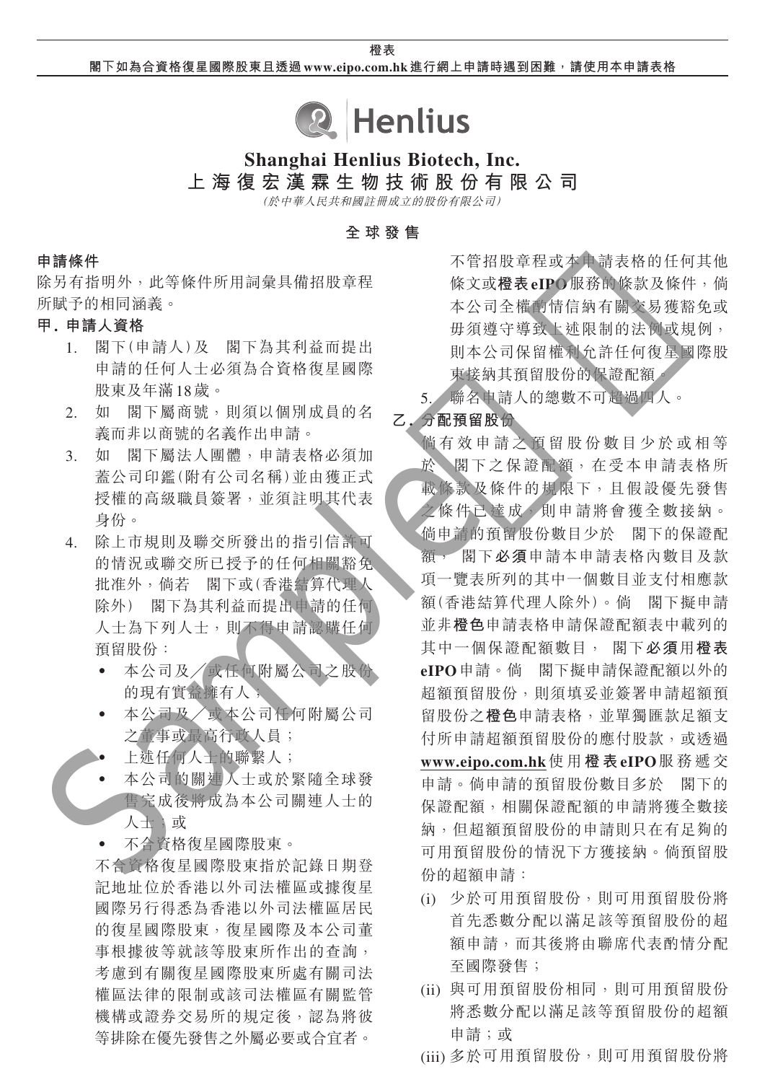**橙表 閣下如為合資格復星國際股東且透過 www.eipo.com.hk 進行網上申請時遇到困難,請使用本申請表格**



# **Shanghai Henlius Biotech, Inc.**

**上海復宏漢霖生物技術股份有限公司**

(於中華人民共和國註冊成立的股份有限公司)

**全球發售**

#### **申請條件**

除另有指明外,此等條件所用詞彙具備招股章程 所賦予的相同涵義。

# **甲. 申請人資格**

- 1. 閣下(申請人)及 閣下為其利益而提出 申請的任何人士必須為合資格復星國際 股東及年滿18歲。
- 2. 如 閣下屬商號,則須以個別成員的名 義而非以商號的名義作出申請。
- 3. 如 閣下屬法人團體,申請表格必須加 蓋公司印鑑(附有公司名稱)並由獲正式 授權的高級職員簽署,並須註明其代表 身份。
- 4. 除上市規則及聯交所發出的指引信許可 的情況或聯交所已授予的任何相關豁免 批准外,倘若 閣下或(香港結算代理人 除外) 閣下為其利益而提出申請的任何 人士為下列人士,則不得申請認購任何 預留股份:
	- ‧ 本公司及╱或任何附屬公司之股份 的現有實益擁有人;
	- ‧ 本公司及╱或本公司任何附屬公司 之董事或最高行政人員;
		- 上述任何人士的聯繫人;
	- 本公司的關連人士或於緊隨全球發 售完成後將成為本公司關連人士的 人士;或
	- ‧ 不合資格復星國際股東。

不合資格復星國際股東指於記錄日期登 記地址位於香港以外司法權區或據復星 國際另行得悉為香港以外司法權區居民 的復星國際股東,復星國際及本公司董 事根據彼等就該等股東所作出的查詢, 考慮到有關復星國際股東所處有關司法 權區法律的限制或該司法權區有關監管 機構或證券交易所的規定後,認為將彼 等排除在優先發售之外屬必要或合宜者。

不管招股章程或本申請表格的任何其他 條文或**橙表eIPO**服務的條款及條件,倘 本公司全權酌情信納有關交易獲豁免或 毋須遵守導致上述限制的法例或規例, 則本公司保留權利允許任何復星國際股 東接納其預留股份的保證配額。

5. 聯名申請人的總數不可超過四人。

# **乙. 分配預留股份**

倘有效申請之預留股份數目少於或相等 於 閣下之保證配額,在受本申請表格所 載條款及條件的規限下,且假設優先發售 之條件已達成,則申請將會獲全數接納。 倘申請的預留股份數目少於 閣下的保證配 額, 閣下**必須**申請本申請表格內數目及款 項一覽表所列的其中一個數目並支付相應款 額(香港結算代理人除外)。倘 閣下擬申請 並非**橙色**申請表格申請保證配額表中載列的 其中一個保證配額數目, 閣下**必須**用**橙表 eIPO**申請。倘 閣下擬申請保證配額以外的 超額預留股份,則須填妥並簽署申請超額預 留股份之**橙色**申請表格,並單獨匯款足額支 付所申請超額預留股份的應付股款,或透過 **www.eipo.com.hk**使 用 **橙 表eIPO**服務遞交 申請。倘申請的預留股份數目多於 閣下的 保證配額,相關保證配額的申請將獲全數接 納,但超額預留股份的申請則只在有足夠的 可用預留股份的情況下方獲接納。倘預留股 份的超額申請: Sample樣版

- (i) 少於可用預留股份,則可用預留股份將 首先悉數分配以滿足該等預留股份的超 額申請,而其後將由聯席代表酌情分配 至國際發售;
- (ii) 與可用預留股份相同,則可用預留股份 將悉數分配以滿足該等預留股份的超額 申請;或
- (iii) 多於可用預留股份,則可用預留股份將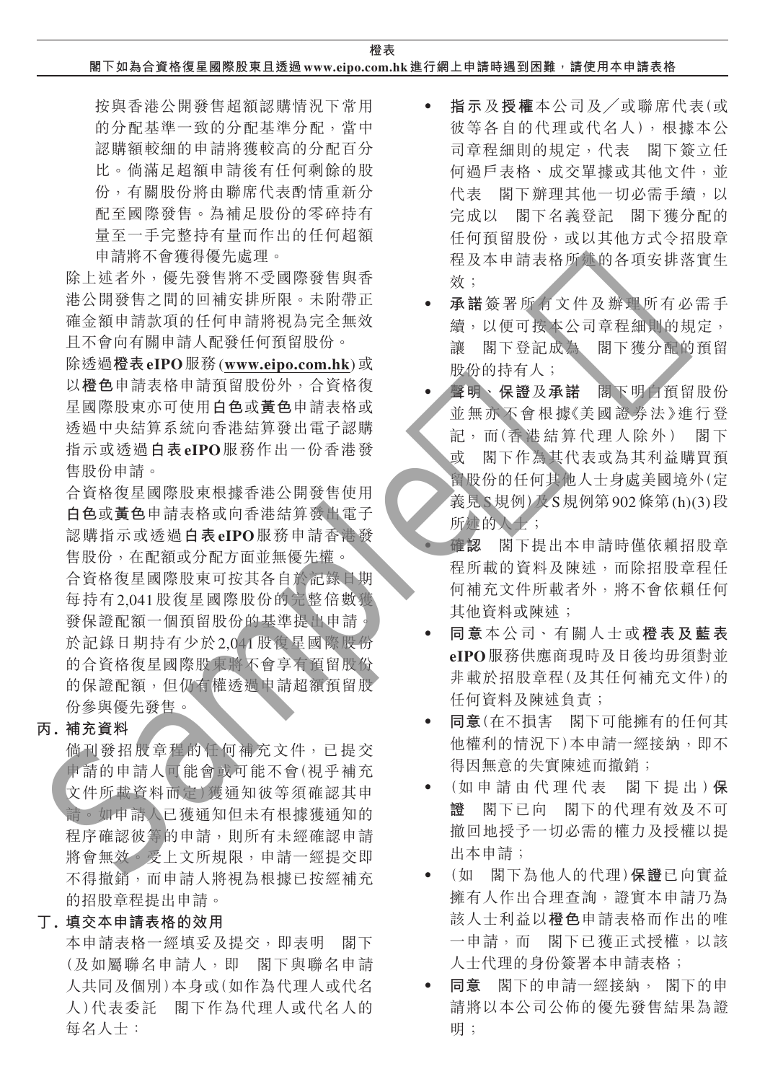**橙表**

**閣下如為合資格復星國際股東且透過 www.eipo.com.hk 進行網上申請時遇到困難,請使用本申請表格**

按與香港公開發售超額認購情況下常用 的分配基準一致的分配基準分配,當中 認購額較細的申請將獲較高的分配百分 比。倘滿足超額申請後有任何剩餘的股 份,有關股份將由聯席代表酌情重新分 配至國際發售。為補足股份的零碎持有 量至一手完整持有量而作出的任何超額 申請將不會獲得優先處理。

除上述者外,優先發售將不受國際發售與香 港公開發售之間的回補安排所限。未附帶正 確金額申請款項的任何申請將視為完全無效 且不會向有關申請人配發任何預留股份。

除透過**橙表eIPO**服務(**www.eipo.com.hk**)或 以**橙色**申請表格申請預留股份外,合資格復 星國際股東亦可使用**白色**或**黃色**申請表格或 透過中央結算系統向香港結算發出電子認購 指示或透過**白表eIPO**服務作出一份香港發 售股份申請。

合資格復星國際股東根據香港公開發售使用 **白色**或**黃色**申請表格或向香港結算發出電子 認購指示或透過**白表eIPO**服務申請香港發 售股份,在配額或分配方面並無優先權。 合資格復星國際股東可按其各自於記錄日期 每持有2,041股復星國際股份的完整倍數獲 發保證配額一個預留股份的基準提出申請 於記錄日期持有少於2,041股復星國際股份 的合資格復星國際股東將不會享有預留股份 的保證配額,但仍有權透過申請超額預留股 份參與優先發售。 。潘光泽的中国人民的社会。在中国人民服务者的合作,有关,精准的的价格,在中国人民服务者的合作,有关,有关来说,在中国人民服务者的人们的人工,是不会在我的时间,我们的人们的事情,我们的人们的事情,我们的人们的事情,我们的人们的事情,我们的人们的人们的人们的事情,我们的人们的事情,我们的人们的事情,我们的人们的事情,我们的人们的事情,我们的人们的人们的事情,我们的人们的人们的人们的事情,我们的人们的人们的人们的人们的人们的人们的人们的人们,

## **丙. 補充資料**

倘刊發招股章程的任何補充文件,已提交 申請的申請人可能會或可能不會(視乎補充 文件所載資料而定)獲通知彼等須確認其申 請。如申請人已獲通知但未有根據獲通知的 程序確認彼等的申請,則所有未經確認申請 將會無效。受上文所規限,申請一經提交即 不得撤銷,而申請人將視為根據已按經補充 的招股章程提出申請。

# **丁. 填交本申請表格的效用**

本申請表格一經填妥及提交,即表明 閣下 (及如屬聯名申請人,即 閣下與聯名申請 人共同及個別)本身或(如作為代理人或代名 人)代表委託 閣下作為代理人或代名人的 每名人士:

- ‧ **指示**及**授權**本公司及╱或聯席代表(或 彼等各自的代理或代名人),根據本公 司章程細則的規定,代表 閣下簽立任 何過戶表格、成交單據或其他文件,並 代表 閣下辦理其他一切必需手續,以 完成以 閣下名義登記 閣下獲分配的 任何預留股份,或以其他方式令招股章 程及本申請表格所述的各項安排落實生 效;
- ‧ **承諾**簽署所有文件及辦理所有必需手 續,以便可按本公司章程細則的規定, 讓 閣下登記成為 閣下獲分配的預留 股份的持有人;
- ‧ **聲明**、**保證**及**承諾** 閣下明白預留股份 並無亦不會根據《美國證券法》進行登 記,而(香港結算代理人除外) 閣下 或 閣下作為其代表或為其利益購買預 留股份的任何其他人士身處美國境外(定 義見S規例)及S規例第902條第(h)(3)段 所述的人士;
	- ‧ **確認** 閣下提出本申請時僅依賴招股章 程所載的資料及陳述,而除招股章程任 何補充文件所載者外,將不會依賴任何 其他資料或陳述;
- ‧ **同意**本公司、有關人士或**橙表及藍表 eIPO**服務供應商現時及日後均毋須對並 非載於招股章程(及其任何補充文件)的 任何資料及陳述負責;
- ‧ **同意**(在不損害 閣下可能擁有的任何其 他權利的情況下)本申請一經接納,即不 得因無意的失實陳述而撤銷;
- ‧ (如申請由代理代表 閣下提出)**保 證** 閣下已向 閣下的代理有效及不可 撤回地授予一切必需的權力及授權以提 出本申請;
- ‧ (如 閣下為他人的代理)**保證**已向實益 擁有人作出合理查詢,證實本申請乃為 該人士利益以**橙色**申請表格而作出的唯 一申請,而 閣下已獲正式授權,以該 人士代理的身份簽署本申請表格;
- ‧ **同意** 閣下的申請一經接納, 閣下的申 請將以本公司公佈的優先發售結果為證 明;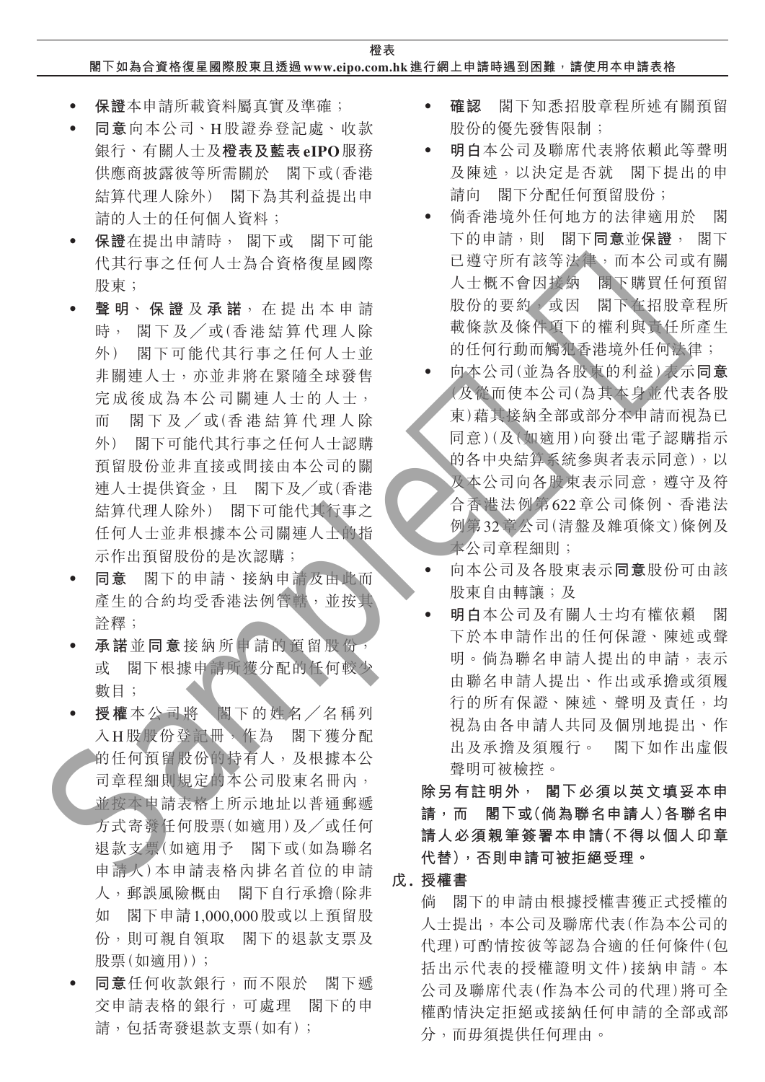## **閣下如為合資格復星國際股東且透過 www.eipo.com.hk 進行網上申請時遇到困難,請使用本申請表格**

- ‧ **保證**本申請所載資料屬真實及準確;
- ‧ **同意**向本公司、H股證券登記處、收款 銀行、有關人士及**橙表及藍表eIPO**服務 供應商披露彼等所需關於 閣下或(香港 結算代理人除外) 閣下為其利益提出申 請的人士的任何個人資料;
- ‧ **保證**在提出申請時, 閣下或 閣下可能 代其行事之任何人士為合資格復星國際 股東;
- ‧ **聲 明**、 **保 證** 及 **承 諾**,在提出本申請 時, 閣下及╱或(香港結算代理人除 外) 閣下可能代其行事之任何人士並 非關連人士,亦並非將在緊隨全球發售 完成後成為本公司關連人士的人士, 而 閣下及/或(香港結算代理人除 外) 閣下可能代其行事之任何人士認購 預留股份並非直接或間接由本公司的關 連人士提供資金,且 閣下及╱或(香港 結算代理人除外) 閣下可能代其行事之 任何人士並非根據本公司關連人士的指 示作出預留股份的是次認購; Sample樣版
	- ‧ **同意** 閣下的申請、接納申請及由此而 產生的合約均受香港法例管轄,並按其 詮釋;
	- ‧ **承諾**並**同意**接納所申請的預留股份, 或 閣下根據申請所獲分配的任何較少 數目;
	- ‧ **授權**本公司將 閣下的姓名╱名稱列 入H股股份登記冊,作為 閣下獲分配 的任何預留股份的持有人,及根據本公 司章程細則規定的本公司股東名冊內, 並按本申請表格上所示地址以普通郵遞 方式寄發任何股票(如適用)及╱或任何 退款支票(如適用予 閣下或(如為聯名 申請人)本申請表格內排名首位的申請 人,郵誤風險概由 閣下自行承擔(除非 如 閣下申請1,000,000股或以上預留股 份,則可親自領取 閣下的退款支票及 股票(如滴用));
	- ‧ **同意**任何收款銀行,而不限於 閣下遞 交申請表格的銀行,可處理 閣下的申 請,包括寄發退款支票(如有);
- ‧ **確認** 閣下知悉招股章程所述有關預留 股份的優先發售限制;
- ‧ **明白**本公司及聯席代表將依賴此等聲明 及陳述,以決定是否就 閣下提出的申 請向 閣下分配任何預留股份;
- ‧ 倘香港境外任何地方的法律適用於 閣 下的申請,則 閣下**同意**並**保證**, 閣下 已遵守所有該等法律,而本公司或有關 人士概不會因接納 閣下購買任何預留 股份的要約,或因 閣下在招股章程所 載條款及條件項下的權利與責任所產生 的任何行動而觸犯香港境外任何法律;
- ‧ 向本公司(並為各股東的利益)表示**同意** (及從而使本公司(為其本身並代表各股 東)藉其接納全部或部分本申請而視為已 同意)(及(如適用)向發出電子認購指示 的各中央結算系統參與者表示同意),以 及本公司向各股東表示同意,遵守及符 合香港法例第622章公司條例、香港法 例第32章公司(清盤及雜項條文)條例及 本公司章程細則;
- ‧ 向本公司及各股東表示**同意**股份可由該 股東自由轉讓;及
- ‧ **明白**本公司及有關人士均有權依賴 閣 下於本申請作出的任何保證、陳述或聲 明。倘為聯名申請人提出的申請,表示 由聯名申請人提出、作出或承擔或須履 行的所有保證、陳述、聲明及責任,均 視為由各申請人共同及個別地提出、作 出及承擔及須履行。 閣下如作出虛假 聲明可被檢控。

**除另有註明外, 閣下必須以英文填妥本申 請,而 閣下或(倘為聯名申請人)各聯名申 請人必須親筆簽署本申請(不得以個人印章 代替),否則申請可被拒絕受理。**

# **戊. 授權書**

倘 閣下的申請由根據授權書獲正式授權的 人士提出,本公司及聯席代表(作為本公司的 代理)可酌情按彼等認為合適的任何條件(包 括出示代表的授權證明文件)接納申請。本 公司及聯席代表(作為本公司的代理)將可全 權酌情決定拒絕或接納任何申請的全部或部 分,而毋須提供任何理由。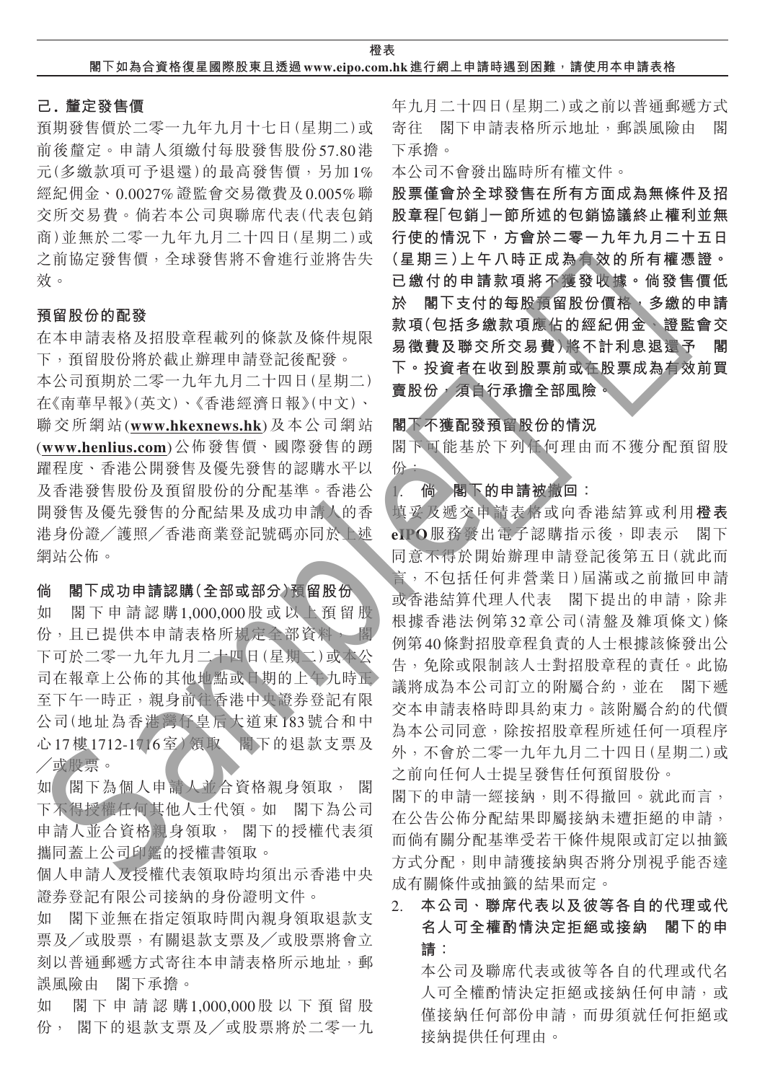**橙表 閣下如為合資格復星國際股東且透過 www.eipo.com.hk 進行網上申請時遇到困難,請使用本申請表格**

#### **己. 釐定發售價**

預期發售價於二零一九年九月十七日(星期二)或 前後釐定。申請人須繳付每股發售股份57.80港 元(多繳款項可予退還)的最高發售價,另加1% 經紀佣金、0.0027%證監會交易徵費及0.005%聯 交所交易費。倘若本公司與聯席代表(代表包銷 商)並無於二零一九年九月二十四日(星期二)或 之前協定發售價,全球發售將不會進行並將告失 效。

#### **預留股份的配發**

在本申請表格及招股章程載列的條款及條件規限 下,預留股份將於截止辦理申請登記後配發。

本公司預期於二零一九年九月二十四日(星期二) 在《南華早報》(英文)、《香港經濟日報》(中文)、 聯交所網站(**www.hkexnews.hk**)及本公司網站 (**www.henlius.com**)公佈發售價、國際發售的踴 躍程度、香港公開發售及優先發售的認購水平以 及香港發售股份及預留股份的分配基準。香港公 開發售及優先發售的分配結果及成功申請人的香 港身份證╱護照╱香港商業登記號碼亦同於上述 網站公佈。

## **倘 閣下成功申請認購(全部或部分)預留股份**

如 閣下申請認購1,000,000股或以上預留股 份,且已提供本申請表格所規定全部資料, 閣 下可於二零一九年九月二十四日(星期二)或本公 司在報章上公佈的其他地點或日期的上午九時正 至下午一時正,親身前往香港中央證券登記有限 公司(地址為香港灣仔皇后大道東183號合和中 心17樓1712-1716室)領取 閣下的退款支票及 ╱或股票。

如 閣下為個人申請人並合資格親身領取, 閣 下不得授權任何其他人士代領。如 閣下為公司 申請人並合資格親身領取, 閣下的授權代表須 攜同蓋上公司印鑑的授權書領取。

個人申請人及授權代表領取時均須出示香港中央 證券登記有限公司接納的身份證明文件。

如 閣下並無在指定領取時間內親身領取退款支 票及╱或股票,有關退款支票及╱或股票將會立 刻以普通郵遞方式寄往本申請表格所示地址,郵 誤風險由 閣下承擔。

如 閣下申請認購1,000,000股以下預留股 份, 閣下的退款支票及╱或股票將於二零一九 年九月二十四日(星期二)或之前以普通郵遞方式 寄往 閣下申請表格所示地址,郵誤風險由 閣 下承擔。

本公司不會發出臨時所有權文件。

**股票僅會於全球發售在所有方面成為無條件及招 股章程「包銷」一節所述的包銷協議終止權利並無 行使的情況下,方會於二零一九年九月二十五日 (星期三)上午八時正成為有效的所有權憑證。 已繳付的申請款項將不獲發收據。倘發售價低 於 閣下支付的每股預留股份價格,多繳的申請 款項(包括多繳款項應佔的經紀佣金、證監會交 易徵費及聯交所交易費)將不計利息退還予 閣 下。投資者在收到股票前或在股票成為有效前買 賣股份,須自行承擔全部風險。**

#### **閣下不獲配發預留股份的情況**

閣下可能基於下列任何理由而不獲分配預留股 份:

1. **倘 閣下的申請被撤回:**

填妥及遞交申請表格或向香港結算或利用**橙表 eIPO**服務發出電子認購指示後,即表示 閣下 同意不得於開始辦理申請登記後第五日(就此而 言,不包括任何非營業日)屆滿或之前撤回申請 或香港結算代理人代表 閣下提出的申請,除非 根據香港法例第32章公司(清盤及雜項條文)條 例第40條對招股章程負責的人士根據該條發出公 告,免除或限制該人士對招股章程的責任。此協 議將成為本公司訂立的附屬合約,並在 閣下遞 交本申請表格時即具約束力。該附屬合約的代價 為本公司同意,除按招股章程所述任何一項程序 外,不會於二零一九年九月二十四日(星期二)或 之前向任何人士提呈發售任何預留股份。 Sample樣版

閣下的申請一經接納,則不得撤回。就此而言, 在公告公佈分配結果即屬接納未遭拒絕的申請, 而倘有關分配基準受若干條件規限或訂定以抽籤 方式分配,則申請獲接納與否將分別視乎能否達 成有關條件或抽籤的結果而定。

# 2. **本公司、聯席代表以及彼等各自的代理或代 名人可全權酌情決定拒絕或接納 閣下的申 請:**

本公司及聯席代表或彼等各自的代理或代名 人可全權酌情決定拒絕或接納任何申請,或 僅接納任何部份申請,而毋須就任何拒絕或 接納提供任何理由。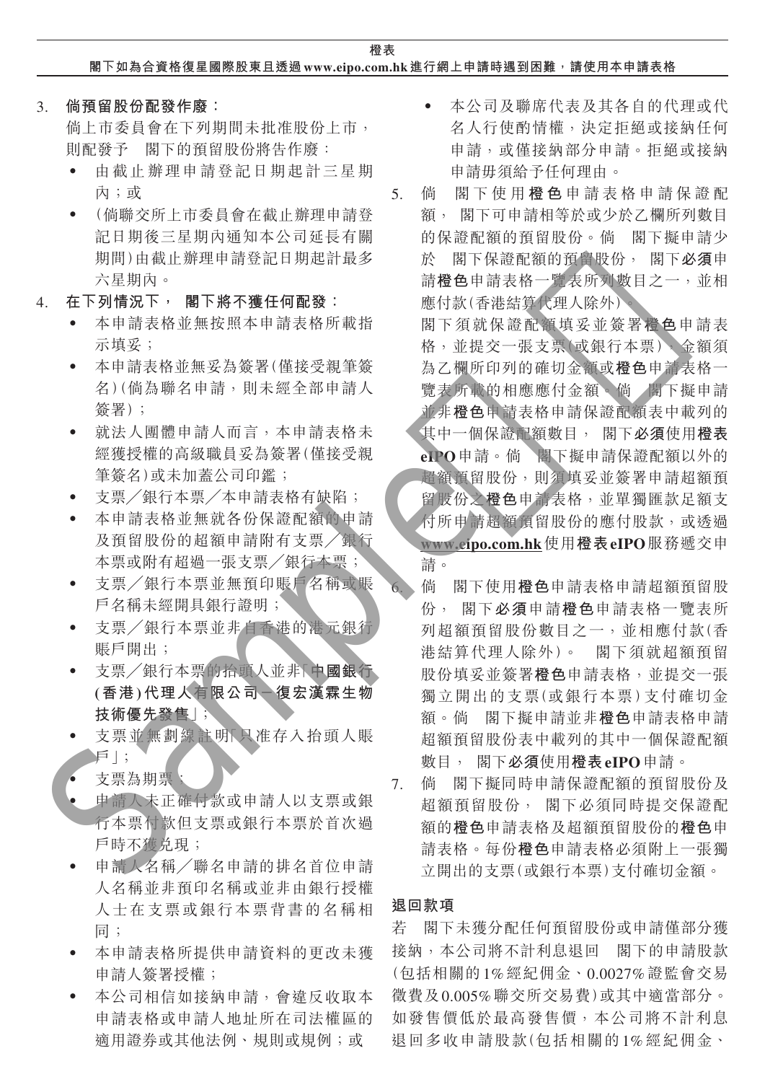**橙表 閣下如為合資格復星國際股東且透過 www.eipo.com.hk 進行網上申請時遇到困難,請使用本申請表格**

3. **倘預留股份配發作廢:**

倘上市委員會在下列期間未批准股份上市, 則配發予 閣下的預留股份將告作廢:

- 由截止辦理申請登記日期起計三星期 內;或
- ‧ (倘聯交所上市委員會在截止辦理申請登 記日期後三星期內通知本公司延長有關 期間)由截止辦理申請登記日期起計最多 六星期內。
- 4. **在下列情況下, 閣下將不獲任何配發:**
	- ‧ 本申請表格並無按照本申請表格所載指 示填妥;
	- ‧ 本申請表格並無妥為簽署(僅接受親筆簽 名)(倘為聯名申請,則未經全部申請人 簽署);
	- ‧ 就法人團體申請人而言,本申請表格未 經獲授權的高級職員妥為簽署(僅接受親 筆簽名)或未加蓋公司印鑑;
	- 支票/銀行本票/本申請表格有缺陷;
	- 本申請表格並無就各份保證配額的申請 及預留股份的超額申請附有支票╱銀行 本票或附有超過一張支票╱銀行本票;
	- 支票/銀行本票並無預印賬戶名稱或賬 戶名稱未經開具銀行證明;
	- 支票/銀行本票並非自香港的港元銀行 賬戶開出;
	- ‧ 支票╱銀行本票的抬頭人並非「**中國銀行 (香港)代理人有限公司-復宏漢霖生物 技術優先發售**」;
	- 支票並無劃線註明下只准存入抬頭人賬 戶」;
	- 支票為期票;
	- 申請人未正確付款或申請人以支票或銀 行本票付款但支票或銀行本票於首次過 戶時不獲兑現;
	- ‧ 申請人名稱╱聯名申請的排名首位申請 人名稱並非預印名稱或並非由銀行授權 人士在支票或銀行本票背書的名稱相 同;
	- ‧ 本申請表格所提供申請資料的更改未獲 申請人簽署授權;
	- ‧ 本公司相信如接納申請,會違反收取本 申請表格或申請人地址所在司法權區的 適用證券或其他法例、規則或規例;或
- 本公司及聯席代表及其各自的代理或代 名人行使酌情權,決定拒絕或接納任何 申請,或僅接納部分申請。拒絕或接納 申請毋須給予任何理由。
- 5. 倘 閣下使用 **橙 色** 申請表格申請保證配 額, 閣下可申請相等於或少於乙欄所列數目 的保證配額的預留股份。倘 閣下擬申請少 於 閣下保證配額的預留股份, 閣下**必須**申 請**橙色**申請表格一覽表所列數目之一,並相 應付款(香港結算代理人除外)。
- 閣下須就保證配額填妥並簽署**橙色**申請表 格,並提交一張支票(或銀行本票),金額須 為乙欄所印列的確切金額或**橙色**申請表格一 覽表所載的相應應付金額。倘 閣下擬申請 並非**橙色**申請表格申請保證配額表中載列的 其中一個保證配額數目, 閣下**必須**使用**橙表 eIPO**申請。倘 閣下擬申請保證配額以外的 超額預留股份,則須填妥並簽署申請超額預 留股份之**橙色**申請表格,並單獨匯款足額支 付所申請超額預留股份的應付股款,或透過 **www.eipo.com.hk**使用**橙表eIPO**服務遞交申 請。 . 在下列, 《新闻报》, 《新闻》, 《新闻》, 《新闻》, 《新闻》, 《新闻》, 《新闻》, 《新闻》, 《新闻》, 《新闻》, 《新闻》, 《新闻》, 《新闻》, 《新闻》, 《新闻》, 《新闻》, 《新闻》, 《新闻》, 《新闻》, 《新闻》, 《新闻》, 《新闻》, 《新闻》, 《新闻》, 《新闻》, 《新闻》, 《新闻》, 《新闻》, 《新闻》, 《新闻》, 《新闻》, 《新闻》, 《新闻》, 《新闻》, 《新闻》, 《新
	- 6. 倘 閣下使用**橙色**申請表格申請超額預留股 份, 閣下**必須**申請**橙色**申請表格一覽表所 列超額預留股份數目之一,並相應付款(香 港結算代理人除外)。 閣下須就超額預留 股份填妥並簽署**橙色**申請表格,並提交一張 獨立開出的支票(或銀行本票)支付確切金 額。倘 閣下擬申請並非**橙色**申請表格申請 超額預留股份表中載列的其中一個保證配額 數目, 閣下**必須**使用**橙表eIPO**申請。
	- 7. 倘 閣下擬同時申請保證配額的預留股份及 超額預留股份, 閣下必須同時提交保證配 額的**橙色**申請表格及超額預留股份的**橙色**申 請表格。每份**橙色**申請表格必須附上一張獨 立開出的支票(或銀行本票)支付確切金額。

#### **退回款項**

若 閣下未獲分配任何預留股份或申請僅部分獲 接納,本公司將不計利息退回 閣下的申請股款 (包括相關的1%經紀佣金、0.0027%證監會交易 徵費及0.005%聯交所交易費)或其中適當部分。 如發售價低於最高發售價,本公司將不計利息 退回多收申請股款(包括相關的1%經紀佣金、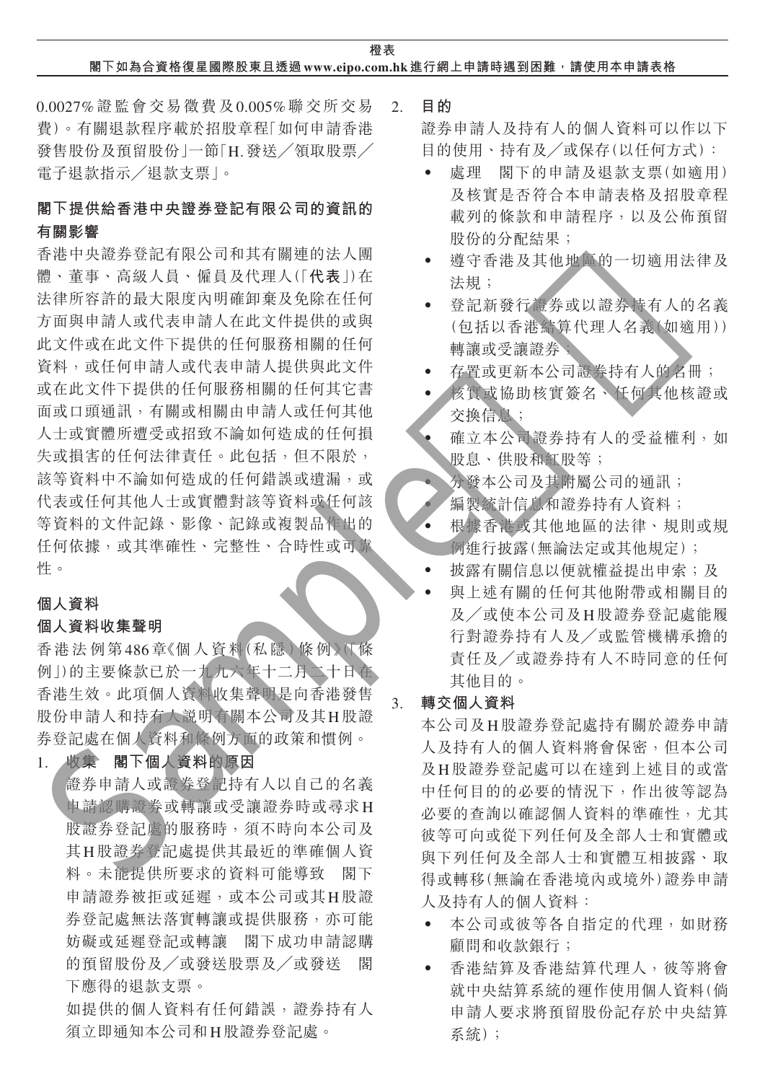## **閣下如為合資格復星國際股東且透過 www.eipo.com.hk 進行網上申請時遇到困難,請使用本申請表格**

0.0027%證監會交易徵費及0.005%聯交所交易 費)。有關退款程序載於招股章程「如何申請香港 發售股份及預留股份 | 一節「H. 發送 / 領取股票 / 電子退款指示╱退款支票」。

# **閣下提供給香港中央證券登記有限公司的資訊的 有關影響**

香港中央證券登記有限公司和其有關連的法人團 體、董事、高級人員、僱員及代理人(「**代表**」)在 法律所容許的最大限度內明確卸棄及免除在任何 方面與申請人或代表申請人在此文件提供的或與 此文件或在此文件下提供的任何服務相關的任何 資料,或任何申請人或代表申請人提供與此文件 或在此文件下提供的任何服務相關的任何其它書 面或口頭通訊,有關或相關由申請人或任何其他 人士或實體所遭受或招致不論如何造成的任何損 失或損害的任何法律責任。此包括,但不限於, 該等資料中不論如何造成的任何錯誤或遺漏,或 代表或任何其他人士或實體對該等資料或任何該 等資料的文件記錄、影像、記錄或複製品作出的 任何依據,或其準確性、完整性、合時性或可靠 性。 -<br>法律法法律人工、使用的人工保存的。 (2) 化学生生长,有一种化的的情况是,使用的时间是不能是在生长,我们的生活,我们的生活,我们就是在生存的,我们的生活就会在我们的生活,我们的生活就会在我们的生活,我们的生活就会在我们的生活,我们的生活就会在我们的生活,我们就会在我们的生活,我们就会在我们的生活,我们就会在我们的生活,我们就会在我们的人们的,我们就会在我们的人们,我们就会在我们的人们,我们就会在我们的人们的,我们就会在我们的人们

# **個人資料**

#### **個人資料收集聲明**

香港法例第486章《個人資料(私隱)條例》(「條 例」)的主要條款已於一九九六年十二月二十日在 香港生效。此項個人資料收集聲明是向香港發售 股份申請人和持有人說明有關本公司及其H股證 券登記處在個人資料和條例方面的政策和慣例。

# 1. **收集 閣下個人資料的原因**

證券申請人或證券登記持有人以自己的名義 申請認購證券或轉讓或受讓證券時或尋求H 股證券登記處的服務時,須不時向本公司及 其H股證券登記處提供其最近的準確個人資 料。未能提供所要求的資料可能導致 閣下 申請證券被拒或延遲,或本公司或其H股證 券登記處無法落實轉讓或提供服務,亦可能 妨礙或延遲登記或轉讓 閣下成功申請認購 的預留股份及╱或發送股票及╱或發送 閣 下應得的退款支票。

如提供的個人資料有任何錯誤,證券持有人 須立即通知本公司和H股證券登記處。

2. **目的**

證券申請人及持有人的個人資料可以作以下 目的使用、持有及╱或保存(以任何方式):

- ‧ 處理 閣下的申請及退款支票(如適用) 及核實是否符合本申請表格及招股章程 載列的條款和申請程序,以及公佈預留 股份的分配結果;
- 遵守香港及其他地區的一切適用法律及 法規;
- 登記新發行證券或以證券持有人的名義 (包括以香港結算代理人名義(如適用)) 轉讓或受讓證券;
- 存置或更新本公司證券持有人的名冊;
- 核實或協助核實簽名、任何其他核證或 交換信息;
- ‧ 確立本公司證券持有人的受益權利,如 股息、供股和紅股等;
- ‧ 分發本公司及其附屬公司的通訊;
- 編製統計信息和證券持有人資料;
- ‧ 根據香港或其他地區的法律、規則或規 例進行披露(無論法定或其他規定);
- 披露有關信息以便就權益提出申索;及
- 與上述有關的任何其他附帶或相關目的 及╱或使本公司及H股證券登記處能履 行對證券持有人及╱或監管機構承擔的 責任及╱或證券持有人不時同意的任何 其他目的。

### 3. **轉交個人資料**

本公司及H股證券登記處持有關於證券申請 人及持有人的個人資料將會保密,但本公司 及H股證券登記處可以在達到上述目的或當 中任何目的的必要的情況下,作出彼等認為 必要的查詢以確認個人資料的準確性,尤其 彼等可向或從下列任何及全部人士和實體或 與下列任何及全部人士和實體互相披露、取 得或轉移(無論在香港境內或境外)證券申請 人及持有人的個人資料:

- ‧ 本公司或彼等各自指定的代理,如財務 顧問和收款銀行;
- ‧ 香港結算及香港結算代理人,彼等將會 就中央結算系統的運作使用個人資料(倘 申請人要求將預留股份記存於中央結算 系統);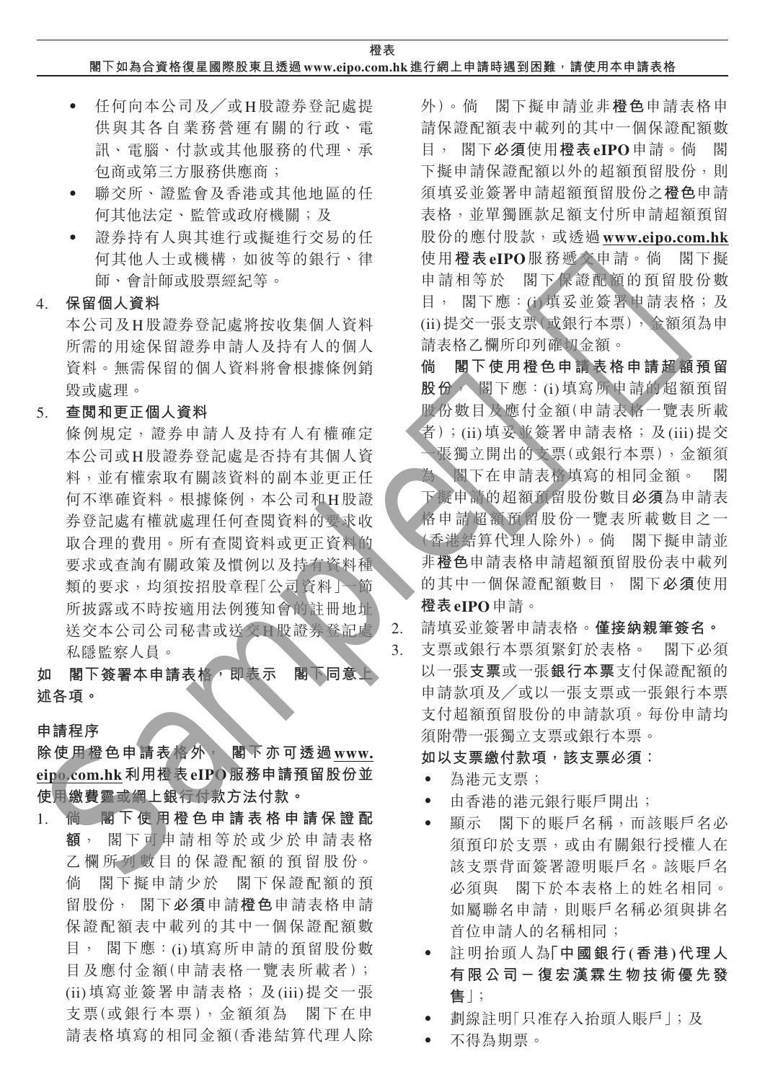### **閣下如為合資格復星國際股東且透過 www.eipo.com.hk 進行網上申請時遇到困難,請使用本申請表格**

- ‧ 任何向本公司及╱或H股證券登記處提 供與其各自業務營運有關的行政、電 訊、電腦、付款或其他服務的代理、承 包商或第三方服務供應商;
- ‧ 聯交所、證監會及香港或其他地區的任 何其他法定、監管或政府機關;及
- ‧ 證券持有人與其進行或擬進行交易的任 何其他人士或機構,如彼等的銀行、律 師、會計師或股票經紀等。

4. **保留個人資料**

本公司及H股證券登記處將按收集個人資料 所需的用途保留證券申請人及持有人的個人 資料。無需保留的個人資料將會根據條例銷 毀或處理。

5. **查閱和更正個人資料**

條例規定,證券申請人及持有人有權確定 本公司或H股證券登記處是否持有其個人資 料,並有權索取有關該資料的副本並更正任 何不準確資料。根據條例,本公司和H股證 券登記處有權就處理任何查閱資料的要求收 取合理的費用。所有查閱資料或更正資料的 要求或查詢有關政策及慣例以及持有資料種 類的要求,均須按招股章程「公司資料」一節 所披露或不時按適用法例獲知會的註冊地址 送交本公司公司秘書或送交H股證券登記處 私隱監察人員。 . 保留用数据系统标准标准 ( ) 电话 ( ) 电话 ( ) 电话 ( ) 电话 ( ) 电话 ( ) 电话 ( ) 电话 ( ) 电话 ( ) 电话 ( ) 电话 ( ) 电话 ( ) 电话 ( ) 电话 ( ) 电话 ( ) 电话 ( ) 电话 ( ) 电话 ( ) 电话 ( ) 电话 ( ) 电话 ( ) 电话 ( ) 电话 ( ) 电话 ( ) 电话 ( ) 电话 ( ) 电话 ( ) 电话 ( ) 电话 ( ) 电话 (

如 閣下簽署本申請表格 即表示 閣下同意 **述各項。**

#### **申請程序**

**除使用橙色申請表格外, 閣下亦可透過www. eipo.com.hk利用橙表eIPO服務申請預留股份並 使用繳費靈或網上銀行付款方法付款。**

1. **倘 閣 下使用橙色申請表格申請保證配 額**, 閣下可申請相等於或少於申請表格 乙欄所列數目的保證配額的預留股份。 倘 閣下擬申請少於 閣下保證配額的預 留股份, 閣下**必須**申請**橙色**申請表格申請 保證配額表中載列的其中一個保證配額數 目, 閣下應:(i)填寫所申請的預留股份數 目及應付金額(申請表格一覽表所載者); (ii)填寫並簽署申請表格;及(iii)提交一張 支票(或銀行本票),金額須為 閣下在申 請表格填寫的相同金額(香港結算代理人除 外)。倘 閣下擬申請並非**橙色**申請表格申 請保證配額表中載列的其中一個保證配額數 目, 閣下**必須**使用**橙表eIPO**申請。倘 閣 下擬申請保證配額以外的超額預留股份,則 須填妥並簽署申請超額預留股份之**橙色**申請 表格,並單獨匯款足額支付所申請超額預留 股份的應付股款,或透過**www.eipo.com.hk** 使用**橙表eIPO**服務遞交申請。倘 閣下擬 申請相等於 閣下保證配額的預留股份數 目, 閣下應:(i)填妥並簽署申請表格;及 (ii)提交一張支票(或銀行本票),金額須為申 請表格乙欄所印列確切金額。

**倘 閣下使用橙色申請表格申請超額預留 股份**, 閣下應:(i)填寫所申請的超額預留 股份數目及應付金額(申請表格一覽表所載 者);(ii)填妥並簽署申請表格;及(iii)提交 一張獨立開出的支票(或銀行本票),金額須

為 閣下在申請表格填寫的相同金額。 閣 下擬申請的超額預留股份數目**必須**為申請表 格申請超額預留股份一覽表所載數目之一 (香港結算代理人除外)。倘 閣下擬申請並 非**橙色**申請表格申請超額預留股份表中載列 的其中一個保證配額數目, 閣下**必須**使用 **橙表eIPO**申請。

2. 請填妥並簽署申請表格。**僅接納親筆簽名。**

3. 支票或銀行本票須緊釘於表格。 閣下必須 以一張**支票**或一張**銀行本票**支付保證配額的 申請款項及╱或以一張支票或一張銀行本票 支付超額預留股份的申請款項。每份申請均 須附帶一張獨立支票或銀行本票。

# **如以支票繳付款項,該支票必須:**

- ‧ 為港元支票;
- ‧ 由香港的港元銀行賬戶開出;
- ‧ 顯示 閣下的賬戶名稱,而該賬戶名必 須預印於支票,或由有關銀行授權人在 該支票背面簽署證明賬戶名。該賬戶名 必須與 閣下於本表格上的姓名相同。 如屬聯名申請,則賬戶名稱必須與排名 首位申請人的名稱相同;
- ‧ 註明抬頭人為**「中國銀行(香港)代理人 有限公司-復宏漢霖生物技術優先發 售**」;
- ‧ 劃線註明「只准存入抬頭人賬戶」;及
- ‧ 不得為期票。